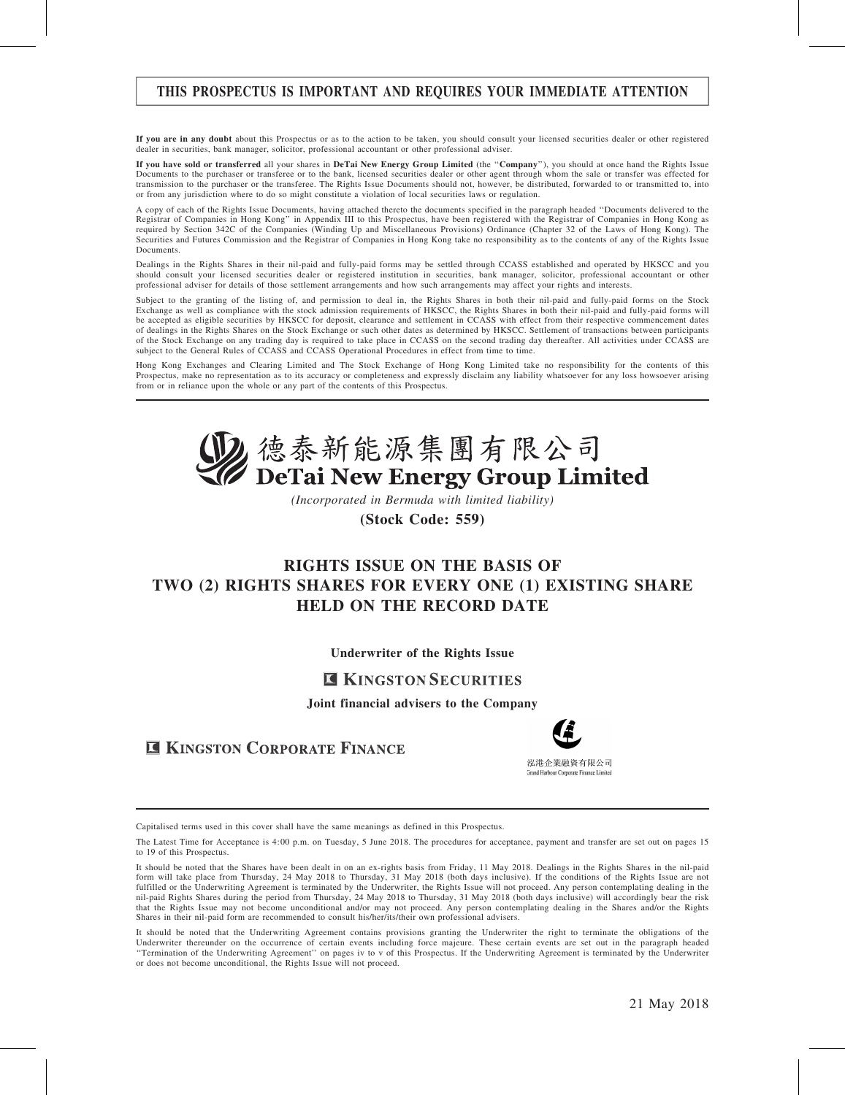## THIS PROSPECTUS IS IMPORTANT AND REQUIRES YOUR IMMEDIATE ATTENTION

If you are in any doubt about this Prospectus or as to the action to be taken, you should consult your licensed securities dealer or other registered dealer in securities, bank manager, solicitor, professional accountant or other professional adviser.

If you have sold or transferred all your shares in DeTai New Energy Group Limited (the ''Company''), you should at once hand the Rights Issue Documents to the purchaser or transferee or to the bank, licensed securities dealer or other agent through whom the sale or transfer was effected for transmission to the purchaser or the transferee. The Rights Issue Documents should not, however, be distributed, forwarded to or transmitted to, into or from any jurisdiction where to do so might constitute a violation of local securities laws or regulation.

A copy of each of the Rights Issue Documents, having attached thereto the documents specified in the paragraph headed ''Documents delivered to the Registrar of Companies in Hong Kong'' in Appendix III to this Prospectus, have been registered with the Registrar of Companies in Hong Kong as required by Section 342C of the Companies (Winding Up and Miscellaneous Provisions) Ordinance (Chapter 32 of the Laws of Hong Kong). The Securities and Futures Commission and the Registrar of Companies in Hong Kong take no responsibility as to the contents of any of the Rights Issue Documents.

Dealings in the Rights Shares in their nil-paid and fully-paid forms may be settled through CCASS established and operated by HKSCC and you should consult your licensed securities dealer or registered institution in securities, bank manager, solicitor, professional accountant or other professional adviser for details of those settlement arrangements and how such arrangements may affect your rights and interests.

Subject to the granting of the listing of, and permission to deal in, the Rights Shares in both their nil-paid and fully-paid forms on the Stock Exchange as well as compliance with the stock admission requirements of HKSCC, the Rights Shares in both their nil-paid and fully-paid forms will be accepted as eligible securities by HKSCC for deposit, clearance and settlement in CCASS with effect from their respective commencement dates of dealings in the Rights Shares on the Stock Exchange or such other dates as determined by HKSCC. Settlement of transactions between participants of the Stock Exchange on any trading day is required to take place in CCASS on the second trading day thereafter. All activities under CCASS are subject to the General Rules of CCASS and CCASS Operational Procedures in effect from time to time.

Hong Kong Exchanges and Clearing Limited and The Stock Exchange of Hong Kong Limited take no responsibility for the contents of this Prospectus, make no representation as to its accuracy or completeness and expressly disclaim any liability whatsoever for any loss howsoever arising from or in reliance upon the whole or any part of the contents of this Prospectus.



(Incorporated in Bermuda with limited liability)

(Stock Code: 559)

## RIGHTS ISSUE ON THE BASIS OF TWO (2) RIGHTS SHARES FOR EVERY ONE (1) EXISTING SHARE HELD ON THE RECORD DATE

Underwriter of the Rights Issue

## **E KINGSTON SECURITIES**

Joint financial advisers to the Company

**E KINGSTON CORPORATE FINANCE** 



Capitalised terms used in this cover shall have the same meanings as defined in this Prospectus.

The Latest Time for Acceptance is 4:00 p.m. on Tuesday, 5 June 2018. The procedures for acceptance, payment and transfer are set out on pages 15 to 19 of this Prospectus.

It should be noted that the Shares have been dealt in on an ex-rights basis from Friday, 11 May 2018. Dealings in the Rights Shares in the nil-paid form will take place from Thursday, 24 May 2018 to Thursday, 31 May 2018 (both days inclusive). If the conditions of the Rights Issue are not fulfilled or the Underwriting Agreement is terminated by the Underwriter, the Rights Issue will not proceed. Any person contemplating dealing in the nil-paid Rights Shares during the period from Thursday, 24 May 2018 to Thursday, 31 May 2018 (both days inclusive) will accordingly bear the risk that the Rights Issue may not become unconditional and/or may not proceed. Any person contemplating dealing in the Shares and/or the Rights Shares in their nil-paid form are recommended to consult his/her/its/their own professional advisers.

It should be noted that the Underwriting Agreement contains provisions granting the Underwriter the right to terminate the obligations of the Underwriter thereunder on the occurrence of certain events including force majeure. These certain events are set out in the paragraph headed<br>"Termination of the Underwriting Agreement" on pages iv to v of this Prospectus. or does not become unconditional, the Rights Issue will not proceed.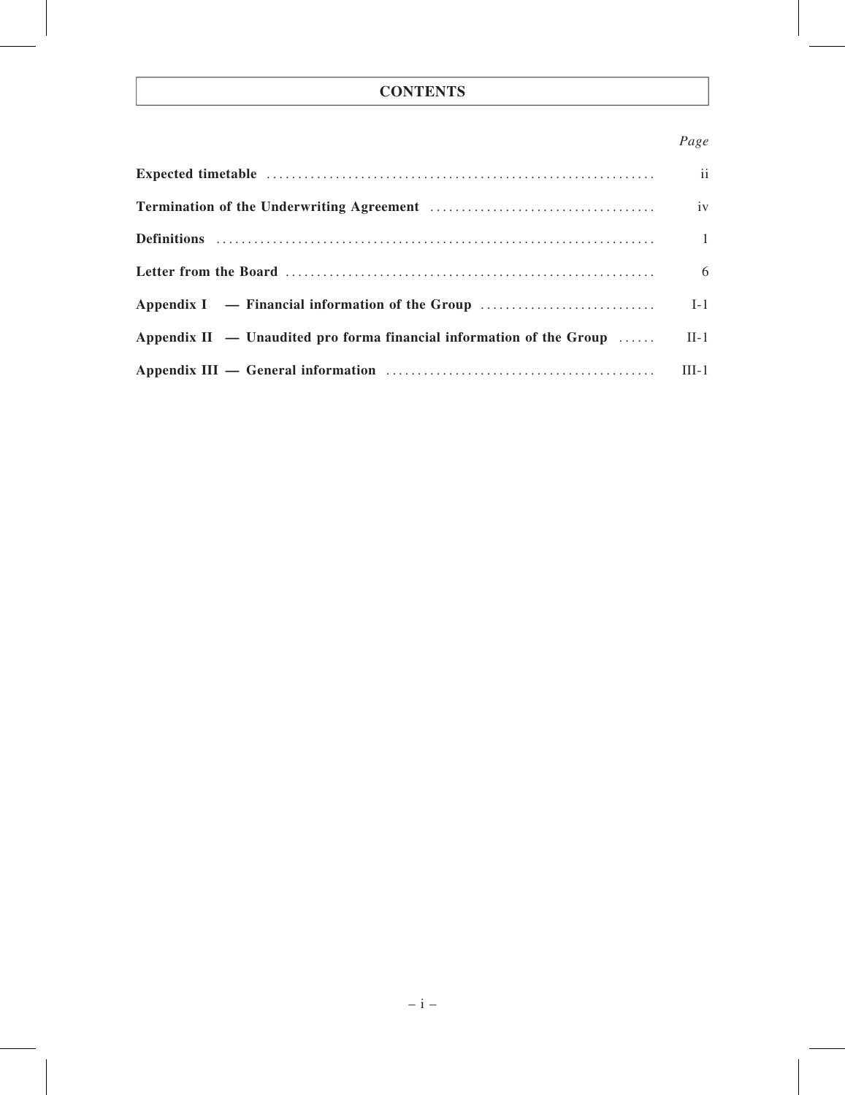## **CONTENTS**

## Page

|                                                                                                                                                                                                                                | ii             |
|--------------------------------------------------------------------------------------------------------------------------------------------------------------------------------------------------------------------------------|----------------|
|                                                                                                                                                                                                                                | iv             |
|                                                                                                                                                                                                                                | $\overline{1}$ |
|                                                                                                                                                                                                                                | 6              |
|                                                                                                                                                                                                                                | $I-1$          |
| Appendix $II -$ Unaudited pro forma financial information of the Group                                                                                                                                                         | $II-1$         |
| Appendix III — General information material contracts and all the set of the set of the set of the set of the set of the set of the set of the set of the set of the set of the set of the set of the set of the set of the se | $III-1$        |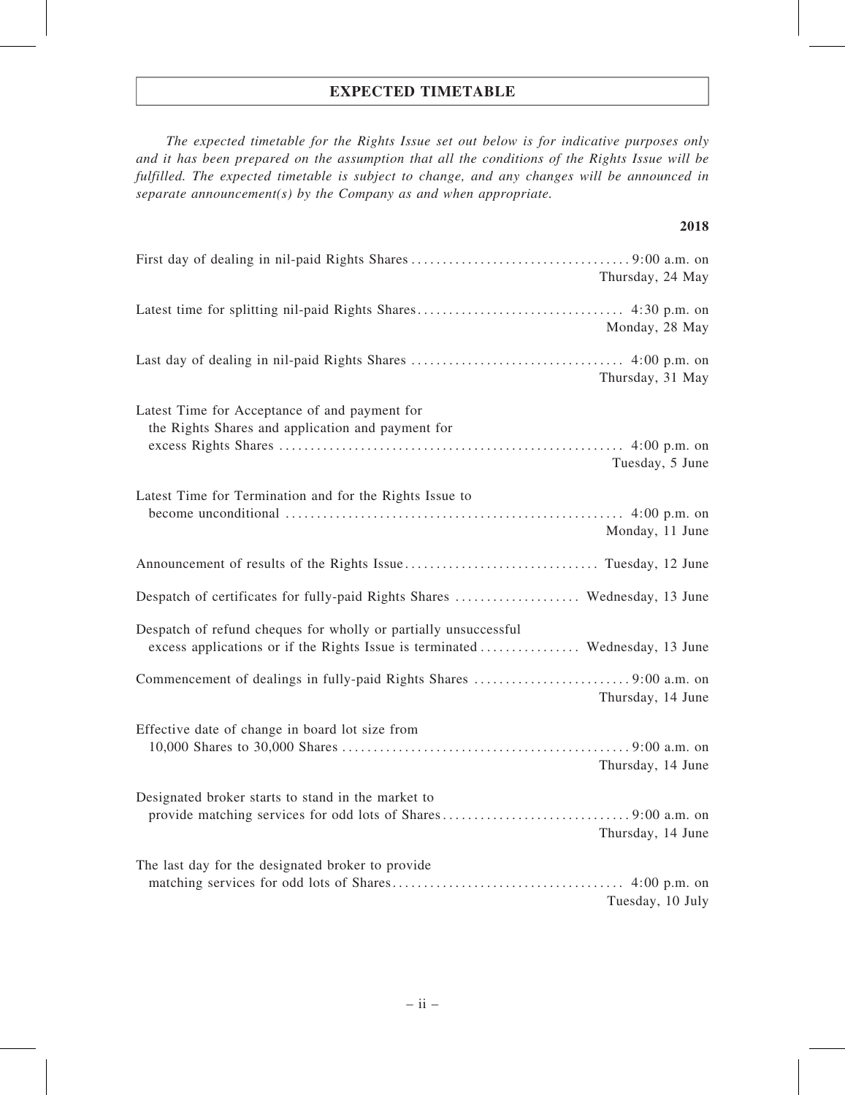## EXPECTED TIMETABLE

The expected timetable for the Rights Issue set out below is for indicative purposes only and it has been prepared on the assumption that all the conditions of the Rights Issue will be fulfilled. The expected timetable is subject to change, and any changes will be announced in separate announcement(s) by the Company as and when appropriate.

### 2018

| Thursday, 24 May                                                                                                                                |
|-------------------------------------------------------------------------------------------------------------------------------------------------|
| Monday, 28 May                                                                                                                                  |
| Thursday, 31 May                                                                                                                                |
| Latest Time for Acceptance of and payment for<br>the Rights Shares and application and payment for<br>Tuesday, 5 June                           |
| Latest Time for Termination and for the Rights Issue to<br>Monday, 11 June                                                                      |
|                                                                                                                                                 |
| Despatch of certificates for fully-paid Rights Shares  Wednesday, 13 June                                                                       |
| Despatch of refund cheques for wholly or partially unsuccessful<br>excess applications or if the Rights Issue is terminated  Wednesday, 13 June |
| Thursday, 14 June                                                                                                                               |
| Effective date of change in board lot size from<br>Thursday, 14 June                                                                            |
| Designated broker starts to stand in the market to<br>Thursday, 14 June                                                                         |
| The last day for the designated broker to provide<br>Tuesday, 10 July                                                                           |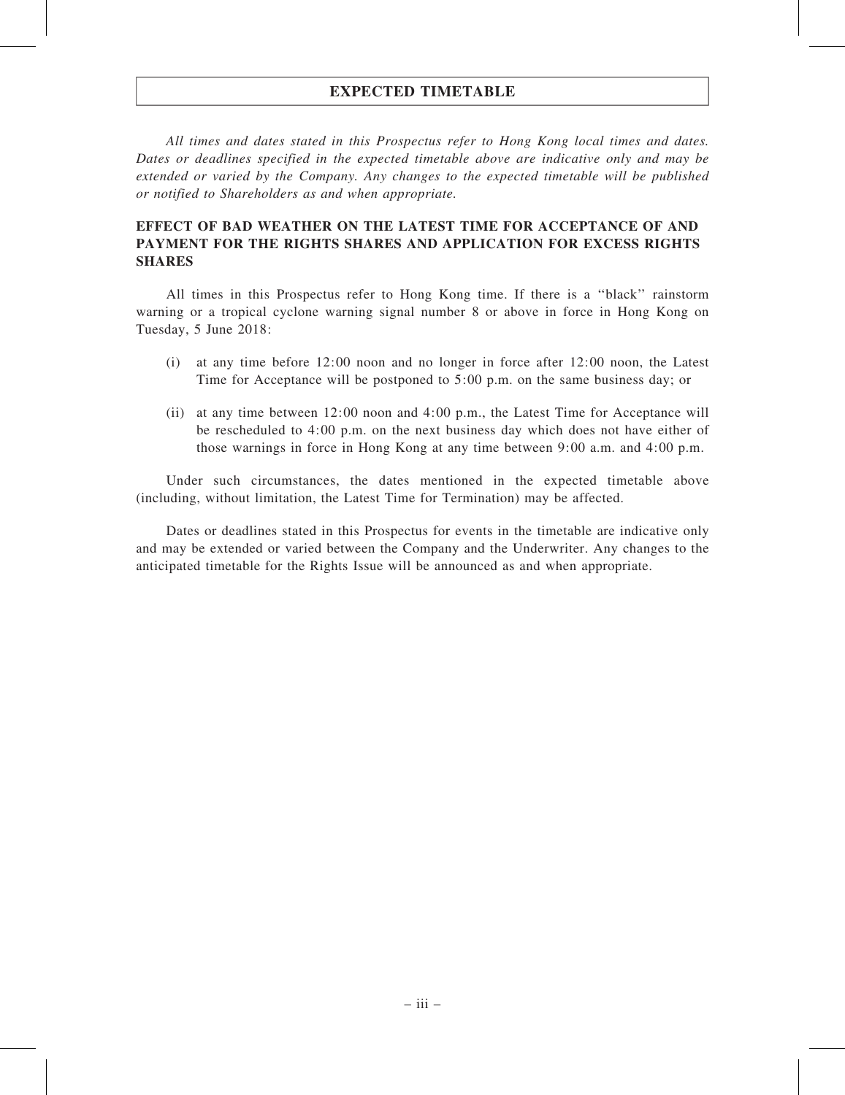## EXPECTED TIMETABLE

All times and dates stated in this Prospectus refer to Hong Kong local times and dates. Dates or deadlines specified in the expected timetable above are indicative only and may be extended or varied by the Company. Any changes to the expected timetable will be published or notified to Shareholders as and when appropriate.

## EFFECT OF BAD WEATHER ON THE LATEST TIME FOR ACCEPTANCE OF AND PAYMENT FOR THE RIGHTS SHARES AND APPLICATION FOR EXCESS RIGHTS **SHARES**

All times in this Prospectus refer to Hong Kong time. If there is a ''black'' rainstorm warning or a tropical cyclone warning signal number 8 or above in force in Hong Kong on Tuesday, 5 June 2018:

- (i) at any time before 12:00 noon and no longer in force after 12:00 noon, the Latest Time for Acceptance will be postponed to 5:00 p.m. on the same business day; or
- (ii) at any time between 12:00 noon and 4:00 p.m., the Latest Time for Acceptance will be rescheduled to 4:00 p.m. on the next business day which does not have either of those warnings in force in Hong Kong at any time between 9:00 a.m. and 4:00 p.m.

Under such circumstances, the dates mentioned in the expected timetable above (including, without limitation, the Latest Time for Termination) may be affected.

Dates or deadlines stated in this Prospectus for events in the timetable are indicative only and may be extended or varied between the Company and the Underwriter. Any changes to the anticipated timetable for the Rights Issue will be announced as and when appropriate.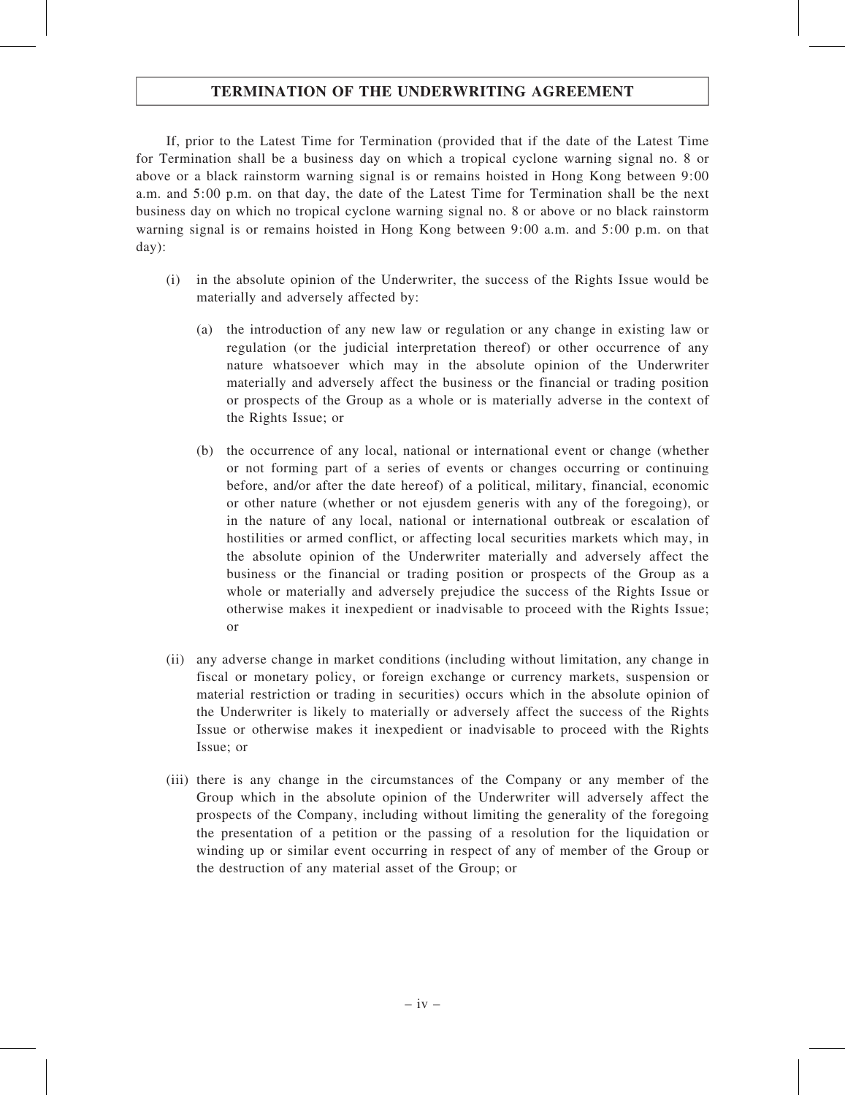## TERMINATION OF THE UNDERWRITING AGREEMENT

If, prior to the Latest Time for Termination (provided that if the date of the Latest Time for Termination shall be a business day on which a tropical cyclone warning signal no. 8 or above or a black rainstorm warning signal is or remains hoisted in Hong Kong between 9:00 a.m. and 5:00 p.m. on that day, the date of the Latest Time for Termination shall be the next business day on which no tropical cyclone warning signal no. 8 or above or no black rainstorm warning signal is or remains hoisted in Hong Kong between 9:00 a.m. and 5:00 p.m. on that day):

- (i) in the absolute opinion of the Underwriter, the success of the Rights Issue would be materially and adversely affected by:
	- (a) the introduction of any new law or regulation or any change in existing law or regulation (or the judicial interpretation thereof) or other occurrence of any nature whatsoever which may in the absolute opinion of the Underwriter materially and adversely affect the business or the financial or trading position or prospects of the Group as a whole or is materially adverse in the context of the Rights Issue; or
	- (b) the occurrence of any local, national or international event or change (whether or not forming part of a series of events or changes occurring or continuing before, and/or after the date hereof) of a political, military, financial, economic or other nature (whether or not ejusdem generis with any of the foregoing), or in the nature of any local, national or international outbreak or escalation of hostilities or armed conflict, or affecting local securities markets which may, in the absolute opinion of the Underwriter materially and adversely affect the business or the financial or trading position or prospects of the Group as a whole or materially and adversely prejudice the success of the Rights Issue or otherwise makes it inexpedient or inadvisable to proceed with the Rights Issue; or
- (ii) any adverse change in market conditions (including without limitation, any change in fiscal or monetary policy, or foreign exchange or currency markets, suspension or material restriction or trading in securities) occurs which in the absolute opinion of the Underwriter is likely to materially or adversely affect the success of the Rights Issue or otherwise makes it inexpedient or inadvisable to proceed with the Rights Issue; or
- (iii) there is any change in the circumstances of the Company or any member of the Group which in the absolute opinion of the Underwriter will adversely affect the prospects of the Company, including without limiting the generality of the foregoing the presentation of a petition or the passing of a resolution for the liquidation or winding up or similar event occurring in respect of any of member of the Group or the destruction of any material asset of the Group; or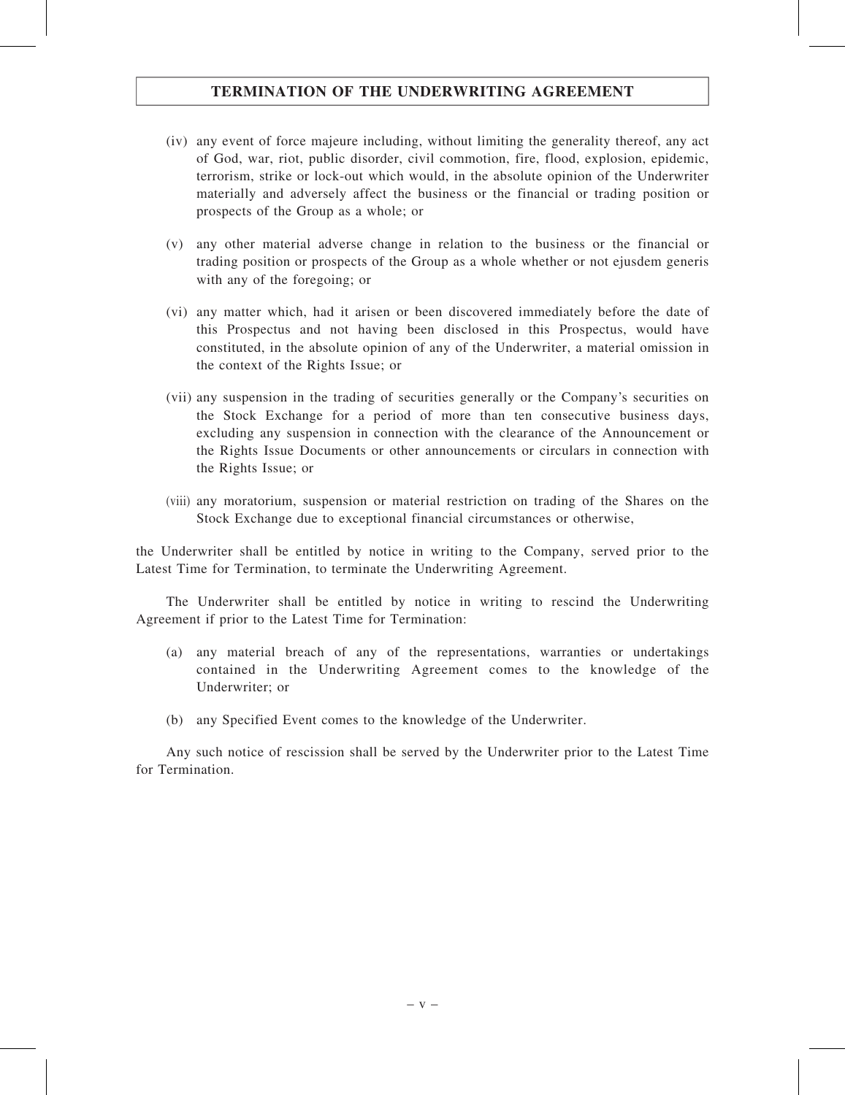## TERMINATION OF THE UNDERWRITING AGREEMENT

- (iv) any event of force majeure including, without limiting the generality thereof, any act of God, war, riot, public disorder, civil commotion, fire, flood, explosion, epidemic, terrorism, strike or lock-out which would, in the absolute opinion of the Underwriter materially and adversely affect the business or the financial or trading position or prospects of the Group as a whole; or
- (v) any other material adverse change in relation to the business or the financial or trading position or prospects of the Group as a whole whether or not ejusdem generis with any of the foregoing; or
- (vi) any matter which, had it arisen or been discovered immediately before the date of this Prospectus and not having been disclosed in this Prospectus, would have constituted, in the absolute opinion of any of the Underwriter, a material omission in the context of the Rights Issue; or
- (vii) any suspension in the trading of securities generally or the Company's securities on the Stock Exchange for a period of more than ten consecutive business days, excluding any suspension in connection with the clearance of the Announcement or the Rights Issue Documents or other announcements or circulars in connection with the Rights Issue; or
- (viii) any moratorium, suspension or material restriction on trading of the Shares on the Stock Exchange due to exceptional financial circumstances or otherwise,

the Underwriter shall be entitled by notice in writing to the Company, served prior to the Latest Time for Termination, to terminate the Underwriting Agreement.

The Underwriter shall be entitled by notice in writing to rescind the Underwriting Agreement if prior to the Latest Time for Termination:

- (a) any material breach of any of the representations, warranties or undertakings contained in the Underwriting Agreement comes to the knowledge of the Underwriter; or
- (b) any Specified Event comes to the knowledge of the Underwriter.

Any such notice of rescission shall be served by the Underwriter prior to the Latest Time for Termination.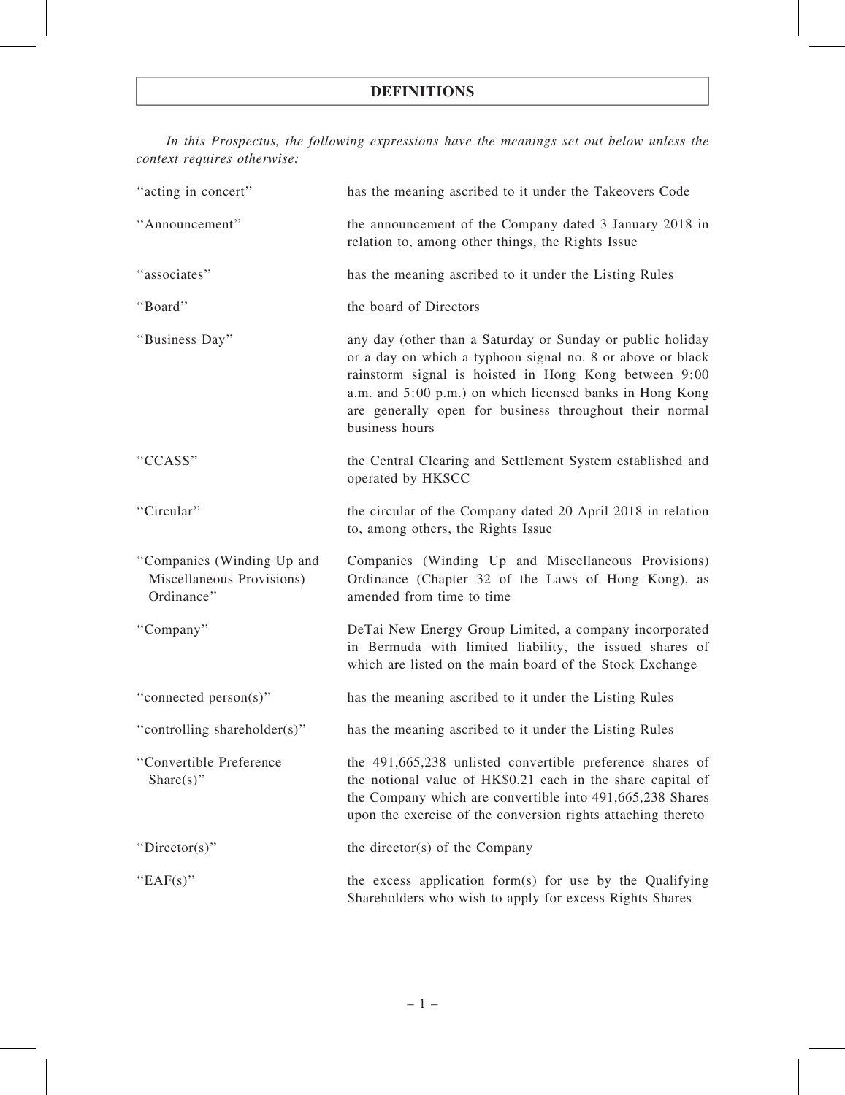In this Prospectus, the following expressions have the meanings set out below unless the context requires otherwise:

| "acting in concert"                                                   | has the meaning ascribed to it under the Takeovers Code                                                                                                                                                                                                                                                                    |
|-----------------------------------------------------------------------|----------------------------------------------------------------------------------------------------------------------------------------------------------------------------------------------------------------------------------------------------------------------------------------------------------------------------|
| "Announcement"                                                        | the announcement of the Company dated 3 January 2018 in<br>relation to, among other things, the Rights Issue                                                                                                                                                                                                               |
| "associates"                                                          | has the meaning ascribed to it under the Listing Rules                                                                                                                                                                                                                                                                     |
| "Board"                                                               | the board of Directors                                                                                                                                                                                                                                                                                                     |
| "Business Day"                                                        | any day (other than a Saturday or Sunday or public holiday<br>or a day on which a typhoon signal no. 8 or above or black<br>rainstorm signal is hoisted in Hong Kong between 9:00<br>a.m. and 5:00 p.m.) on which licensed banks in Hong Kong<br>are generally open for business throughout their normal<br>business hours |
| "CCASS"                                                               | the Central Clearing and Settlement System established and<br>operated by HKSCC                                                                                                                                                                                                                                            |
| "Circular"                                                            | the circular of the Company dated 20 April 2018 in relation<br>to, among others, the Rights Issue                                                                                                                                                                                                                          |
| "Companies (Winding Up and<br>Miscellaneous Provisions)<br>Ordinance" | Companies (Winding Up and Miscellaneous Provisions)<br>Ordinance (Chapter 32 of the Laws of Hong Kong), as<br>amended from time to time                                                                                                                                                                                    |
| "Company"                                                             | DeTai New Energy Group Limited, a company incorporated<br>in Bermuda with limited liability, the issued shares of<br>which are listed on the main board of the Stock Exchange                                                                                                                                              |
| "connected person(s)"                                                 |                                                                                                                                                                                                                                                                                                                            |
|                                                                       | has the meaning ascribed to it under the Listing Rules                                                                                                                                                                                                                                                                     |
| "controlling shareholder(s)"                                          | has the meaning ascribed to it under the Listing Rules                                                                                                                                                                                                                                                                     |
| "Convertible Preference<br>Share $(s)$ "                              | the 491,665,238 unlisted convertible preference shares of<br>the notional value of HK\$0.21 each in the share capital of<br>the Company which are convertible into 491,665,238 Shares<br>upon the exercise of the conversion rights attaching thereto                                                                      |
| "Director(s)"                                                         | the director(s) of the Company                                                                                                                                                                                                                                                                                             |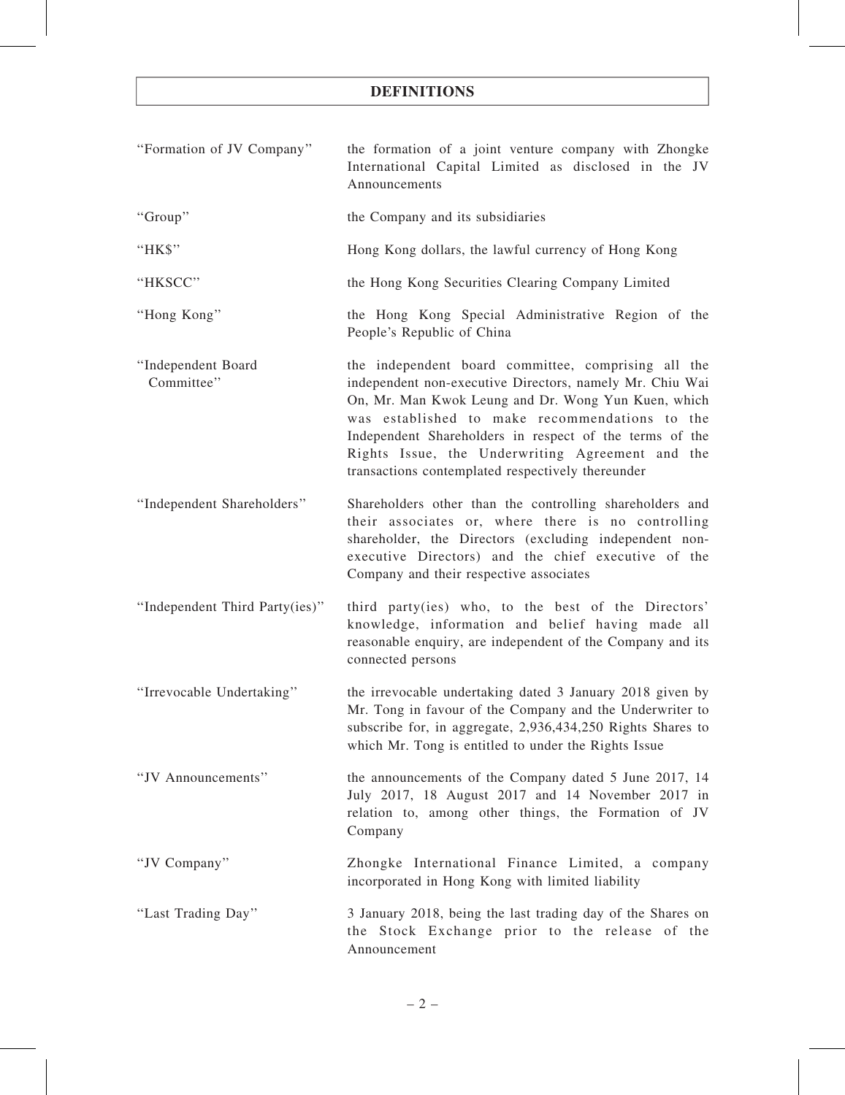| "Formation of JV Company"        | the formation of a joint venture company with Zhongke<br>International Capital Limited as disclosed in the JV<br>Announcements                                                                                                                                                                                                                                                               |
|----------------------------------|----------------------------------------------------------------------------------------------------------------------------------------------------------------------------------------------------------------------------------------------------------------------------------------------------------------------------------------------------------------------------------------------|
| "Group"                          | the Company and its subsidiaries                                                                                                                                                                                                                                                                                                                                                             |
| "HK\$"                           | Hong Kong dollars, the lawful currency of Hong Kong                                                                                                                                                                                                                                                                                                                                          |
| "HKSCC"                          | the Hong Kong Securities Clearing Company Limited                                                                                                                                                                                                                                                                                                                                            |
| "Hong Kong"                      | the Hong Kong Special Administrative Region of the<br>People's Republic of China                                                                                                                                                                                                                                                                                                             |
| "Independent Board<br>Committee" | the independent board committee, comprising all the<br>independent non-executive Directors, namely Mr. Chiu Wai<br>On, Mr. Man Kwok Leung and Dr. Wong Yun Kuen, which<br>was established to make recommendations to the<br>Independent Shareholders in respect of the terms of the<br>Rights Issue, the Underwriting Agreement and the<br>transactions contemplated respectively thereunder |
| "Independent Shareholders"       | Shareholders other than the controlling shareholders and<br>their associates or, where there is no controlling<br>shareholder, the Directors (excluding independent non-<br>executive Directors) and the chief executive of the<br>Company and their respective associates                                                                                                                   |
| "Independent Third Party(ies)"   | third party(ies) who, to the best of the Directors'<br>knowledge, information and belief having made all<br>reasonable enquiry, are independent of the Company and its<br>connected persons                                                                                                                                                                                                  |
| "Irrevocable Undertaking"        | the irrevocable undertaking dated 3 January 2018 given by<br>Mr. Tong in favour of the Company and the Underwriter to<br>subscribe for, in aggregate, 2,936,434,250 Rights Shares to<br>which Mr. Tong is entitled to under the Rights Issue                                                                                                                                                 |
| "JV Announcements"               | the announcements of the Company dated 5 June 2017, 14<br>July 2017, 18 August 2017 and 14 November 2017 in<br>relation to, among other things, the Formation of JV<br>Company                                                                                                                                                                                                               |
| "JV Company"                     | Zhongke International Finance Limited, a company<br>incorporated in Hong Kong with limited liability                                                                                                                                                                                                                                                                                         |
| "Last Trading Day"               | 3 January 2018, being the last trading day of the Shares on<br>the Stock Exchange prior to the release of the<br>Announcement                                                                                                                                                                                                                                                                |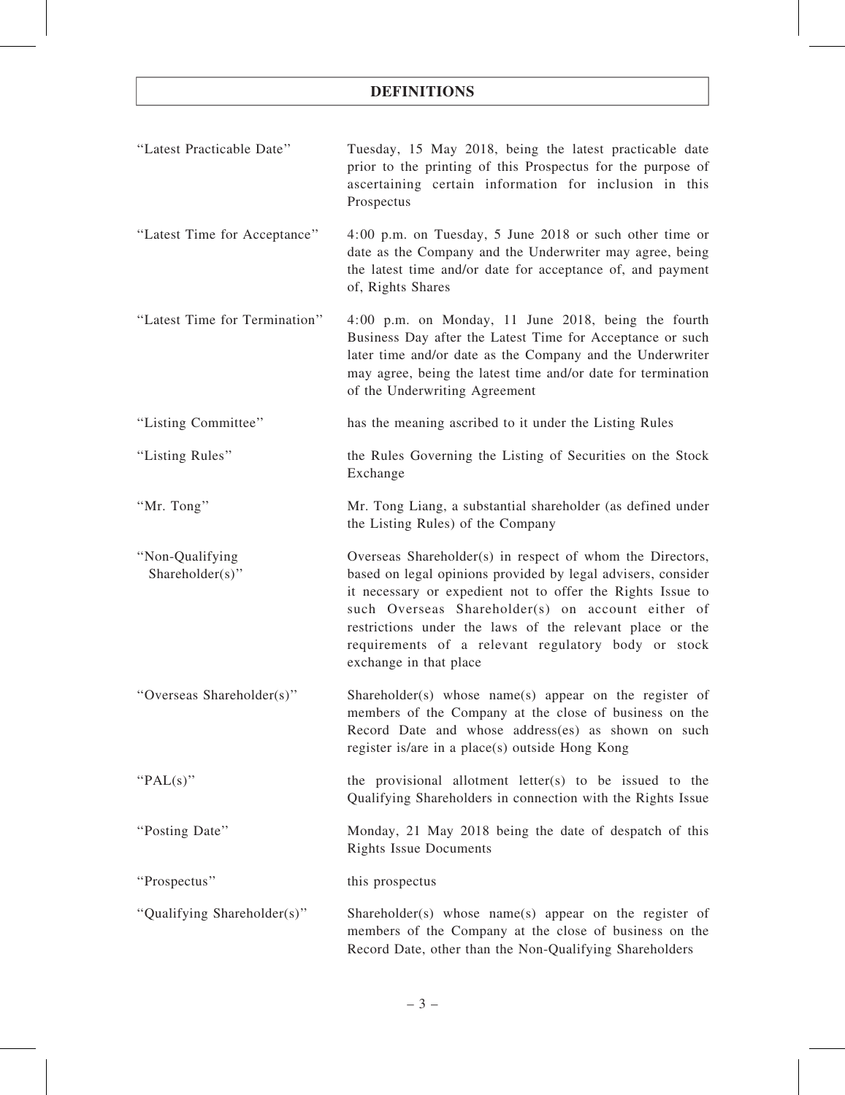| "Latest Practicable Date"          | Tuesday, 15 May 2018, being the latest practicable date<br>prior to the printing of this Prospectus for the purpose of<br>ascertaining certain information for inclusion in this<br>Prospectus                                                                                                                                                                                            |
|------------------------------------|-------------------------------------------------------------------------------------------------------------------------------------------------------------------------------------------------------------------------------------------------------------------------------------------------------------------------------------------------------------------------------------------|
| "Latest Time for Acceptance"       | 4:00 p.m. on Tuesday, 5 June 2018 or such other time or<br>date as the Company and the Underwriter may agree, being<br>the latest time and/or date for acceptance of, and payment<br>of, Rights Shares                                                                                                                                                                                    |
| "Latest Time for Termination"      | 4:00 p.m. on Monday, 11 June 2018, being the fourth<br>Business Day after the Latest Time for Acceptance or such<br>later time and/or date as the Company and the Underwriter<br>may agree, being the latest time and/or date for termination<br>of the Underwriting Agreement                                                                                                            |
| "Listing Committee"                | has the meaning ascribed to it under the Listing Rules                                                                                                                                                                                                                                                                                                                                    |
| "Listing Rules"                    | the Rules Governing the Listing of Securities on the Stock<br>Exchange                                                                                                                                                                                                                                                                                                                    |
| "Mr. Tong"                         | Mr. Tong Liang, a substantial shareholder (as defined under<br>the Listing Rules) of the Company                                                                                                                                                                                                                                                                                          |
| "Non-Qualifying<br>Shareholder(s)" | Overseas Shareholder(s) in respect of whom the Directors,<br>based on legal opinions provided by legal advisers, consider<br>it necessary or expedient not to offer the Rights Issue to<br>such Overseas Shareholder(s) on account either of<br>restrictions under the laws of the relevant place or the<br>requirements of a relevant regulatory body or stock<br>exchange in that place |
| "Overseas Shareholder(s)"          | Shareholder(s) whose name(s) appear on the register of<br>members of the Company at the close of business on the<br>Record Date and whose address(es) as shown on such<br>register is/are in a place(s) outside Hong Kong                                                                                                                                                                 |
| " $PAL(s)$ "                       | the provisional allotment letter(s) to be issued to the<br>Qualifying Shareholders in connection with the Rights Issue                                                                                                                                                                                                                                                                    |
| "Posting Date"                     | Monday, 21 May 2018 being the date of despatch of this<br><b>Rights Issue Documents</b>                                                                                                                                                                                                                                                                                                   |
| "Prospectus"                       | this prospectus                                                                                                                                                                                                                                                                                                                                                                           |
| "Qualifying Shareholder(s)"        | Shareholder(s) whose name(s) appear on the register of<br>members of the Company at the close of business on the<br>Record Date, other than the Non-Qualifying Shareholders                                                                                                                                                                                                               |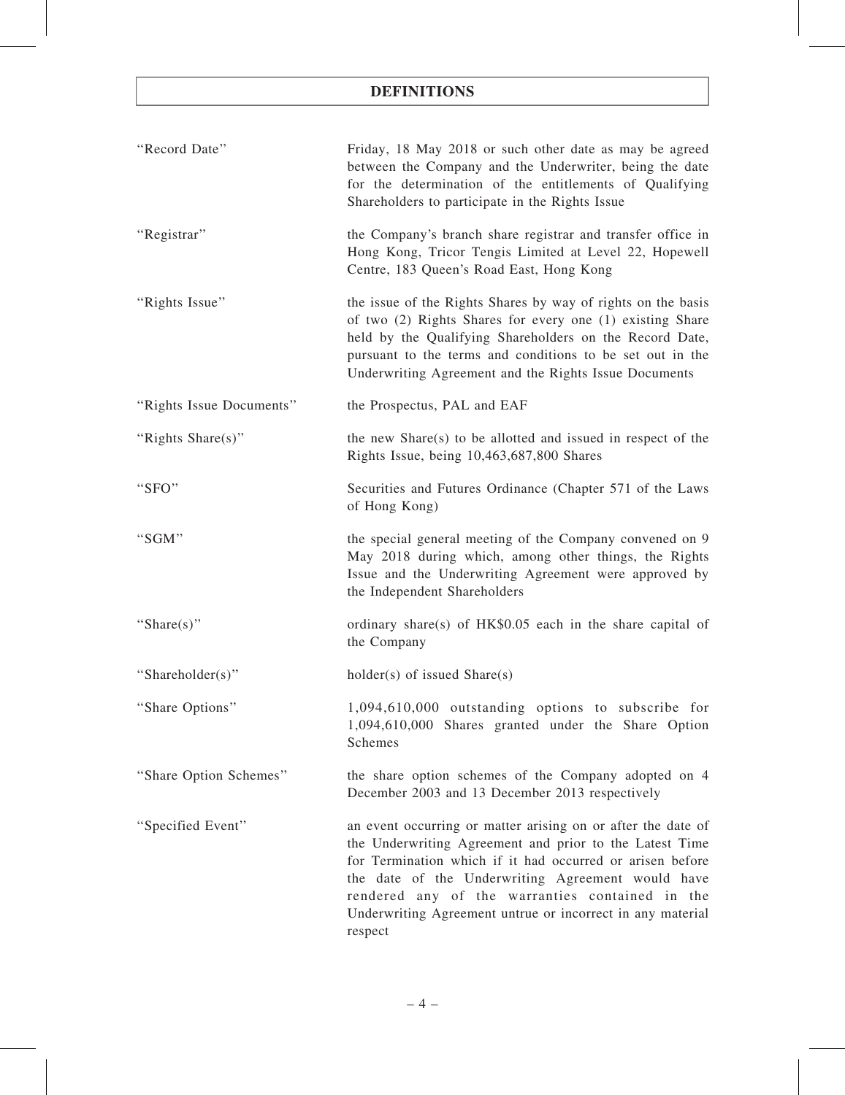| "Record Date"            | Friday, 18 May 2018 or such other date as may be agreed<br>between the Company and the Underwriter, being the date<br>for the determination of the entitlements of Qualifying<br>Shareholders to participate in the Rights Issue                                                                                                                                      |
|--------------------------|-----------------------------------------------------------------------------------------------------------------------------------------------------------------------------------------------------------------------------------------------------------------------------------------------------------------------------------------------------------------------|
| "Registrar"              | the Company's branch share registrar and transfer office in<br>Hong Kong, Tricor Tengis Limited at Level 22, Hopewell<br>Centre, 183 Queen's Road East, Hong Kong                                                                                                                                                                                                     |
| "Rights Issue"           | the issue of the Rights Shares by way of rights on the basis<br>of two (2) Rights Shares for every one (1) existing Share<br>held by the Qualifying Shareholders on the Record Date,<br>pursuant to the terms and conditions to be set out in the<br>Underwriting Agreement and the Rights Issue Documents                                                            |
| "Rights Issue Documents" | the Prospectus, PAL and EAF                                                                                                                                                                                                                                                                                                                                           |
| "Rights Share(s)"        | the new Share(s) to be allotted and issued in respect of the<br>Rights Issue, being 10,463,687,800 Shares                                                                                                                                                                                                                                                             |
| "SFO"                    | Securities and Futures Ordinance (Chapter 571 of the Laws<br>of Hong Kong)                                                                                                                                                                                                                                                                                            |
| "SGM"                    | the special general meeting of the Company convened on 9<br>May 2018 during which, among other things, the Rights<br>Issue and the Underwriting Agreement were approved by<br>the Independent Shareholders                                                                                                                                                            |
| "Share(s)"               | ordinary share(s) of HK\$0.05 each in the share capital of<br>the Company                                                                                                                                                                                                                                                                                             |
| "Shareholder(s)"         | $holder(s)$ of issued $Share(s)$                                                                                                                                                                                                                                                                                                                                      |
| "Share Options"          | 1,094,610,000 outstanding options to subscribe for<br>1,094,610,000 Shares granted under the Share Option<br>Schemes                                                                                                                                                                                                                                                  |
| "Share Option Schemes"   | the share option schemes of the Company adopted on 4<br>December 2003 and 13 December 2013 respectively                                                                                                                                                                                                                                                               |
| "Specified Event"        | an event occurring or matter arising on or after the date of<br>the Underwriting Agreement and prior to the Latest Time<br>for Termination which if it had occurred or arisen before<br>the date of the Underwriting Agreement would have<br>rendered any of the warranties contained in the<br>Underwriting Agreement untrue or incorrect in any material<br>respect |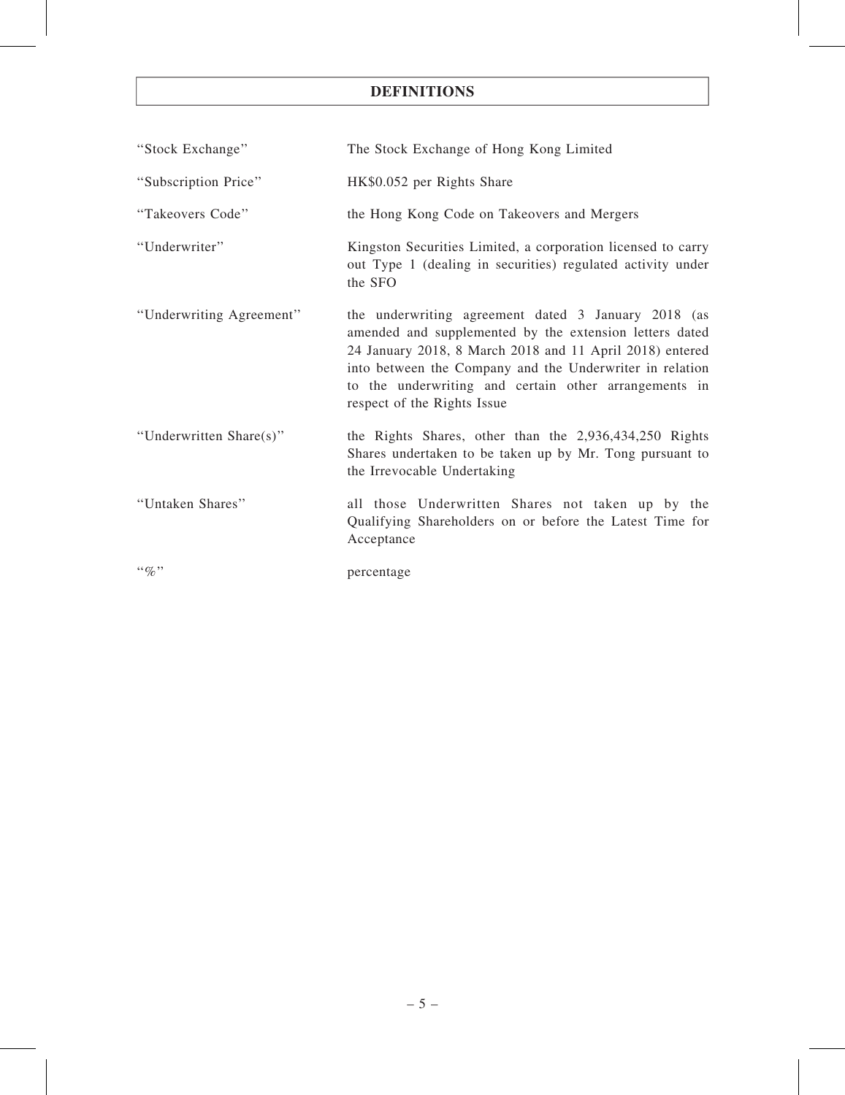| "Stock Exchange"         | The Stock Exchange of Hong Kong Limited                                                                                                                                                                                                                                                                                        |
|--------------------------|--------------------------------------------------------------------------------------------------------------------------------------------------------------------------------------------------------------------------------------------------------------------------------------------------------------------------------|
| "Subscription Price"     | HK\$0.052 per Rights Share                                                                                                                                                                                                                                                                                                     |
| "Takeovers Code"         | the Hong Kong Code on Takeovers and Mergers                                                                                                                                                                                                                                                                                    |
| "Underwriter"            | Kingston Securities Limited, a corporation licensed to carry<br>out Type 1 (dealing in securities) regulated activity under<br>the SFO                                                                                                                                                                                         |
| "Underwriting Agreement" | the underwriting agreement dated 3 January 2018 (as<br>amended and supplemented by the extension letters dated<br>24 January 2018, 8 March 2018 and 11 April 2018) entered<br>into between the Company and the Underwriter in relation<br>to the underwriting and certain other arrangements in<br>respect of the Rights Issue |
| "Underwritten Share(s)"  | the Rights Shares, other than the 2,936,434,250 Rights<br>Shares undertaken to be taken up by Mr. Tong pursuant to<br>the Irrevocable Undertaking                                                                                                                                                                              |
| "Untaken Shares"         | all those Underwritten Shares not taken up by the<br>Qualifying Shareholders on or before the Latest Time for<br>Acceptance                                                                                                                                                                                                    |
| $\lq\lq q_0$ "           | percentage                                                                                                                                                                                                                                                                                                                     |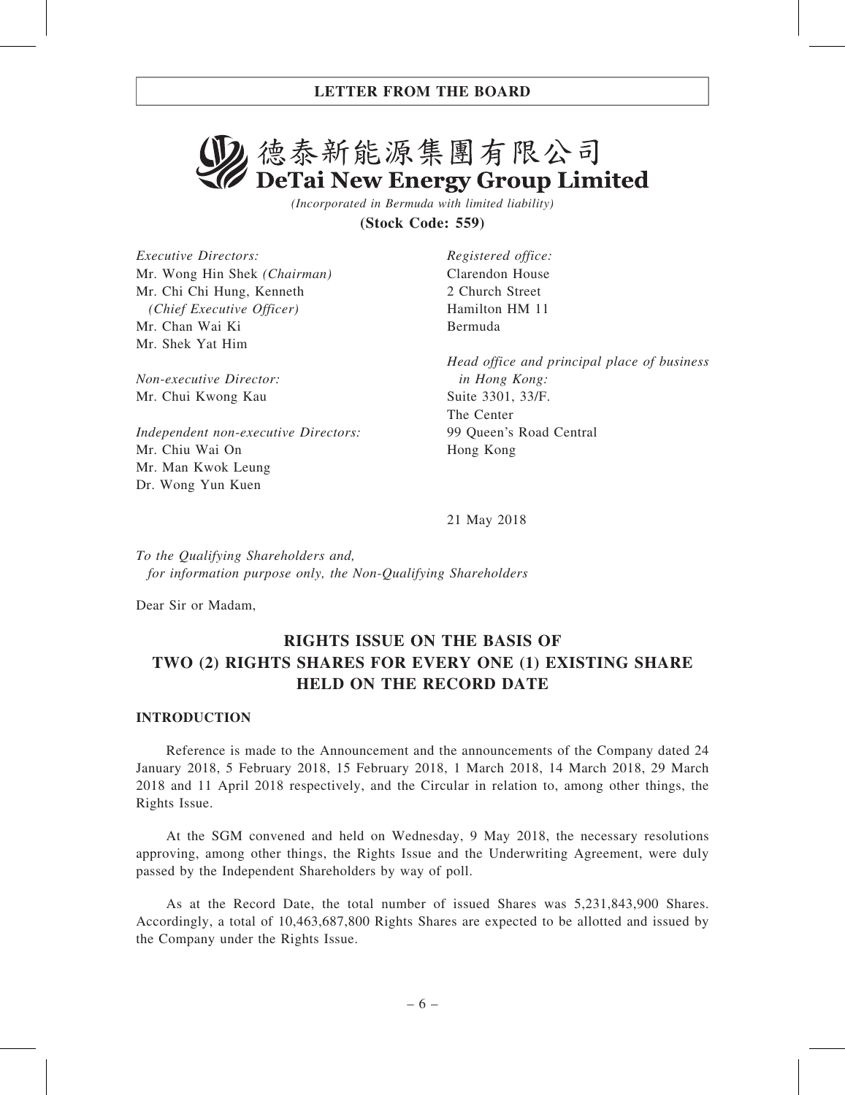# 2. 德泰新能源集團有限公司 DeTai New Energy Group Limited

(Incorporated in Bermuda with limited liability)

(Stock Code: 559)

Executive Directors: Mr. Wong Hin Shek (Chairman) Mr. Chi Chi Hung, Kenneth (Chief Executive Officer) Mr. Chan Wai Ki Mr. Shek Yat Him

Non-executive Director: Mr. Chui Kwong Kau

Independent non-executive Directors: Mr. Chiu Wai On Mr. Man Kwok Leung Dr. Wong Yun Kuen

Registered office: Clarendon House 2 Church Street Hamilton HM 11 Bermuda

Head office and principal place of business in Hong Kong: Suite 3301, 33/F. The Center 99 Queen's Road Central Hong Kong

21 May 2018

To the Qualifying Shareholders and, for information purpose only, the Non-Qualifying Shareholders

Dear Sir or Madam,

## RIGHTS ISSUE ON THE BASIS OF TWO (2) RIGHTS SHARES FOR EVERY ONE (1) EXISTING SHARE HELD ON THE RECORD DATE

#### INTRODUCTION

Reference is made to the Announcement and the announcements of the Company dated 24 January 2018, 5 February 2018, 15 February 2018, 1 March 2018, 14 March 2018, 29 March 2018 and 11 April 2018 respectively, and the Circular in relation to, among other things, the Rights Issue.

At the SGM convened and held on Wednesday, 9 May 2018, the necessary resolutions approving, among other things, the Rights Issue and the Underwriting Agreement, were duly passed by the Independent Shareholders by way of poll.

As at the Record Date, the total number of issued Shares was 5,231,843,900 Shares. Accordingly, a total of 10,463,687,800 Rights Shares are expected to be allotted and issued by the Company under the Rights Issue.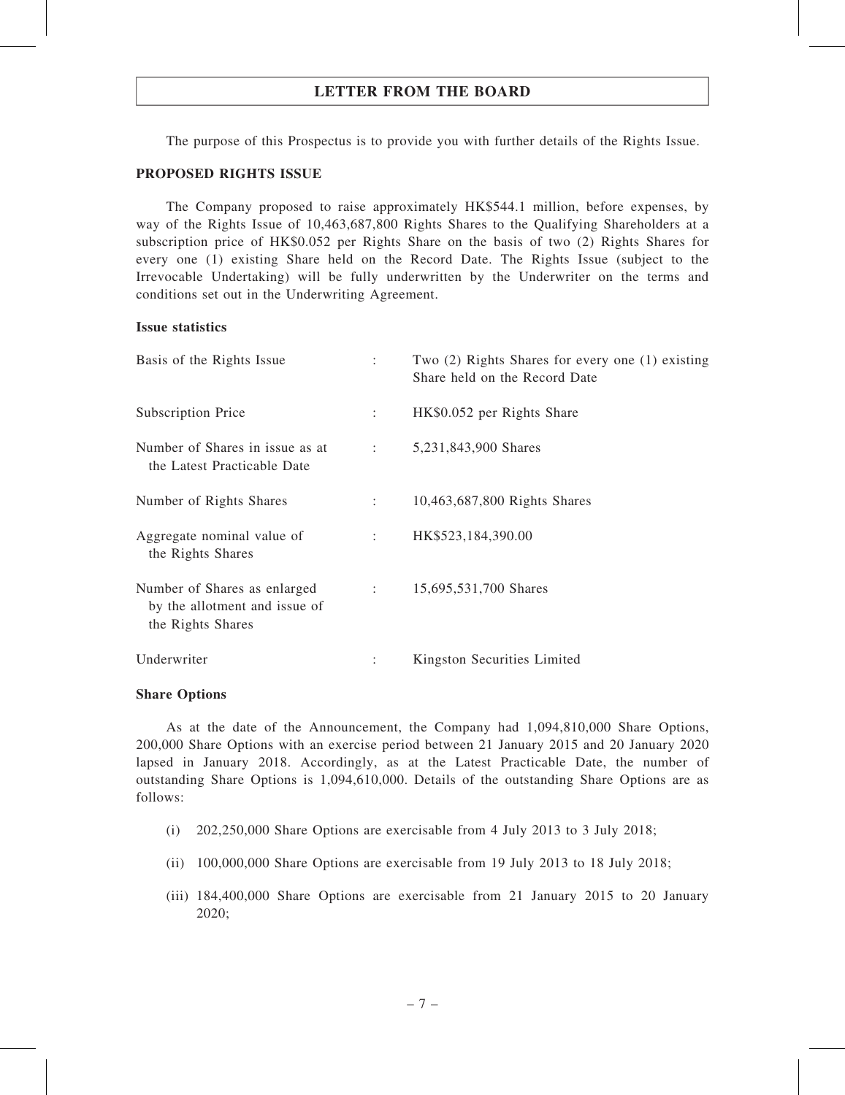The purpose of this Prospectus is to provide you with further details of the Rights Issue.

#### PROPOSED RIGHTS ISSUE

The Company proposed to raise approximately HK\$544.1 million, before expenses, by way of the Rights Issue of 10,463,687,800 Rights Shares to the Qualifying Shareholders at a subscription price of HK\$0.052 per Rights Share on the basis of two (2) Rights Shares for every one (1) existing Share held on the Record Date. The Rights Issue (subject to the Irrevocable Undertaking) will be fully underwritten by the Underwriter on the terms and conditions set out in the Underwriting Agreement.

#### Issue statistics

| Basis of the Rights Issue                                                          | ÷                    | Two $(2)$ Rights Shares for every one $(1)$ existing<br>Share held on the Record Date |
|------------------------------------------------------------------------------------|----------------------|---------------------------------------------------------------------------------------|
| <b>Subscription Price</b>                                                          | $\ddot{\phantom{a}}$ | HK\$0.052 per Rights Share                                                            |
| Number of Shares in issue as at<br>the Latest Practicable Date                     | <b>Contractor</b>    | 5,231,843,900 Shares                                                                  |
| Number of Rights Shares                                                            | $1 - 1$              | 10,463,687,800 Rights Shares                                                          |
| Aggregate nominal value of<br>the Rights Shares                                    | $\ddot{\phantom{0}}$ | HK\$523,184,390.00                                                                    |
| Number of Shares as enlarged<br>by the allotment and issue of<br>the Rights Shares | $1 - 1$              | 15,695,531,700 Shares                                                                 |
| Underwriter                                                                        | ÷                    | Kingston Securities Limited                                                           |

#### Share Options

As at the date of the Announcement, the Company had 1,094,810,000 Share Options, 200,000 Share Options with an exercise period between 21 January 2015 and 20 January 2020 lapsed in January 2018. Accordingly, as at the Latest Practicable Date, the number of outstanding Share Options is 1,094,610,000. Details of the outstanding Share Options are as follows:

- (i) 202,250,000 Share Options are exercisable from 4 July 2013 to 3 July 2018;
- (ii) 100,000,000 Share Options are exercisable from 19 July 2013 to 18 July 2018;
- (iii) 184,400,000 Share Options are exercisable from 21 January 2015 to 20 January 2020;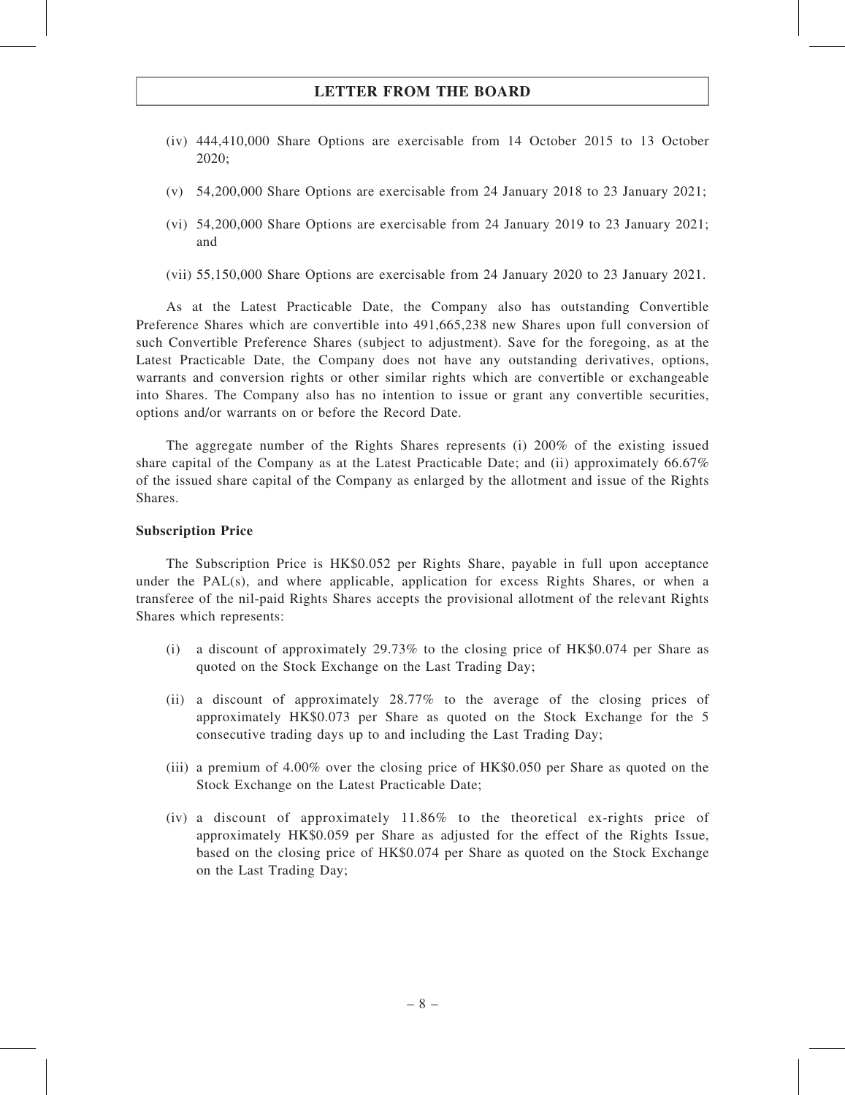- (iv) 444,410,000 Share Options are exercisable from 14 October 2015 to 13 October 2020;
- (v) 54,200,000 Share Options are exercisable from 24 January 2018 to 23 January 2021;
- (vi) 54,200,000 Share Options are exercisable from 24 January 2019 to 23 January 2021; and
- (vii) 55,150,000 Share Options are exercisable from 24 January 2020 to 23 January 2021.

As at the Latest Practicable Date, the Company also has outstanding Convertible Preference Shares which are convertible into 491,665,238 new Shares upon full conversion of such Convertible Preference Shares (subject to adjustment). Save for the foregoing, as at the Latest Practicable Date, the Company does not have any outstanding derivatives, options, warrants and conversion rights or other similar rights which are convertible or exchangeable into Shares. The Company also has no intention to issue or grant any convertible securities, options and/or warrants on or before the Record Date.

The aggregate number of the Rights Shares represents (i) 200% of the existing issued share capital of the Company as at the Latest Practicable Date; and (ii) approximately 66.67% of the issued share capital of the Company as enlarged by the allotment and issue of the Rights Shares.

#### Subscription Price

The Subscription Price is HK\$0.052 per Rights Share, payable in full upon acceptance under the  $PAL(s)$ , and where applicable, application for excess Rights Shares, or when a transferee of the nil-paid Rights Shares accepts the provisional allotment of the relevant Rights Shares which represents:

- (i) a discount of approximately 29.73% to the closing price of HK\$0.074 per Share as quoted on the Stock Exchange on the Last Trading Day;
- (ii) a discount of approximately 28.77% to the average of the closing prices of approximately HK\$0.073 per Share as quoted on the Stock Exchange for the 5 consecutive trading days up to and including the Last Trading Day;
- (iii) a premium of 4.00% over the closing price of HK\$0.050 per Share as quoted on the Stock Exchange on the Latest Practicable Date;
- (iv) a discount of approximately 11.86% to the theoretical ex-rights price of approximately HK\$0.059 per Share as adjusted for the effect of the Rights Issue, based on the closing price of HK\$0.074 per Share as quoted on the Stock Exchange on the Last Trading Day;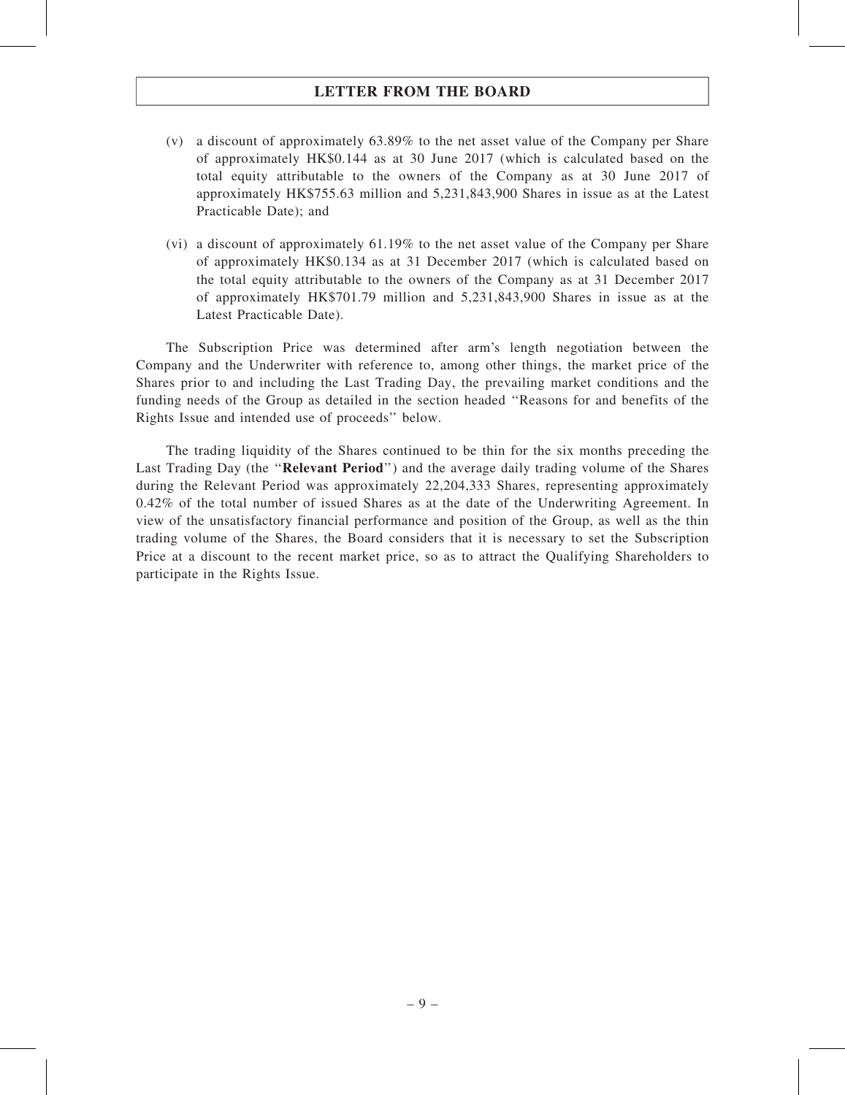- (v) a discount of approximately 63.89% to the net asset value of the Company per Share of approximately HK\$0.144 as at 30 June 2017 (which is calculated based on the total equity attributable to the owners of the Company as at 30 June 2017 of approximately HK\$755.63 million and 5,231,843,900 Shares in issue as at the Latest Practicable Date); and
- (vi) a discount of approximately 61.19% to the net asset value of the Company per Share of approximately HK\$0.134 as at 31 December 2017 (which is calculated based on the total equity attributable to the owners of the Company as at 31 December 2017 of approximately HK\$701.79 million and 5,231,843,900 Shares in issue as at the Latest Practicable Date).

The Subscription Price was determined after arm's length negotiation between the Company and the Underwriter with reference to, among other things, the market price of the Shares prior to and including the Last Trading Day, the prevailing market conditions and the funding needs of the Group as detailed in the section headed ''Reasons for and benefits of the Rights Issue and intended use of proceeds'' below.

The trading liquidity of the Shares continued to be thin for the six months preceding the Last Trading Day (the "Relevant Period") and the average daily trading volume of the Shares during the Relevant Period was approximately 22,204,333 Shares, representing approximately 0.42% of the total number of issued Shares as at the date of the Underwriting Agreement. In view of the unsatisfactory financial performance and position of the Group, as well as the thin trading volume of the Shares, the Board considers that it is necessary to set the Subscription Price at a discount to the recent market price, so as to attract the Qualifying Shareholders to participate in the Rights Issue.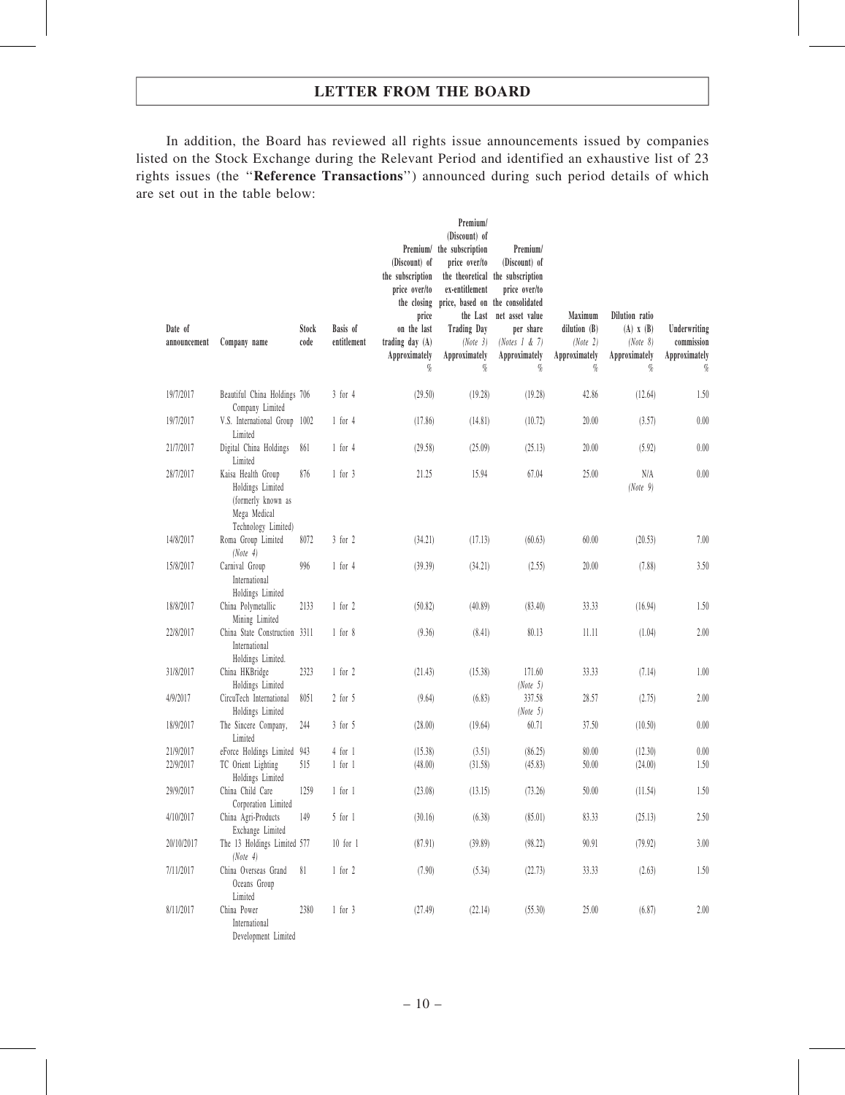In addition, the Board has reviewed all rights issue announcements issued by companies listed on the Stock Exchange during the Relevant Period and identified an exhaustive list of 23 rights issues (the ''Reference Transactions'') announced during such period details of which are set out in the table below:

| Date of<br>announcement | Company name                                                                                        | Stock<br>code | Basis of<br>entitlement | Premium/<br>(Discount) of<br>the subscription<br>price over/to<br>the closing<br>price<br>on the last<br>trading day (A)<br>Approximately<br>% | Premium/<br>(Discount) of<br>the subscription<br>price over/to<br>ex-entitlement<br>price, based on the consolidated<br><b>Trading Day</b><br>(Note 3)<br>Approximately<br>$\%$ | Premium/<br>(Discount) of<br>the theoretical the subscription<br>price over/to<br>the Last net asset value<br>per share<br>(Notes $1 & 7$ )<br>Approximately<br>% | Maximum<br>dilution $(B)$<br>(Note 2)<br>Approximately<br>$\%$ | Dilution ratio<br>$(A)$ $X$ $(B)$<br>(Note 8)<br>Approximately<br>$\%$ | Underwriting<br>commission<br>Approximately<br>$\%$ |
|-------------------------|-----------------------------------------------------------------------------------------------------|---------------|-------------------------|------------------------------------------------------------------------------------------------------------------------------------------------|---------------------------------------------------------------------------------------------------------------------------------------------------------------------------------|-------------------------------------------------------------------------------------------------------------------------------------------------------------------|----------------------------------------------------------------|------------------------------------------------------------------------|-----------------------------------------------------|
| 19/7/2017               | Beautiful China Holdings 706<br>Company Limited                                                     |               | $3$ for $4$             | (29.50)                                                                                                                                        | (19.28)                                                                                                                                                                         | (19.28)                                                                                                                                                           | 42.86                                                          | (12.64)                                                                | 1.50                                                |
| 19/7/2017               | V.S. International Group 1002<br>Limited                                                            |               | $1$ for $4$             | (17.86)                                                                                                                                        | (14.81)                                                                                                                                                                         | (10.72)                                                                                                                                                           | 20.00                                                          | (3.57)                                                                 | 0.00                                                |
| 21/7/2017               | Digital China Holdings<br>Limited                                                                   | 861           | $1$ for $4$             | (29.58)                                                                                                                                        | (25.09)                                                                                                                                                                         | (25.13)                                                                                                                                                           | 20.00                                                          | (5.92)                                                                 | 0.00                                                |
| 28/7/2017               | Kaisa Health Group<br>Holdings Limited<br>(formerly known as<br>Mega Medical<br>Technology Limited) | 876           | $1$ for $3$             | 21.25                                                                                                                                          | 15.94                                                                                                                                                                           | 67.04                                                                                                                                                             | 25.00                                                          | N/A<br>(Note 9)                                                        | 0.00                                                |
| 14/8/2017               | Roma Group Limited<br>(Note 4)                                                                      | 8072          | $3$ for $2$             | (34.21)                                                                                                                                        | (17.13)                                                                                                                                                                         | (60.63)                                                                                                                                                           | 60.00                                                          | (20.53)                                                                | 7.00                                                |
| 15/8/2017               | Carnival Group<br>International<br>Holdings Limited                                                 | 996           | $1$ for $4$             | (39.39)                                                                                                                                        | (34.21)                                                                                                                                                                         | (2.55)                                                                                                                                                            | 20.00                                                          | (7.88)                                                                 | 3.50                                                |
| 18/8/2017               | China Polymetallic<br>Mining Limited                                                                | 2133          | $1$ for $2$             | (50.82)                                                                                                                                        | (40.89)                                                                                                                                                                         | (83.40)                                                                                                                                                           | 33.33                                                          | (16.94)                                                                | 1.50                                                |
| 22/8/2017               | China State Construction 3311<br>International<br>Holdings Limited.                                 |               | $1$ for $8$             | (9.36)                                                                                                                                         | (8.41)                                                                                                                                                                          | 80.13                                                                                                                                                             | 11.11                                                          | (1.04)                                                                 | 2.00                                                |
| 31/8/2017               | China HKBridge<br>Holdings Limited                                                                  | 2323          | $1$ for $2$             | (21.43)                                                                                                                                        | (15.38)                                                                                                                                                                         | 171.60<br>(Note 5)                                                                                                                                                | 33.33                                                          | (7.14)                                                                 | 1.00                                                |
| 4/9/2017                | CircuTech International<br>Holdings Limited                                                         | 8051          | $2$ for $5$             | (9.64)                                                                                                                                         | (6.83)                                                                                                                                                                          | 337.58<br>(Note 5)                                                                                                                                                | 28.57                                                          | (2.75)                                                                 | 2.00                                                |
| 18/9/2017               | The Sincere Company,<br>Limited                                                                     | 244           | $3$ for $5$             | (28.00)                                                                                                                                        | (19.64)                                                                                                                                                                         | 60.71                                                                                                                                                             | 37.50                                                          | (10.50)                                                                | 0.00                                                |
| 21/9/2017               | eForce Holdings Limited 943                                                                         |               | $4$ for $1$             | (15.38)                                                                                                                                        | (3.51)                                                                                                                                                                          | (86.25)                                                                                                                                                           | 80.00                                                          | (12.30)                                                                | $0.00\,$                                            |
| 22/9/2017               | TC Orient Lighting<br>Holdings Limited                                                              | 515           | $1$ for $1$             | (48.00)                                                                                                                                        | (31.58)                                                                                                                                                                         | (45.83)                                                                                                                                                           | 50.00                                                          | (24.00)                                                                | 1.50                                                |
| 29/9/2017               | China Child Care<br>Corporation Limited                                                             | 1259          | $1$ for $1$             | (23.08)                                                                                                                                        | (13.15)                                                                                                                                                                         | (73.26)                                                                                                                                                           | 50.00                                                          | (11.54)                                                                | 1.50                                                |
| 4/10/2017               | China Agri-Products<br>Exchange Limited                                                             | 149           | $5$ for $1$             | (30.16)                                                                                                                                        | (6.38)                                                                                                                                                                          | (85.01)                                                                                                                                                           | 83.33                                                          | (25.13)                                                                | 2.50                                                |
| 20/10/2017              | The 13 Holdings Limited 577<br>(Note 4)                                                             |               | $10$ for $1$            | (87.91)                                                                                                                                        | (39.89)                                                                                                                                                                         | (98.22)                                                                                                                                                           | 90.91                                                          | (79.92)                                                                | 3.00                                                |
| 7/11/2017               | China Overseas Grand<br>Oceans Group<br>Limited                                                     | 81            | $1$ for $2$             | (7.90)                                                                                                                                         | (5.34)                                                                                                                                                                          | (22.73)                                                                                                                                                           | 33.33                                                          | (2.63)                                                                 | 1.50                                                |
| 8/11/2017               | China Power<br>International<br>Development Limited                                                 | 2380          | $1$ for $3$             | (27.49)                                                                                                                                        | (22.14)                                                                                                                                                                         | (55.30)                                                                                                                                                           | 25.00                                                          | (6.87)                                                                 | 2.00                                                |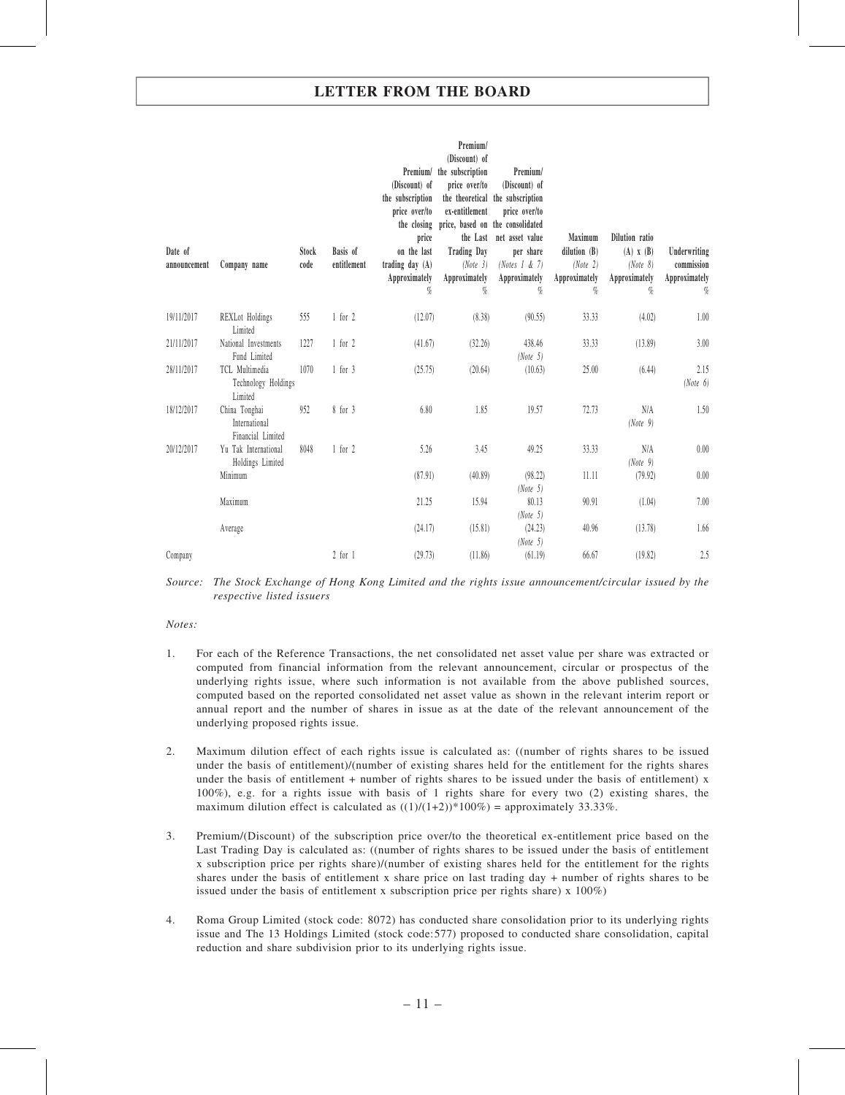| Date of<br>announcement | Company name                                        | Stock<br>code | Basis of<br>entitlement | (Discount) of<br>the subscription<br>price over/to<br>the closing<br>price<br>on the last<br>trading day $(A)$<br>Approximately<br>$\%$ | Premium/<br>(Discount) of<br>Premium/ the subscription<br>price over/to<br>ex-entitlement<br>price, based on the consolidated<br><b>Trading Day</b><br>(Note 3)<br>Approximately<br>$q_{\!\scriptscriptstyle 0}$ | Premium/<br>(Discount) of<br>the theoretical the subscription<br>price over/to<br>the Last net asset value<br>per share<br>(Notes $1 \& 7$ )<br>Approximately<br>$\%$ | Maximum<br>dilution $(B)$<br>(Note 2)<br>Approximately<br>$\%$ | Dilution ratio<br>$(A)$ $X$ $(B)$<br>(Note 8)<br>Approximately<br>% | Underwriting<br>commission<br>Approximately<br>$\%$ |
|-------------------------|-----------------------------------------------------|---------------|-------------------------|-----------------------------------------------------------------------------------------------------------------------------------------|------------------------------------------------------------------------------------------------------------------------------------------------------------------------------------------------------------------|-----------------------------------------------------------------------------------------------------------------------------------------------------------------------|----------------------------------------------------------------|---------------------------------------------------------------------|-----------------------------------------------------|
| 19/11/2017              | <b>REXLot</b> Holdings<br>Limited                   | 555           | $1$ for $2$             | (12.07)                                                                                                                                 | (8.38)                                                                                                                                                                                                           | (90.55)                                                                                                                                                               | 33.33                                                          | (4.02)                                                              | 1.00                                                |
| 21/11/2017              | National Investments<br>Fund Limited                | 1227          | $1$ for $2$             | (41.67)                                                                                                                                 | (32.26)                                                                                                                                                                                                          | 438.46<br>(Note 5)                                                                                                                                                    | 33.33                                                          | (13.89)                                                             | 3.00                                                |
| 28/11/2017              | TCL Multimedia<br>Technology Holdings<br>Limited    | 1070          | $1$ for $3$             | (25.75)                                                                                                                                 | (20.64)                                                                                                                                                                                                          | (10.63)                                                                                                                                                               | 25.00                                                          | (6.44)                                                              | 2.15<br>(Note 6)                                    |
| 18/12/2017              | China Tonghai<br>International<br>Financial Limited | 952           | 8 for 3                 | 6.80                                                                                                                                    | 1.85                                                                                                                                                                                                             | 19.57                                                                                                                                                                 | 72.73                                                          | N/A<br>(Note 9)                                                     | 1.50                                                |
| 20/12/2017              | Yu Tak International<br>Holdings Limited            | 8048          | $1$ for $2$             | 5.26                                                                                                                                    | 3.45                                                                                                                                                                                                             | 49.25                                                                                                                                                                 | 33.33                                                          | N/A<br>(Note 9)                                                     | 0.00                                                |
|                         | Minimum                                             |               |                         | (87.91)                                                                                                                                 | (40.89)                                                                                                                                                                                                          | (98.22)<br>(Note 5)                                                                                                                                                   | 11.11                                                          | (79.92)                                                             | 0.00                                                |
|                         | Maximum                                             |               |                         | 21.25                                                                                                                                   | 15.94                                                                                                                                                                                                            | 80.13<br>(Note 5)                                                                                                                                                     | 90.91                                                          | (1.04)                                                              | 7.00                                                |
|                         | Average                                             |               |                         | (24.17)                                                                                                                                 | (15.81)                                                                                                                                                                                                          | (24.23)<br>(Note 5)                                                                                                                                                   | 40.96                                                          | (13.78)                                                             | 1.66                                                |
| Company                 |                                                     |               | $2$ for $1$             | (29.73)                                                                                                                                 | (11.86)                                                                                                                                                                                                          | (61.19)                                                                                                                                                               | 66.67                                                          | (19.82)                                                             | 2.5                                                 |

Source: The Stock Exchange of Hong Kong Limited and the rights issue announcement/circular issued by the respective listed issuers

#### Notes:

- 1. For each of the Reference Transactions, the net consolidated net asset value per share was extracted or computed from financial information from the relevant announcement, circular or prospectus of the underlying rights issue, where such information is not available from the above published sources, computed based on the reported consolidated net asset value as shown in the relevant interim report or annual report and the number of shares in issue as at the date of the relevant announcement of the underlying proposed rights issue.
- 2. Maximum dilution effect of each rights issue is calculated as: ((number of rights shares to be issued under the basis of entitlement)/(number of existing shares held for the entitlement for the rights shares under the basis of entitlement + number of rights shares to be issued under the basis of entitlement) x 100%), e.g. for a rights issue with basis of 1 rights share for every two (2) existing shares, the maximum dilution effect is calculated as  $((1)/(1+2))$ \*100%) = approximately 33.33%.
- 3. Premium/(Discount) of the subscription price over/to the theoretical ex-entitlement price based on the Last Trading Day is calculated as: ((number of rights shares to be issued under the basis of entitlement x subscription price per rights share)/(number of existing shares held for the entitlement for the rights shares under the basis of entitlement x share price on last trading day + number of rights shares to be issued under the basis of entitlement x subscription price per rights share) x 100%)
- 4. Roma Group Limited (stock code: 8072) has conducted share consolidation prior to its underlying rights issue and The 13 Holdings Limited (stock code:577) proposed to conducted share consolidation, capital reduction and share subdivision prior to its underlying rights issue.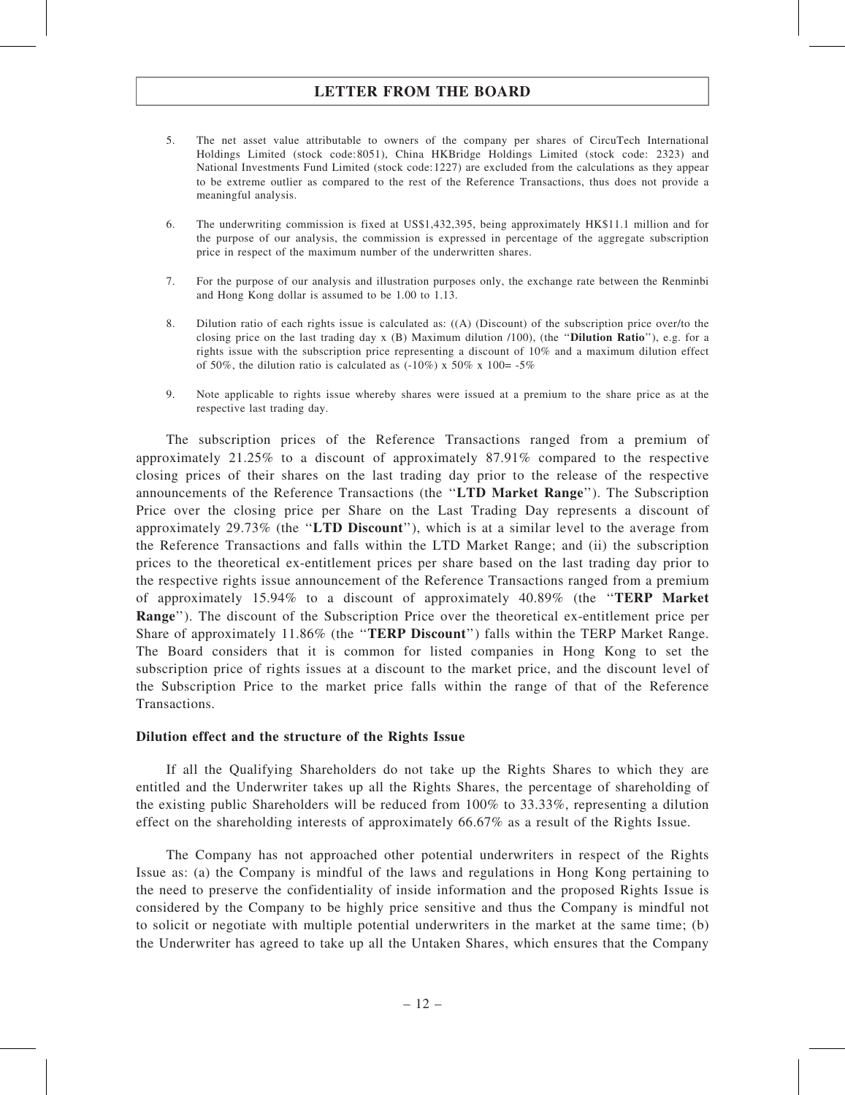- 5. The net asset value attributable to owners of the company per shares of CircuTech International Holdings Limited (stock code:8051), China HKBridge Holdings Limited (stock code: 2323) and National Investments Fund Limited (stock code:1227) are excluded from the calculations as they appear to be extreme outlier as compared to the rest of the Reference Transactions, thus does not provide a meaningful analysis.
- 6. The underwriting commission is fixed at US\$1,432,395, being approximately HK\$11.1 million and for the purpose of our analysis, the commission is expressed in percentage of the aggregate subscription price in respect of the maximum number of the underwritten shares.
- 7. For the purpose of our analysis and illustration purposes only, the exchange rate between the Renminbi and Hong Kong dollar is assumed to be 1.00 to 1.13.
- 8. Dilution ratio of each rights issue is calculated as: ((A) (Discount) of the subscription price over/to the closing price on the last trading day  $x$  (B) Maximum dilution  $/100$ ), (the "**Dilution Ratio**"), e.g. for a rights issue with the subscription price representing a discount of 10% and a maximum dilution effect of 50%, the dilution ratio is calculated as  $(-10\%)$  x 50% x 100= -5%
- 9. Note applicable to rights issue whereby shares were issued at a premium to the share price as at the respective last trading day.

The subscription prices of the Reference Transactions ranged from a premium of approximately 21.25% to a discount of approximately 87.91% compared to the respective closing prices of their shares on the last trading day prior to the release of the respective announcements of the Reference Transactions (the ''LTD Market Range''). The Subscription Price over the closing price per Share on the Last Trading Day represents a discount of approximately 29.73% (the ''LTD Discount''), which is at a similar level to the average from the Reference Transactions and falls within the LTD Market Range; and (ii) the subscription prices to the theoretical ex-entitlement prices per share based on the last trading day prior to the respective rights issue announcement of the Reference Transactions ranged from a premium of approximately 15.94% to a discount of approximately 40.89% (the ''TERP Market Range''). The discount of the Subscription Price over the theoretical ex-entitlement price per Share of approximately 11.86% (the "TERP Discount") falls within the TERP Market Range. The Board considers that it is common for listed companies in Hong Kong to set the subscription price of rights issues at a discount to the market price, and the discount level of the Subscription Price to the market price falls within the range of that of the Reference Transactions.

#### Dilution effect and the structure of the Rights Issue

If all the Qualifying Shareholders do not take up the Rights Shares to which they are entitled and the Underwriter takes up all the Rights Shares, the percentage of shareholding of the existing public Shareholders will be reduced from 100% to 33.33%, representing a dilution effect on the shareholding interests of approximately 66.67% as a result of the Rights Issue.

The Company has not approached other potential underwriters in respect of the Rights Issue as: (a) the Company is mindful of the laws and regulations in Hong Kong pertaining to the need to preserve the confidentiality of inside information and the proposed Rights Issue is considered by the Company to be highly price sensitive and thus the Company is mindful not to solicit or negotiate with multiple potential underwriters in the market at the same time; (b) the Underwriter has agreed to take up all the Untaken Shares, which ensures that the Company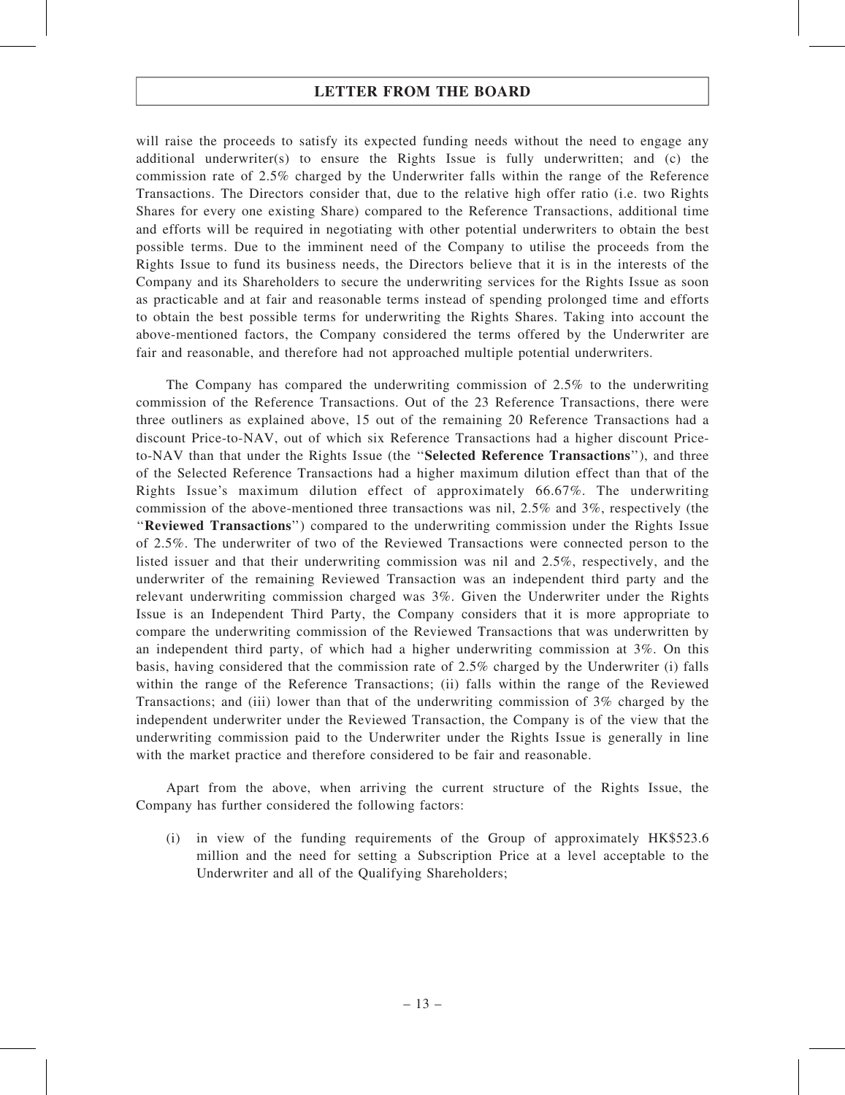will raise the proceeds to satisfy its expected funding needs without the need to engage any additional underwriter(s) to ensure the Rights Issue is fully underwritten; and (c) the commission rate of 2.5% charged by the Underwriter falls within the range of the Reference Transactions. The Directors consider that, due to the relative high offer ratio (i.e. two Rights Shares for every one existing Share) compared to the Reference Transactions, additional time and efforts will be required in negotiating with other potential underwriters to obtain the best possible terms. Due to the imminent need of the Company to utilise the proceeds from the Rights Issue to fund its business needs, the Directors believe that it is in the interests of the Company and its Shareholders to secure the underwriting services for the Rights Issue as soon as practicable and at fair and reasonable terms instead of spending prolonged time and efforts to obtain the best possible terms for underwriting the Rights Shares. Taking into account the above-mentioned factors, the Company considered the terms offered by the Underwriter are fair and reasonable, and therefore had not approached multiple potential underwriters.

The Company has compared the underwriting commission of 2.5% to the underwriting commission of the Reference Transactions. Out of the 23 Reference Transactions, there were three outliners as explained above, 15 out of the remaining 20 Reference Transactions had a discount Price-to-NAV, out of which six Reference Transactions had a higher discount Priceto-NAV than that under the Rights Issue (the ''Selected Reference Transactions''), and three of the Selected Reference Transactions had a higher maximum dilution effect than that of the Rights Issue's maximum dilution effect of approximately 66.67%. The underwriting commission of the above-mentioned three transactions was nil, 2.5% and 3%, respectively (the ''Reviewed Transactions'') compared to the underwriting commission under the Rights Issue of 2.5%. The underwriter of two of the Reviewed Transactions were connected person to the listed issuer and that their underwriting commission was nil and 2.5%, respectively, and the underwriter of the remaining Reviewed Transaction was an independent third party and the relevant underwriting commission charged was 3%. Given the Underwriter under the Rights Issue is an Independent Third Party, the Company considers that it is more appropriate to compare the underwriting commission of the Reviewed Transactions that was underwritten by an independent third party, of which had a higher underwriting commission at 3%. On this basis, having considered that the commission rate of 2.5% charged by the Underwriter (i) falls within the range of the Reference Transactions; (ii) falls within the range of the Reviewed Transactions; and (iii) lower than that of the underwriting commission of 3% charged by the independent underwriter under the Reviewed Transaction, the Company is of the view that the underwriting commission paid to the Underwriter under the Rights Issue is generally in line with the market practice and therefore considered to be fair and reasonable.

Apart from the above, when arriving the current structure of the Rights Issue, the Company has further considered the following factors:

(i) in view of the funding requirements of the Group of approximately HK\$523.6 million and the need for setting a Subscription Price at a level acceptable to the Underwriter and all of the Qualifying Shareholders;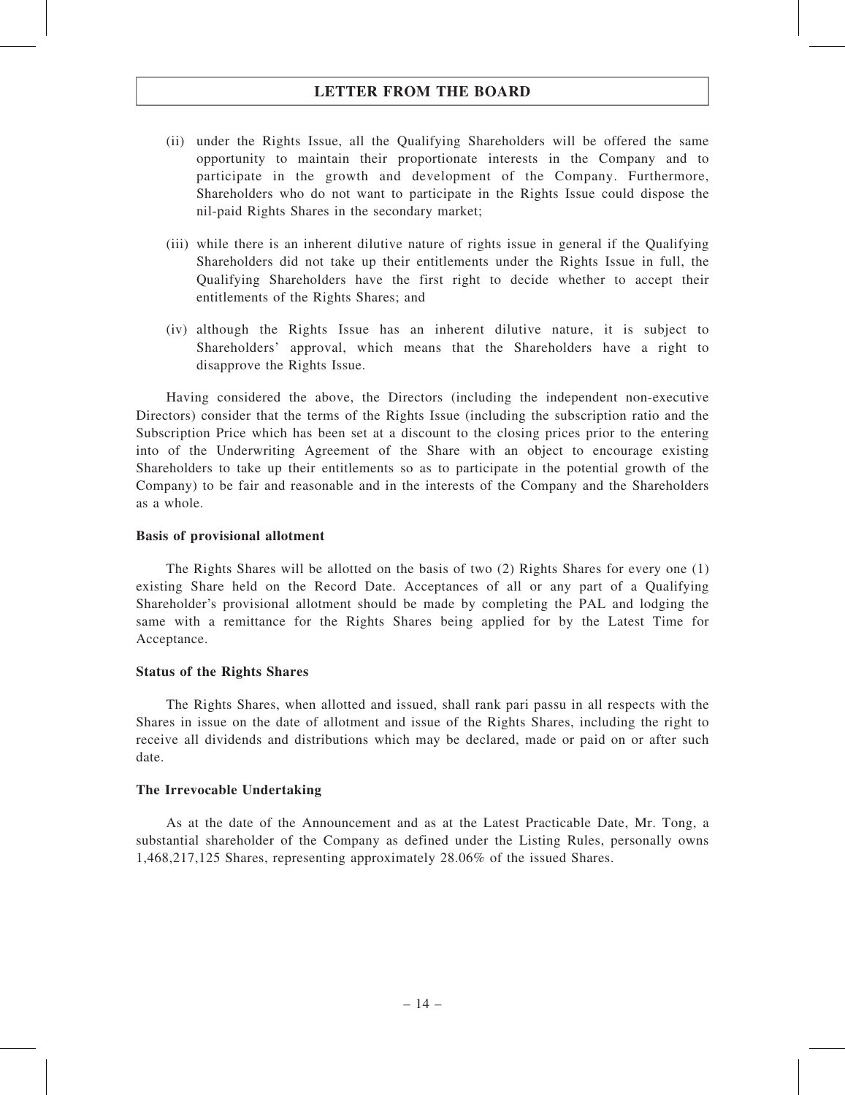- (ii) under the Rights Issue, all the Qualifying Shareholders will be offered the same opportunity to maintain their proportionate interests in the Company and to participate in the growth and development of the Company. Furthermore, Shareholders who do not want to participate in the Rights Issue could dispose the nil-paid Rights Shares in the secondary market;
- (iii) while there is an inherent dilutive nature of rights issue in general if the Qualifying Shareholders did not take up their entitlements under the Rights Issue in full, the Qualifying Shareholders have the first right to decide whether to accept their entitlements of the Rights Shares; and
- (iv) although the Rights Issue has an inherent dilutive nature, it is subject to Shareholders' approval, which means that the Shareholders have a right to disapprove the Rights Issue.

Having considered the above, the Directors (including the independent non-executive Directors) consider that the terms of the Rights Issue (including the subscription ratio and the Subscription Price which has been set at a discount to the closing prices prior to the entering into of the Underwriting Agreement of the Share with an object to encourage existing Shareholders to take up their entitlements so as to participate in the potential growth of the Company) to be fair and reasonable and in the interests of the Company and the Shareholders as a whole.

#### Basis of provisional allotment

The Rights Shares will be allotted on the basis of two (2) Rights Shares for every one (1) existing Share held on the Record Date. Acceptances of all or any part of a Qualifying Shareholder's provisional allotment should be made by completing the PAL and lodging the same with a remittance for the Rights Shares being applied for by the Latest Time for Acceptance.

#### Status of the Rights Shares

The Rights Shares, when allotted and issued, shall rank pari passu in all respects with the Shares in issue on the date of allotment and issue of the Rights Shares, including the right to receive all dividends and distributions which may be declared, made or paid on or after such date.

#### The Irrevocable Undertaking

As at the date of the Announcement and as at the Latest Practicable Date, Mr. Tong, a substantial shareholder of the Company as defined under the Listing Rules, personally owns 1,468,217,125 Shares, representing approximately 28.06% of the issued Shares.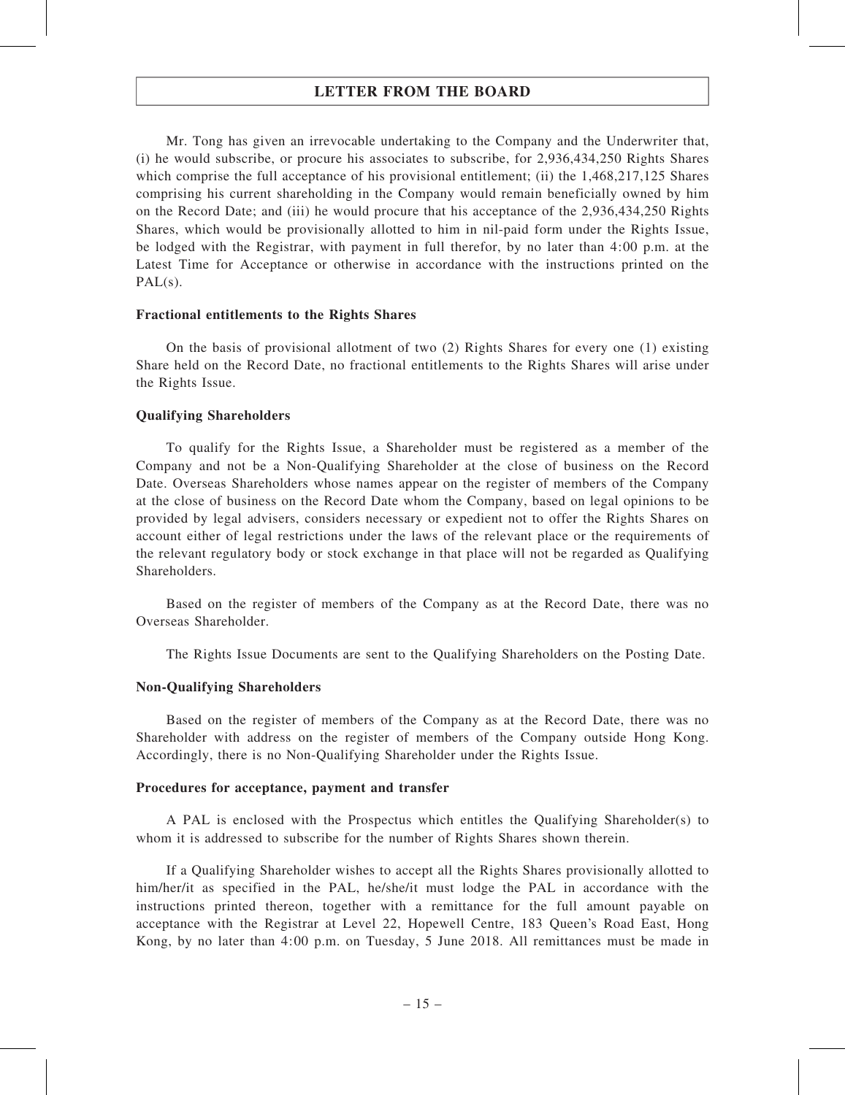Mr. Tong has given an irrevocable undertaking to the Company and the Underwriter that, (i) he would subscribe, or procure his associates to subscribe, for 2,936,434,250 Rights Shares which comprise the full acceptance of his provisional entitlement; (ii) the 1,468,217,125 Shares comprising his current shareholding in the Company would remain beneficially owned by him on the Record Date; and (iii) he would procure that his acceptance of the 2,936,434,250 Rights Shares, which would be provisionally allotted to him in nil-paid form under the Rights Issue, be lodged with the Registrar, with payment in full therefor, by no later than 4:00 p.m. at the Latest Time for Acceptance or otherwise in accordance with the instructions printed on the  $PAL(s)$ .

#### Fractional entitlements to the Rights Shares

On the basis of provisional allotment of two (2) Rights Shares for every one (1) existing Share held on the Record Date, no fractional entitlements to the Rights Shares will arise under the Rights Issue.

#### Qualifying Shareholders

To qualify for the Rights Issue, a Shareholder must be registered as a member of the Company and not be a Non-Qualifying Shareholder at the close of business on the Record Date. Overseas Shareholders whose names appear on the register of members of the Company at the close of business on the Record Date whom the Company, based on legal opinions to be provided by legal advisers, considers necessary or expedient not to offer the Rights Shares on account either of legal restrictions under the laws of the relevant place or the requirements of the relevant regulatory body or stock exchange in that place will not be regarded as Qualifying Shareholders.

Based on the register of members of the Company as at the Record Date, there was no Overseas Shareholder.

The Rights Issue Documents are sent to the Qualifying Shareholders on the Posting Date.

#### Non-Qualifying Shareholders

Based on the register of members of the Company as at the Record Date, there was no Shareholder with address on the register of members of the Company outside Hong Kong. Accordingly, there is no Non-Qualifying Shareholder under the Rights Issue.

#### Procedures for acceptance, payment and transfer

A PAL is enclosed with the Prospectus which entitles the Qualifying Shareholder(s) to whom it is addressed to subscribe for the number of Rights Shares shown therein.

If a Qualifying Shareholder wishes to accept all the Rights Shares provisionally allotted to him/her/it as specified in the PAL, he/she/it must lodge the PAL in accordance with the instructions printed thereon, together with a remittance for the full amount payable on acceptance with the Registrar at Level 22, Hopewell Centre, 183 Queen's Road East, Hong Kong, by no later than 4:00 p.m. on Tuesday, 5 June 2018. All remittances must be made in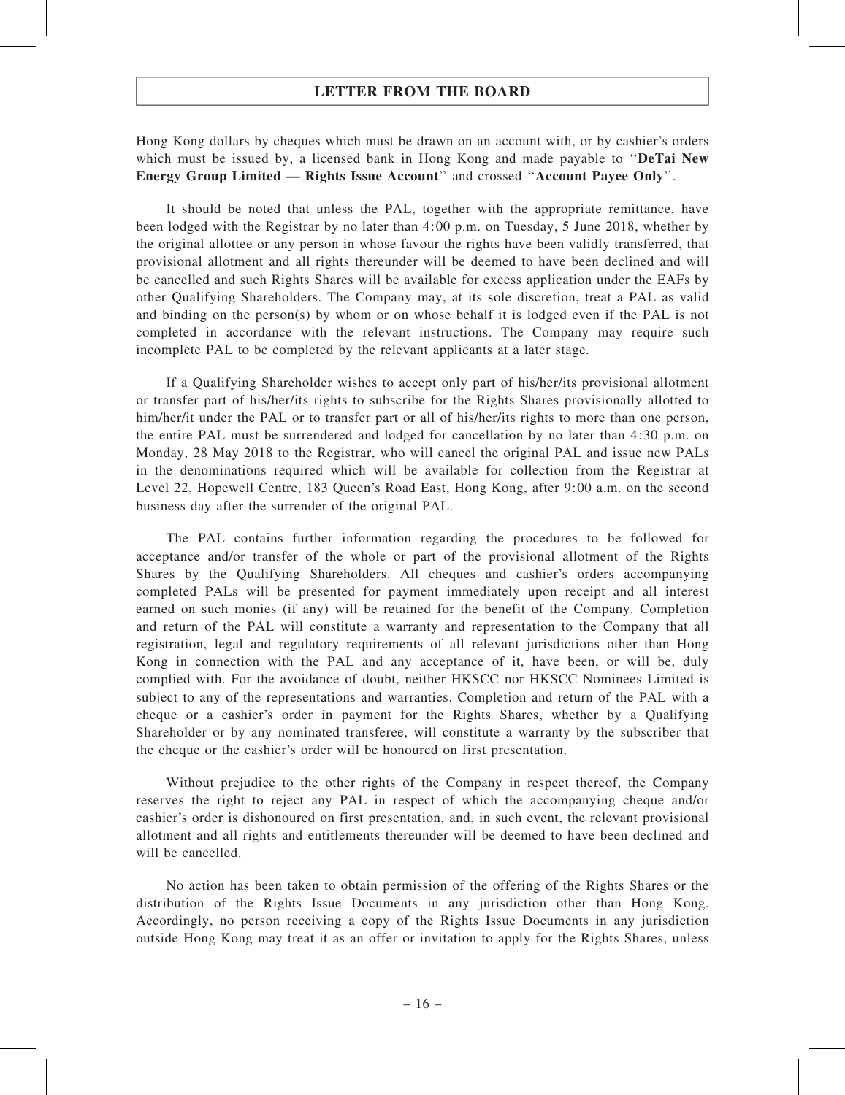Hong Kong dollars by cheques which must be drawn on an account with, or by cashier's orders which must be issued by, a licensed bank in Hong Kong and made payable to "DeTai New Energy Group Limited — Rights Issue Account'' and crossed ''Account Payee Only''.

It should be noted that unless the PAL, together with the appropriate remittance, have been lodged with the Registrar by no later than 4:00 p.m. on Tuesday, 5 June 2018, whether by the original allottee or any person in whose favour the rights have been validly transferred, that provisional allotment and all rights thereunder will be deemed to have been declined and will be cancelled and such Rights Shares will be available for excess application under the EAFs by other Qualifying Shareholders. The Company may, at its sole discretion, treat a PAL as valid and binding on the person(s) by whom or on whose behalf it is lodged even if the PAL is not completed in accordance with the relevant instructions. The Company may require such incomplete PAL to be completed by the relevant applicants at a later stage.

If a Qualifying Shareholder wishes to accept only part of his/her/its provisional allotment or transfer part of his/her/its rights to subscribe for the Rights Shares provisionally allotted to him/her/it under the PAL or to transfer part or all of his/her/its rights to more than one person, the entire PAL must be surrendered and lodged for cancellation by no later than 4:30 p.m. on Monday, 28 May 2018 to the Registrar, who will cancel the original PAL and issue new PALs in the denominations required which will be available for collection from the Registrar at Level 22, Hopewell Centre, 183 Queen's Road East, Hong Kong, after 9:00 a.m. on the second business day after the surrender of the original PAL.

The PAL contains further information regarding the procedures to be followed for acceptance and/or transfer of the whole or part of the provisional allotment of the Rights Shares by the Qualifying Shareholders. All cheques and cashier's orders accompanying completed PALs will be presented for payment immediately upon receipt and all interest earned on such monies (if any) will be retained for the benefit of the Company. Completion and return of the PAL will constitute a warranty and representation to the Company that all registration, legal and regulatory requirements of all relevant jurisdictions other than Hong Kong in connection with the PAL and any acceptance of it, have been, or will be, duly complied with. For the avoidance of doubt, neither HKSCC nor HKSCC Nominees Limited is subject to any of the representations and warranties. Completion and return of the PAL with a cheque or a cashier's order in payment for the Rights Shares, whether by a Qualifying Shareholder or by any nominated transferee, will constitute a warranty by the subscriber that the cheque or the cashier's order will be honoured on first presentation.

Without prejudice to the other rights of the Company in respect thereof, the Company reserves the right to reject any PAL in respect of which the accompanying cheque and/or cashier's order is dishonoured on first presentation, and, in such event, the relevant provisional allotment and all rights and entitlements thereunder will be deemed to have been declined and will be cancelled.

No action has been taken to obtain permission of the offering of the Rights Shares or the distribution of the Rights Issue Documents in any jurisdiction other than Hong Kong. Accordingly, no person receiving a copy of the Rights Issue Documents in any jurisdiction outside Hong Kong may treat it as an offer or invitation to apply for the Rights Shares, unless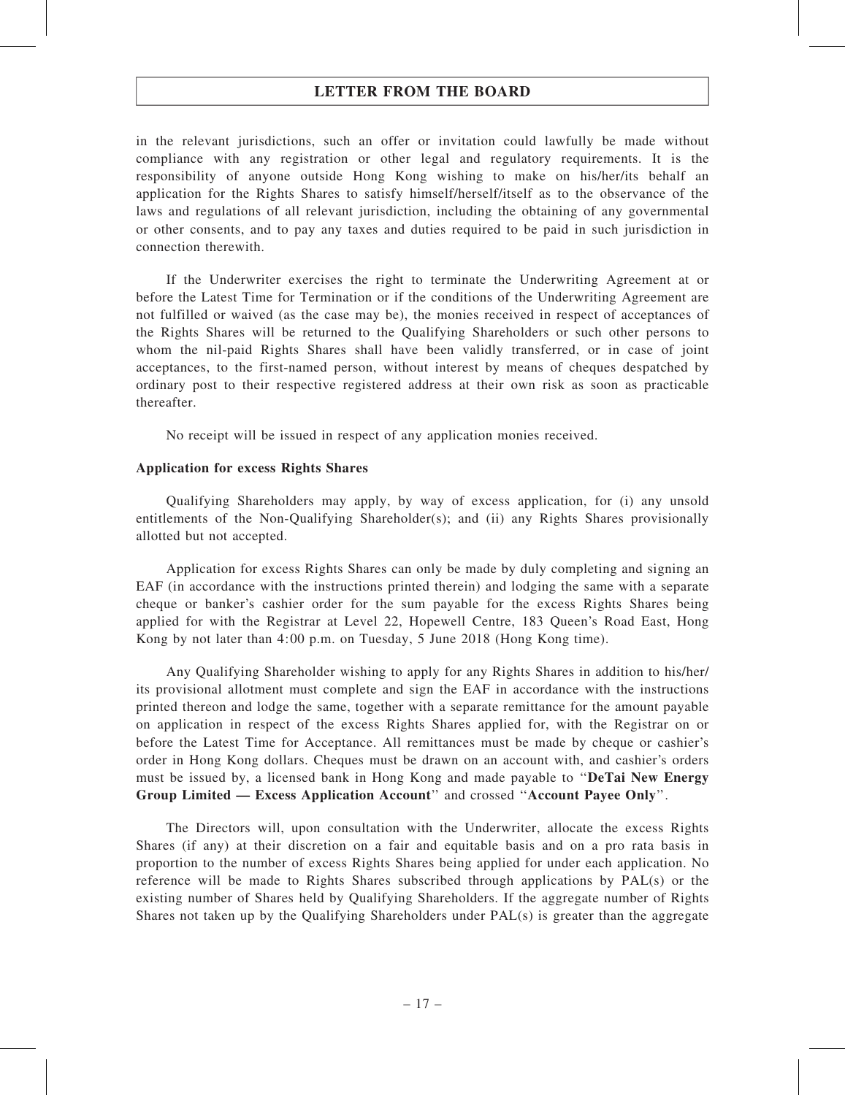in the relevant jurisdictions, such an offer or invitation could lawfully be made without compliance with any registration or other legal and regulatory requirements. It is the responsibility of anyone outside Hong Kong wishing to make on his/her/its behalf an application for the Rights Shares to satisfy himself/herself/itself as to the observance of the laws and regulations of all relevant jurisdiction, including the obtaining of any governmental or other consents, and to pay any taxes and duties required to be paid in such jurisdiction in connection therewith.

If the Underwriter exercises the right to terminate the Underwriting Agreement at or before the Latest Time for Termination or if the conditions of the Underwriting Agreement are not fulfilled or waived (as the case may be), the monies received in respect of acceptances of the Rights Shares will be returned to the Qualifying Shareholders or such other persons to whom the nil-paid Rights Shares shall have been validly transferred, or in case of joint acceptances, to the first-named person, without interest by means of cheques despatched by ordinary post to their respective registered address at their own risk as soon as practicable thereafter.

No receipt will be issued in respect of any application monies received.

#### Application for excess Rights Shares

Qualifying Shareholders may apply, by way of excess application, for (i) any unsold entitlements of the Non-Qualifying Shareholder(s); and (ii) any Rights Shares provisionally allotted but not accepted.

Application for excess Rights Shares can only be made by duly completing and signing an EAF (in accordance with the instructions printed therein) and lodging the same with a separate cheque or banker's cashier order for the sum payable for the excess Rights Shares being applied for with the Registrar at Level 22, Hopewell Centre, 183 Queen's Road East, Hong Kong by not later than 4:00 p.m. on Tuesday, 5 June 2018 (Hong Kong time).

Any Qualifying Shareholder wishing to apply for any Rights Shares in addition to his/her/ its provisional allotment must complete and sign the EAF in accordance with the instructions printed thereon and lodge the same, together with a separate remittance for the amount payable on application in respect of the excess Rights Shares applied for, with the Registrar on or before the Latest Time for Acceptance. All remittances must be made by cheque or cashier's order in Hong Kong dollars. Cheques must be drawn on an account with, and cashier's orders must be issued by, a licensed bank in Hong Kong and made payable to ''DeTai New Energy Group Limited — Excess Application Account'' and crossed ''Account Payee Only''.

The Directors will, upon consultation with the Underwriter, allocate the excess Rights Shares (if any) at their discretion on a fair and equitable basis and on a pro rata basis in proportion to the number of excess Rights Shares being applied for under each application. No reference will be made to Rights Shares subscribed through applications by PAL(s) or the existing number of Shares held by Qualifying Shareholders. If the aggregate number of Rights Shares not taken up by the Qualifying Shareholders under PAL(s) is greater than the aggregate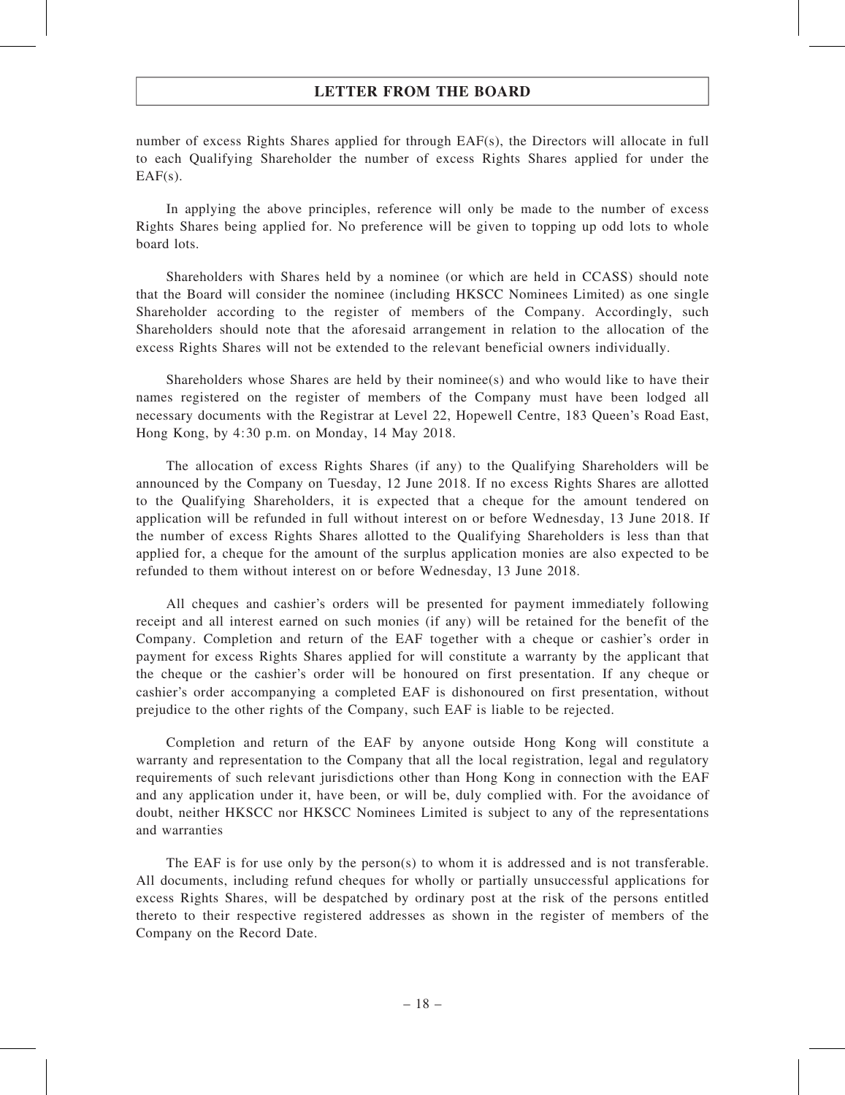number of excess Rights Shares applied for through EAF(s), the Directors will allocate in full to each Qualifying Shareholder the number of excess Rights Shares applied for under the  $EAF(s)$ .

In applying the above principles, reference will only be made to the number of excess Rights Shares being applied for. No preference will be given to topping up odd lots to whole board lots.

Shareholders with Shares held by a nominee (or which are held in CCASS) should note that the Board will consider the nominee (including HKSCC Nominees Limited) as one single Shareholder according to the register of members of the Company. Accordingly, such Shareholders should note that the aforesaid arrangement in relation to the allocation of the excess Rights Shares will not be extended to the relevant beneficial owners individually.

Shareholders whose Shares are held by their nominee(s) and who would like to have their names registered on the register of members of the Company must have been lodged all necessary documents with the Registrar at Level 22, Hopewell Centre, 183 Queen's Road East, Hong Kong, by 4:30 p.m. on Monday, 14 May 2018.

The allocation of excess Rights Shares (if any) to the Qualifying Shareholders will be announced by the Company on Tuesday, 12 June 2018. If no excess Rights Shares are allotted to the Qualifying Shareholders, it is expected that a cheque for the amount tendered on application will be refunded in full without interest on or before Wednesday, 13 June 2018. If the number of excess Rights Shares allotted to the Qualifying Shareholders is less than that applied for, a cheque for the amount of the surplus application monies are also expected to be refunded to them without interest on or before Wednesday, 13 June 2018.

All cheques and cashier's orders will be presented for payment immediately following receipt and all interest earned on such monies (if any) will be retained for the benefit of the Company. Completion and return of the EAF together with a cheque or cashier's order in payment for excess Rights Shares applied for will constitute a warranty by the applicant that the cheque or the cashier's order will be honoured on first presentation. If any cheque or cashier's order accompanying a completed EAF is dishonoured on first presentation, without prejudice to the other rights of the Company, such EAF is liable to be rejected.

Completion and return of the EAF by anyone outside Hong Kong will constitute a warranty and representation to the Company that all the local registration, legal and regulatory requirements of such relevant jurisdictions other than Hong Kong in connection with the EAF and any application under it, have been, or will be, duly complied with. For the avoidance of doubt, neither HKSCC nor HKSCC Nominees Limited is subject to any of the representations and warranties

The EAF is for use only by the person(s) to whom it is addressed and is not transferable. All documents, including refund cheques for wholly or partially unsuccessful applications for excess Rights Shares, will be despatched by ordinary post at the risk of the persons entitled thereto to their respective registered addresses as shown in the register of members of the Company on the Record Date.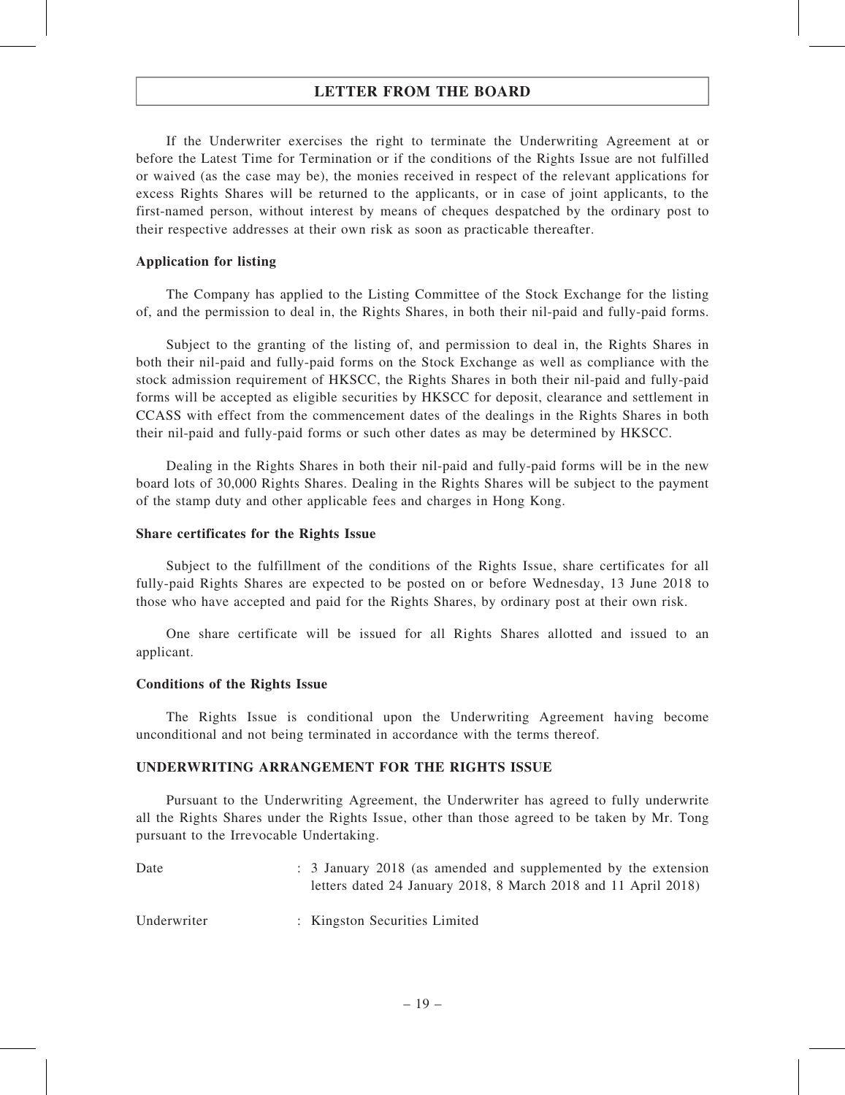If the Underwriter exercises the right to terminate the Underwriting Agreement at or before the Latest Time for Termination or if the conditions of the Rights Issue are not fulfilled or waived (as the case may be), the monies received in respect of the relevant applications for excess Rights Shares will be returned to the applicants, or in case of joint applicants, to the first-named person, without interest by means of cheques despatched by the ordinary post to their respective addresses at their own risk as soon as practicable thereafter.

#### Application for listing

The Company has applied to the Listing Committee of the Stock Exchange for the listing of, and the permission to deal in, the Rights Shares, in both their nil-paid and fully-paid forms.

Subject to the granting of the listing of, and permission to deal in, the Rights Shares in both their nil-paid and fully-paid forms on the Stock Exchange as well as compliance with the stock admission requirement of HKSCC, the Rights Shares in both their nil-paid and fully-paid forms will be accepted as eligible securities by HKSCC for deposit, clearance and settlement in CCASS with effect from the commencement dates of the dealings in the Rights Shares in both their nil-paid and fully-paid forms or such other dates as may be determined by HKSCC.

Dealing in the Rights Shares in both their nil-paid and fully-paid forms will be in the new board lots of 30,000 Rights Shares. Dealing in the Rights Shares will be subject to the payment of the stamp duty and other applicable fees and charges in Hong Kong.

#### Share certificates for the Rights Issue

Subject to the fulfillment of the conditions of the Rights Issue, share certificates for all fully-paid Rights Shares are expected to be posted on or before Wednesday, 13 June 2018 to those who have accepted and paid for the Rights Shares, by ordinary post at their own risk.

One share certificate will be issued for all Rights Shares allotted and issued to an applicant.

#### Conditions of the Rights Issue

The Rights Issue is conditional upon the Underwriting Agreement having become unconditional and not being terminated in accordance with the terms thereof.

#### UNDERWRITING ARRANGEMENT FOR THE RIGHTS ISSUE

Pursuant to the Underwriting Agreement, the Underwriter has agreed to fully underwrite all the Rights Shares under the Rights Issue, other than those agreed to be taken by Mr. Tong pursuant to the Irrevocable Undertaking.

| Date | : 3 January 2018 (as amended and supplemented by the extension |
|------|----------------------------------------------------------------|
|      | letters dated 24 January 2018, 8 March 2018 and 11 April 2018) |
|      |                                                                |

Underwriter : Kingston Securities Limited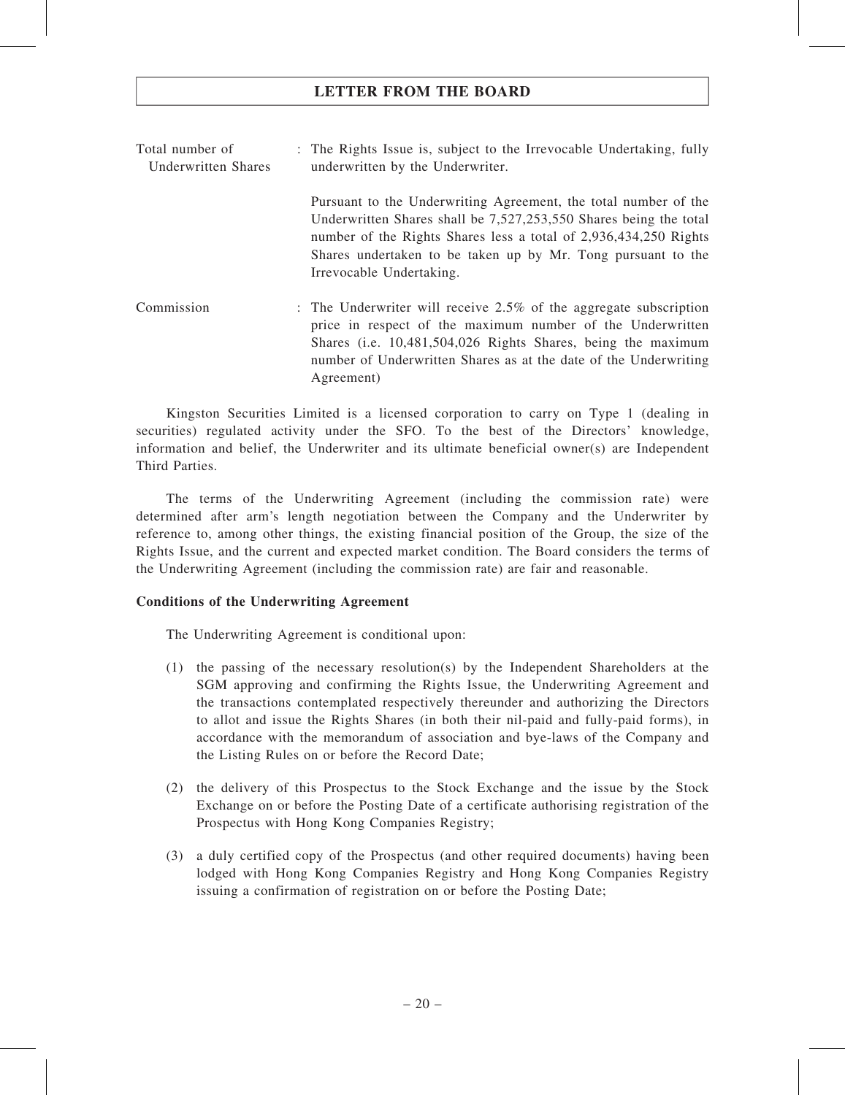Total number of Underwritten Shares : The Rights Issue is, subject to the Irrevocable Undertaking, fully underwritten by the Underwriter. Pursuant to the Underwriting Agreement, the total number of the Underwritten Shares shall be 7,527,253,550 Shares being the total number of the Rights Shares less a total of 2,936,434,250 Rights Shares undertaken to be taken up by Mr. Tong pursuant to the Irrevocable Undertaking. Commission : The Underwriter will receive 2.5% of the aggregate subscription price in respect of the maximum number of the Underwritten Shares (i.e. 10,481,504,026 Rights Shares, being the maximum number of Underwritten Shares as at the date of the Underwriting Agreement)

Kingston Securities Limited is a licensed corporation to carry on Type 1 (dealing in securities) regulated activity under the SFO. To the best of the Directors' knowledge, information and belief, the Underwriter and its ultimate beneficial owner(s) are Independent Third Parties.

The terms of the Underwriting Agreement (including the commission rate) were determined after arm's length negotiation between the Company and the Underwriter by reference to, among other things, the existing financial position of the Group, the size of the Rights Issue, and the current and expected market condition. The Board considers the terms of the Underwriting Agreement (including the commission rate) are fair and reasonable.

#### Conditions of the Underwriting Agreement

The Underwriting Agreement is conditional upon:

- (1) the passing of the necessary resolution(s) by the Independent Shareholders at the SGM approving and confirming the Rights Issue, the Underwriting Agreement and the transactions contemplated respectively thereunder and authorizing the Directors to allot and issue the Rights Shares (in both their nil-paid and fully-paid forms), in accordance with the memorandum of association and bye-laws of the Company and the Listing Rules on or before the Record Date;
- (2) the delivery of this Prospectus to the Stock Exchange and the issue by the Stock Exchange on or before the Posting Date of a certificate authorising registration of the Prospectus with Hong Kong Companies Registry;
- (3) a duly certified copy of the Prospectus (and other required documents) having been lodged with Hong Kong Companies Registry and Hong Kong Companies Registry issuing a confirmation of registration on or before the Posting Date;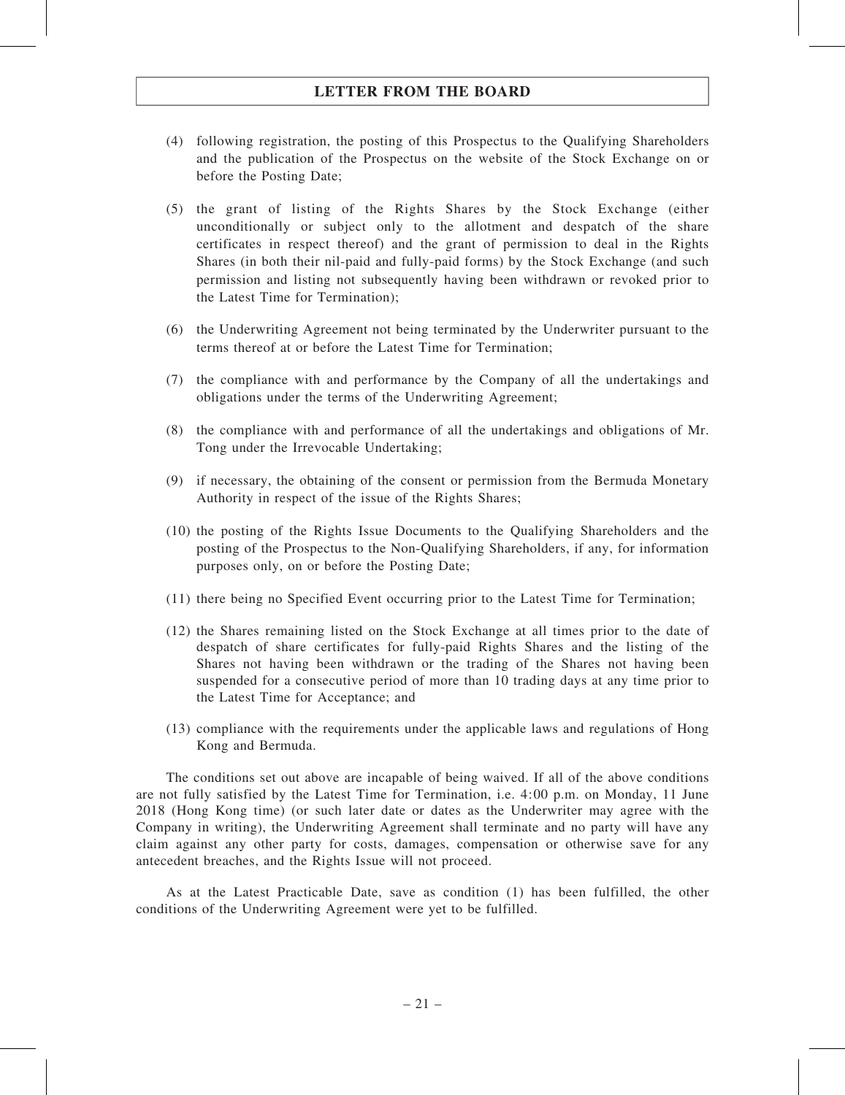- (4) following registration, the posting of this Prospectus to the Qualifying Shareholders and the publication of the Prospectus on the website of the Stock Exchange on or before the Posting Date;
- (5) the grant of listing of the Rights Shares by the Stock Exchange (either unconditionally or subject only to the allotment and despatch of the share certificates in respect thereof) and the grant of permission to deal in the Rights Shares (in both their nil-paid and fully-paid forms) by the Stock Exchange (and such permission and listing not subsequently having been withdrawn or revoked prior to the Latest Time for Termination);
- (6) the Underwriting Agreement not being terminated by the Underwriter pursuant to the terms thereof at or before the Latest Time for Termination;
- (7) the compliance with and performance by the Company of all the undertakings and obligations under the terms of the Underwriting Agreement;
- (8) the compliance with and performance of all the undertakings and obligations of Mr. Tong under the Irrevocable Undertaking;
- (9) if necessary, the obtaining of the consent or permission from the Bermuda Monetary Authority in respect of the issue of the Rights Shares;
- (10) the posting of the Rights Issue Documents to the Qualifying Shareholders and the posting of the Prospectus to the Non-Qualifying Shareholders, if any, for information purposes only, on or before the Posting Date;
- (11) there being no Specified Event occurring prior to the Latest Time for Termination;
- (12) the Shares remaining listed on the Stock Exchange at all times prior to the date of despatch of share certificates for fully-paid Rights Shares and the listing of the Shares not having been withdrawn or the trading of the Shares not having been suspended for a consecutive period of more than 10 trading days at any time prior to the Latest Time for Acceptance; and
- (13) compliance with the requirements under the applicable laws and regulations of Hong Kong and Bermuda.

The conditions set out above are incapable of being waived. If all of the above conditions are not fully satisfied by the Latest Time for Termination, i.e. 4:00 p.m. on Monday, 11 June 2018 (Hong Kong time) (or such later date or dates as the Underwriter may agree with the Company in writing), the Underwriting Agreement shall terminate and no party will have any claim against any other party for costs, damages, compensation or otherwise save for any antecedent breaches, and the Rights Issue will not proceed.

As at the Latest Practicable Date, save as condition (1) has been fulfilled, the other conditions of the Underwriting Agreement were yet to be fulfilled.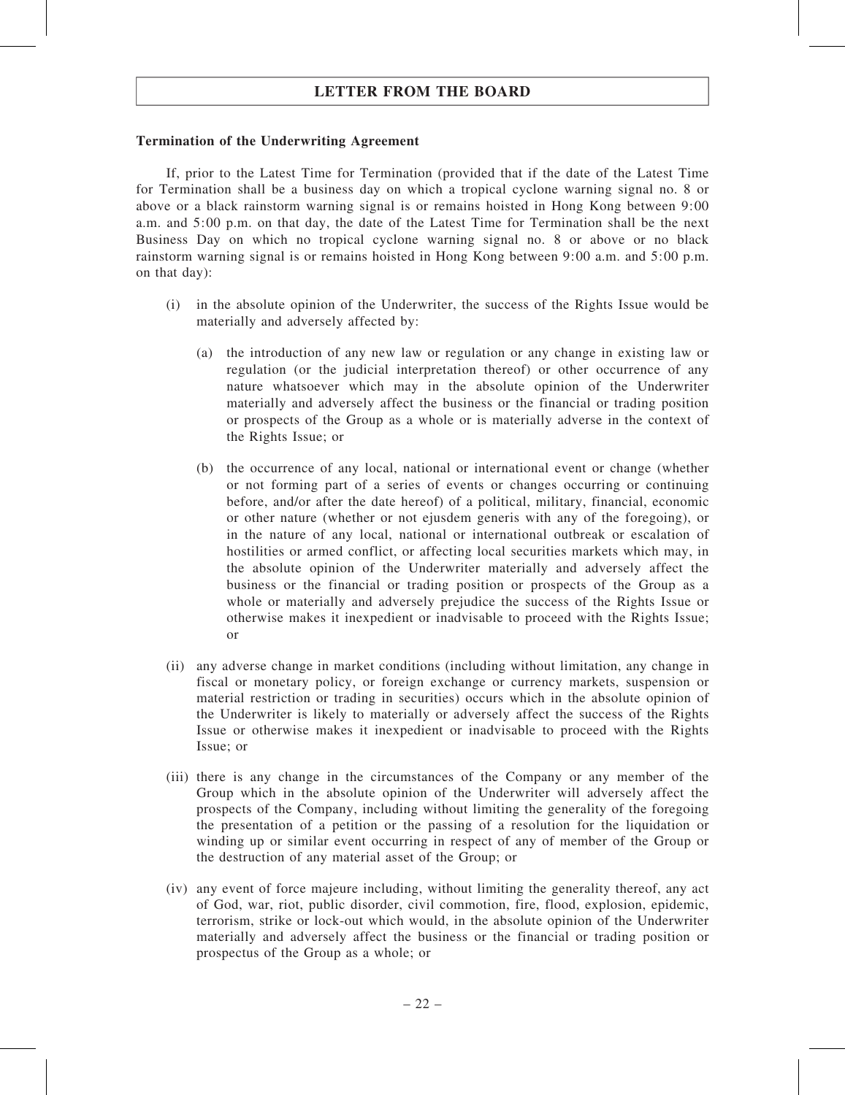#### Termination of the Underwriting Agreement

If, prior to the Latest Time for Termination (provided that if the date of the Latest Time for Termination shall be a business day on which a tropical cyclone warning signal no. 8 or above or a black rainstorm warning signal is or remains hoisted in Hong Kong between 9:00 a.m. and 5:00 p.m. on that day, the date of the Latest Time for Termination shall be the next Business Day on which no tropical cyclone warning signal no. 8 or above or no black rainstorm warning signal is or remains hoisted in Hong Kong between 9:00 a.m. and 5:00 p.m. on that day):

- (i) in the absolute opinion of the Underwriter, the success of the Rights Issue would be materially and adversely affected by:
	- (a) the introduction of any new law or regulation or any change in existing law or regulation (or the judicial interpretation thereof) or other occurrence of any nature whatsoever which may in the absolute opinion of the Underwriter materially and adversely affect the business or the financial or trading position or prospects of the Group as a whole or is materially adverse in the context of the Rights Issue; or
	- (b) the occurrence of any local, national or international event or change (whether or not forming part of a series of events or changes occurring or continuing before, and/or after the date hereof) of a political, military, financial, economic or other nature (whether or not ejusdem generis with any of the foregoing), or in the nature of any local, national or international outbreak or escalation of hostilities or armed conflict, or affecting local securities markets which may, in the absolute opinion of the Underwriter materially and adversely affect the business or the financial or trading position or prospects of the Group as a whole or materially and adversely prejudice the success of the Rights Issue or otherwise makes it inexpedient or inadvisable to proceed with the Rights Issue; or
- (ii) any adverse change in market conditions (including without limitation, any change in fiscal or monetary policy, or foreign exchange or currency markets, suspension or material restriction or trading in securities) occurs which in the absolute opinion of the Underwriter is likely to materially or adversely affect the success of the Rights Issue or otherwise makes it inexpedient or inadvisable to proceed with the Rights Issue; or
- (iii) there is any change in the circumstances of the Company or any member of the Group which in the absolute opinion of the Underwriter will adversely affect the prospects of the Company, including without limiting the generality of the foregoing the presentation of a petition or the passing of a resolution for the liquidation or winding up or similar event occurring in respect of any of member of the Group or the destruction of any material asset of the Group; or
- (iv) any event of force majeure including, without limiting the generality thereof, any act of God, war, riot, public disorder, civil commotion, fire, flood, explosion, epidemic, terrorism, strike or lock-out which would, in the absolute opinion of the Underwriter materially and adversely affect the business or the financial or trading position or prospectus of the Group as a whole; or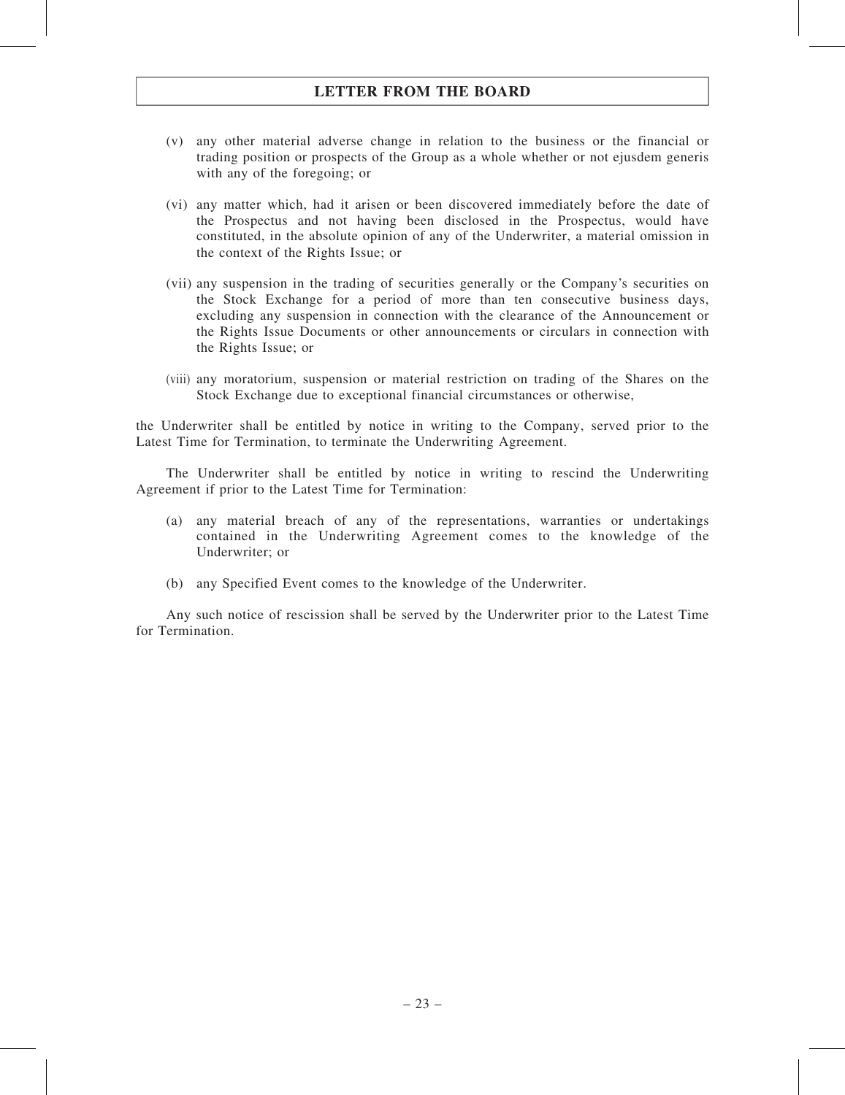- (v) any other material adverse change in relation to the business or the financial or trading position or prospects of the Group as a whole whether or not ejusdem generis with any of the foregoing; or
- (vi) any matter which, had it arisen or been discovered immediately before the date of the Prospectus and not having been disclosed in the Prospectus, would have constituted, in the absolute opinion of any of the Underwriter, a material omission in the context of the Rights Issue; or
- (vii) any suspension in the trading of securities generally or the Company's securities on the Stock Exchange for a period of more than ten consecutive business days, excluding any suspension in connection with the clearance of the Announcement or the Rights Issue Documents or other announcements or circulars in connection with the Rights Issue; or
- (viii) any moratorium, suspension or material restriction on trading of the Shares on the Stock Exchange due to exceptional financial circumstances or otherwise,

the Underwriter shall be entitled by notice in writing to the Company, served prior to the Latest Time for Termination, to terminate the Underwriting Agreement.

The Underwriter shall be entitled by notice in writing to rescind the Underwriting Agreement if prior to the Latest Time for Termination:

- (a) any material breach of any of the representations, warranties or undertakings contained in the Underwriting Agreement comes to the knowledge of the Underwriter; or
- (b) any Specified Event comes to the knowledge of the Underwriter.

Any such notice of rescission shall be served by the Underwriter prior to the Latest Time for Termination.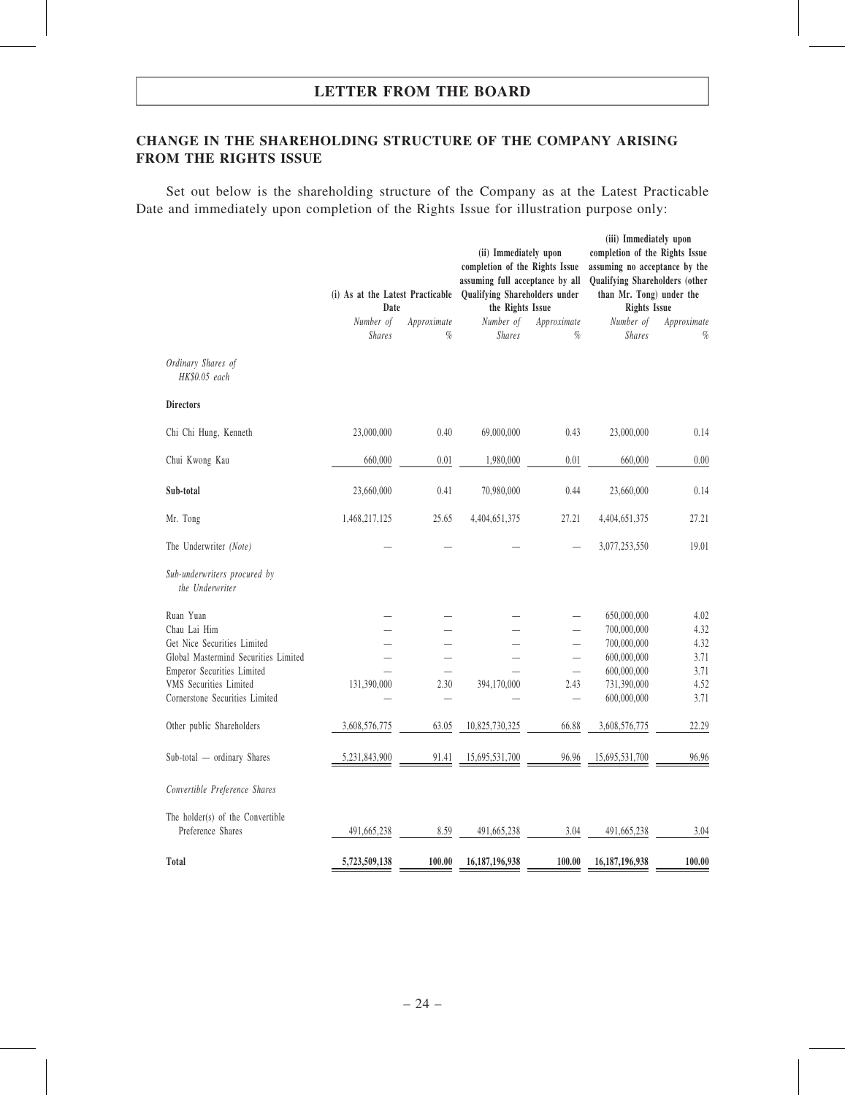### CHANGE IN THE SHAREHOLDING STRUCTURE OF THE COMPANY ARISING FROM THE RIGHTS ISSUE

Set out below is the shareholding structure of the Company as at the Latest Practicable Date and immediately upon completion of the Rights Issue for illustration purpose only:

|                                                             | (i) As at the Latest Practicable<br>Date |                     | (ii) Immediately upon<br>completion of the Rights Issue<br>assuming full acceptance by all<br>Qualifying Shareholders under<br>the Rights Issue |                          | (iii) Immediately upon<br>completion of the Rights Issue<br>assuming no acceptance by the<br>Qualifying Shareholders (other<br>than Mr. Tong) under the<br><b>Rights Issue</b> |                     |  |
|-------------------------------------------------------------|------------------------------------------|---------------------|-------------------------------------------------------------------------------------------------------------------------------------------------|--------------------------|--------------------------------------------------------------------------------------------------------------------------------------------------------------------------------|---------------------|--|
|                                                             | Number of<br><b>Shares</b>               | Approximate<br>$\%$ | Number of<br><b>Shares</b>                                                                                                                      | Approximate<br>$\%$      | Number of<br><b>Shares</b>                                                                                                                                                     | Approximate<br>$\%$ |  |
| Ordinary Shares of<br>HK\$0.05 each                         |                                          |                     |                                                                                                                                                 |                          |                                                                                                                                                                                |                     |  |
| <b>Directors</b>                                            |                                          |                     |                                                                                                                                                 |                          |                                                                                                                                                                                |                     |  |
| Chi Chi Hung, Kenneth                                       | 23,000,000                               | 0.40                | 69,000,000                                                                                                                                      | 0.43                     | 23,000,000                                                                                                                                                                     | 0.14                |  |
| Chui Kwong Kau                                              | 660,000                                  | 0.01                | 1,980,000                                                                                                                                       | 0.01                     | 660,000                                                                                                                                                                        | 0.00                |  |
| Sub-total                                                   | 23,660,000                               | 0.41                | 70,980,000                                                                                                                                      | 0.44                     | 23,660,000                                                                                                                                                                     | 0.14                |  |
| Mr. Tong                                                    | 1,468,217,125                            | 25.65               | 4,404,651,375                                                                                                                                   | 27.21                    | 4,404,651,375                                                                                                                                                                  | 27.21               |  |
| The Underwriter (Note)                                      |                                          |                     |                                                                                                                                                 |                          | 3,077,253,550                                                                                                                                                                  | 19.01               |  |
| Sub-underwriters procured by<br>the Underwriter             |                                          |                     |                                                                                                                                                 |                          |                                                                                                                                                                                |                     |  |
| Ruan Yuan                                                   |                                          |                     |                                                                                                                                                 |                          | 650,000,000                                                                                                                                                                    | 4.02                |  |
| Chau Lai Him                                                |                                          |                     |                                                                                                                                                 |                          | 700,000,000                                                                                                                                                                    | 4.32                |  |
| Get Nice Securities Limited                                 |                                          |                     |                                                                                                                                                 | $\overline{\phantom{0}}$ | 700,000,000                                                                                                                                                                    | 4.32                |  |
| Global Mastermind Securities Limited                        |                                          |                     |                                                                                                                                                 |                          | 600,000,000                                                                                                                                                                    | 3.71                |  |
| Emperor Securities Limited<br><b>VMS</b> Securities Limited |                                          | 2.30                | 394,170,000                                                                                                                                     | $\equiv$<br>2.43         | 600,000,000                                                                                                                                                                    | 3.71<br>4.52        |  |
| Cornerstone Securities Limited                              | 131,390,000                              |                     |                                                                                                                                                 | $\overline{\phantom{0}}$ | 731,390,000<br>600,000,000                                                                                                                                                     | 3.71                |  |
| Other public Shareholders                                   | 3,608,576,775                            | 63.05               | 10,825,730,325                                                                                                                                  | 66.88                    | 3,608,576,775                                                                                                                                                                  | 22.29               |  |
| Sub-total - ordinary Shares                                 | 5,231,843,900                            | 91.41               | 15,695,531,700                                                                                                                                  | 96.96                    | 15,695,531,700                                                                                                                                                                 | 96.96               |  |
| Convertible Preference Shares                               |                                          |                     |                                                                                                                                                 |                          |                                                                                                                                                                                |                     |  |
| The holder(s) of the Convertible<br>Preference Shares       | 491,665,238                              | 8.59                | 491,665,238                                                                                                                                     | 3.04                     | 491,665,238                                                                                                                                                                    | 3.04                |  |
| Total                                                       | 5,723,509,138                            | 100.00              | 16, 187, 196, 938                                                                                                                               | 100.00                   | 16,187,196,938                                                                                                                                                                 | 100.00              |  |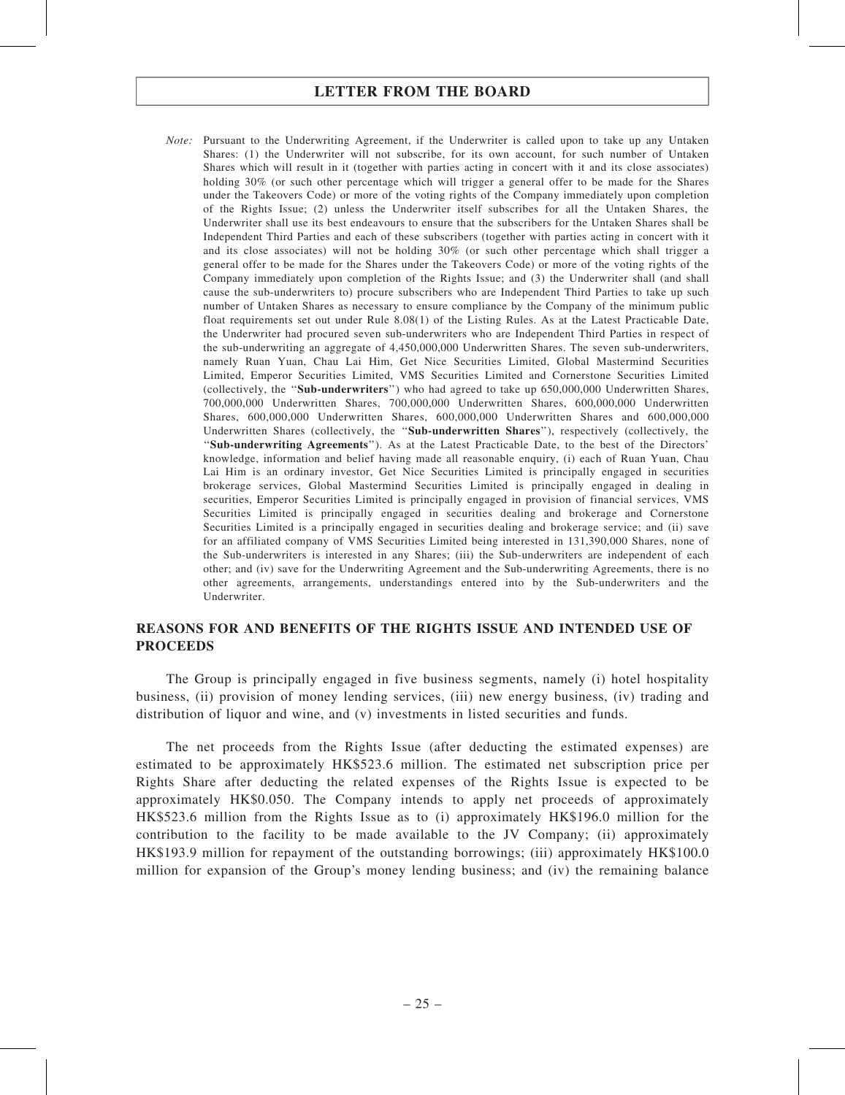Note: Pursuant to the Underwriting Agreement, if the Underwriter is called upon to take up any Untaken Shares: (1) the Underwriter will not subscribe, for its own account, for such number of Untaken Shares which will result in it (together with parties acting in concert with it and its close associates) holding 30% (or such other percentage which will trigger a general offer to be made for the Shares under the Takeovers Code) or more of the voting rights of the Company immediately upon completion of the Rights Issue; (2) unless the Underwriter itself subscribes for all the Untaken Shares, the Underwriter shall use its best endeavours to ensure that the subscribers for the Untaken Shares shall be Independent Third Parties and each of these subscribers (together with parties acting in concert with it and its close associates) will not be holding 30% (or such other percentage which shall trigger a general offer to be made for the Shares under the Takeovers Code) or more of the voting rights of the Company immediately upon completion of the Rights Issue; and (3) the Underwriter shall (and shall cause the sub-underwriters to) procure subscribers who are Independent Third Parties to take up such number of Untaken Shares as necessary to ensure compliance by the Company of the minimum public float requirements set out under Rule 8.08(1) of the Listing Rules. As at the Latest Practicable Date, the Underwriter had procured seven sub-underwriters who are Independent Third Parties in respect of the sub-underwriting an aggregate of 4,450,000,000 Underwritten Shares. The seven sub-underwriters, namely Ruan Yuan, Chau Lai Him, Get Nice Securities Limited, Global Mastermind Securities Limited, Emperor Securities Limited, VMS Securities Limited and Cornerstone Securities Limited (collectively, the ''Sub-underwriters'') who had agreed to take up 650,000,000 Underwritten Shares, 700,000,000 Underwritten Shares, 700,000,000 Underwritten Shares, 600,000,000 Underwritten Shares, 600,000,000 Underwritten Shares, 600,000,000 Underwritten Shares and 600,000,000 Underwritten Shares (collectively, the ''Sub-underwritten Shares''), respectively (collectively, the ''Sub-underwriting Agreements''). As at the Latest Practicable Date, to the best of the Directors' knowledge, information and belief having made all reasonable enquiry, (i) each of Ruan Yuan, Chau Lai Him is an ordinary investor, Get Nice Securities Limited is principally engaged in securities brokerage services, Global Mastermind Securities Limited is principally engaged in dealing in securities, Emperor Securities Limited is principally engaged in provision of financial services, VMS Securities Limited is principally engaged in securities dealing and brokerage and Cornerstone Securities Limited is a principally engaged in securities dealing and brokerage service; and (ii) save for an affiliated company of VMS Securities Limited being interested in 131,390,000 Shares, none of the Sub-underwriters is interested in any Shares; (iii) the Sub-underwriters are independent of each other; and (iv) save for the Underwriting Agreement and the Sub-underwriting Agreements, there is no other agreements, arrangements, understandings entered into by the Sub-underwriters and the Underwriter.

### REASONS FOR AND BENEFITS OF THE RIGHTS ISSUE AND INTENDED USE OF PROCEEDS

The Group is principally engaged in five business segments, namely (i) hotel hospitality business, (ii) provision of money lending services, (iii) new energy business, (iv) trading and distribution of liquor and wine, and (v) investments in listed securities and funds.

The net proceeds from the Rights Issue (after deducting the estimated expenses) are estimated to be approximately HK\$523.6 million. The estimated net subscription price per Rights Share after deducting the related expenses of the Rights Issue is expected to be approximately HK\$0.050. The Company intends to apply net proceeds of approximately HK\$523.6 million from the Rights Issue as to (i) approximately HK\$196.0 million for the contribution to the facility to be made available to the JV Company; (ii) approximately HK\$193.9 million for repayment of the outstanding borrowings; (iii) approximately HK\$100.0 million for expansion of the Group's money lending business; and (iv) the remaining balance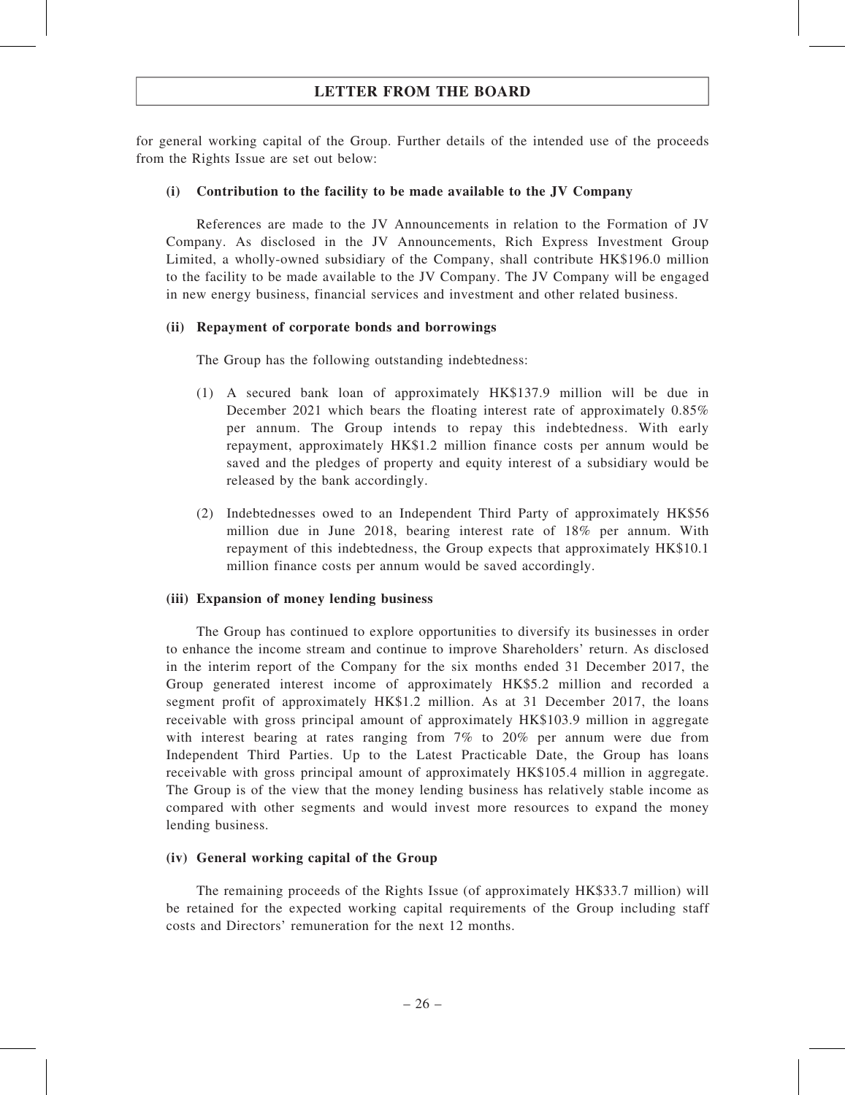for general working capital of the Group. Further details of the intended use of the proceeds from the Rights Issue are set out below:

#### (i) Contribution to the facility to be made available to the JV Company

References are made to the JV Announcements in relation to the Formation of JV Company. As disclosed in the JV Announcements, Rich Express Investment Group Limited, a wholly-owned subsidiary of the Company, shall contribute HK\$196.0 million to the facility to be made available to the JV Company. The JV Company will be engaged in new energy business, financial services and investment and other related business.

#### (ii) Repayment of corporate bonds and borrowings

The Group has the following outstanding indebtedness:

- (1) A secured bank loan of approximately HK\$137.9 million will be due in December 2021 which bears the floating interest rate of approximately 0.85% per annum. The Group intends to repay this indebtedness. With early repayment, approximately HK\$1.2 million finance costs per annum would be saved and the pledges of property and equity interest of a subsidiary would be released by the bank accordingly.
- (2) Indebtednesses owed to an Independent Third Party of approximately HK\$56 million due in June 2018, bearing interest rate of 18% per annum. With repayment of this indebtedness, the Group expects that approximately HK\$10.1 million finance costs per annum would be saved accordingly.

#### (iii) Expansion of money lending business

The Group has continued to explore opportunities to diversify its businesses in order to enhance the income stream and continue to improve Shareholders' return. As disclosed in the interim report of the Company for the six months ended 31 December 2017, the Group generated interest income of approximately HK\$5.2 million and recorded a segment profit of approximately HK\$1.2 million. As at 31 December 2017, the loans receivable with gross principal amount of approximately HK\$103.9 million in aggregate with interest bearing at rates ranging from 7% to 20% per annum were due from Independent Third Parties. Up to the Latest Practicable Date, the Group has loans receivable with gross principal amount of approximately HK\$105.4 million in aggregate. The Group is of the view that the money lending business has relatively stable income as compared with other segments and would invest more resources to expand the money lending business.

#### (iv) General working capital of the Group

The remaining proceeds of the Rights Issue (of approximately HK\$33.7 million) will be retained for the expected working capital requirements of the Group including staff costs and Directors' remuneration for the next 12 months.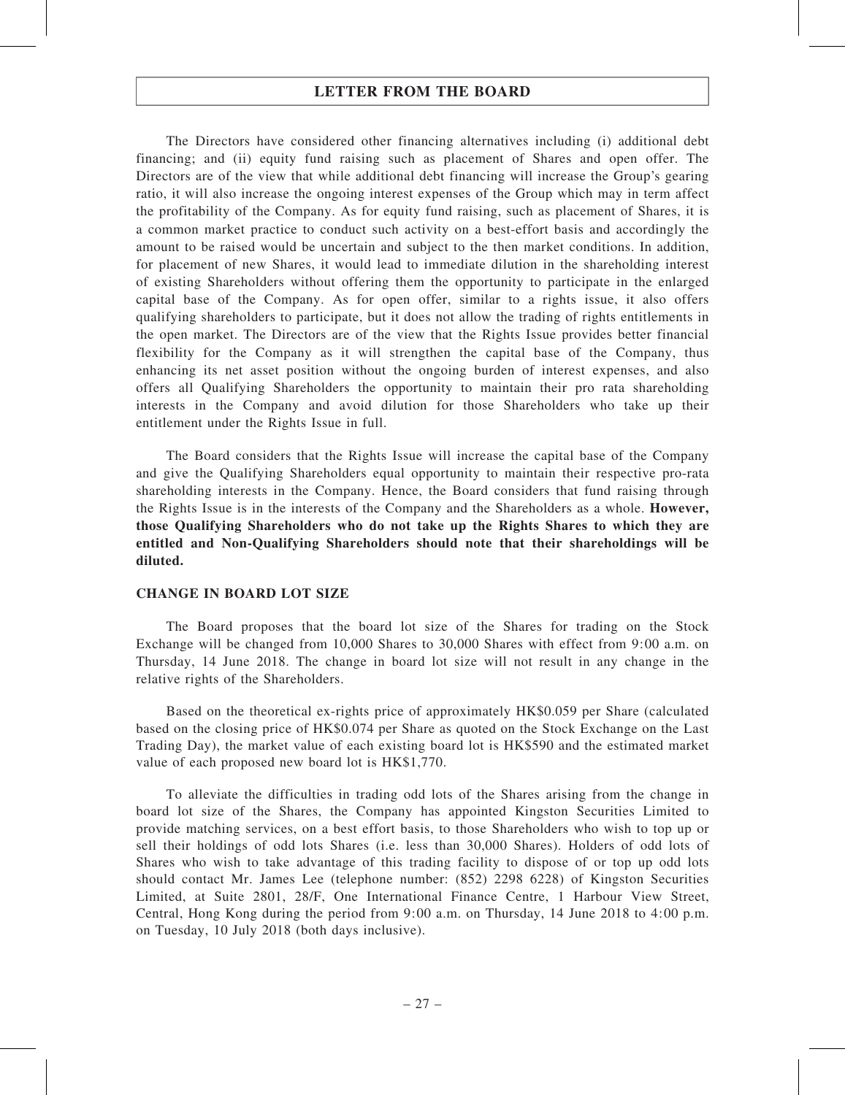The Directors have considered other financing alternatives including (i) additional debt financing; and (ii) equity fund raising such as placement of Shares and open offer. The Directors are of the view that while additional debt financing will increase the Group's gearing ratio, it will also increase the ongoing interest expenses of the Group which may in term affect the profitability of the Company. As for equity fund raising, such as placement of Shares, it is a common market practice to conduct such activity on a best-effort basis and accordingly the amount to be raised would be uncertain and subject to the then market conditions. In addition, for placement of new Shares, it would lead to immediate dilution in the shareholding interest of existing Shareholders without offering them the opportunity to participate in the enlarged capital base of the Company. As for open offer, similar to a rights issue, it also offers qualifying shareholders to participate, but it does not allow the trading of rights entitlements in the open market. The Directors are of the view that the Rights Issue provides better financial flexibility for the Company as it will strengthen the capital base of the Company, thus enhancing its net asset position without the ongoing burden of interest expenses, and also offers all Qualifying Shareholders the opportunity to maintain their pro rata shareholding interests in the Company and avoid dilution for those Shareholders who take up their entitlement under the Rights Issue in full.

The Board considers that the Rights Issue will increase the capital base of the Company and give the Qualifying Shareholders equal opportunity to maintain their respective pro-rata shareholding interests in the Company. Hence, the Board considers that fund raising through the Rights Issue is in the interests of the Company and the Shareholders as a whole. However, those Qualifying Shareholders who do not take up the Rights Shares to which they are entitled and Non-Qualifying Shareholders should note that their shareholdings will be diluted.

#### CHANGE IN BOARD LOT SIZE

The Board proposes that the board lot size of the Shares for trading on the Stock Exchange will be changed from 10,000 Shares to 30,000 Shares with effect from 9:00 a.m. on Thursday, 14 June 2018. The change in board lot size will not result in any change in the relative rights of the Shareholders.

Based on the theoretical ex-rights price of approximately HK\$0.059 per Share (calculated based on the closing price of HK\$0.074 per Share as quoted on the Stock Exchange on the Last Trading Day), the market value of each existing board lot is HK\$590 and the estimated market value of each proposed new board lot is HK\$1,770.

To alleviate the difficulties in trading odd lots of the Shares arising from the change in board lot size of the Shares, the Company has appointed Kingston Securities Limited to provide matching services, on a best effort basis, to those Shareholders who wish to top up or sell their holdings of odd lots Shares (i.e. less than 30,000 Shares). Holders of odd lots of Shares who wish to take advantage of this trading facility to dispose of or top up odd lots should contact Mr. James Lee (telephone number: (852) 2298 6228) of Kingston Securities Limited, at Suite 2801, 28/F, One International Finance Centre, 1 Harbour View Street, Central, Hong Kong during the period from 9:00 a.m. on Thursday, 14 June 2018 to 4:00 p.m. on Tuesday, 10 July 2018 (both days inclusive).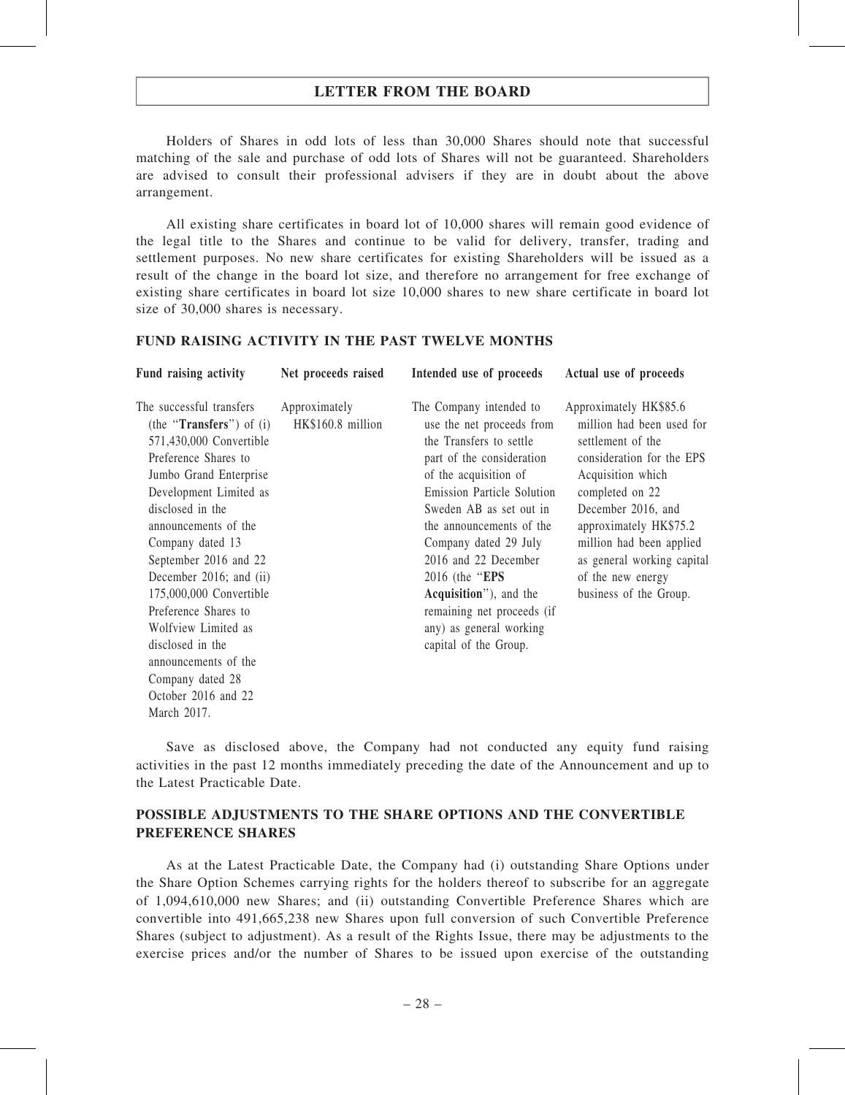Holders of Shares in odd lots of less than 30,000 Shares should note that successful matching of the sale and purchase of odd lots of Shares will not be guaranteed. Shareholders are advised to consult their professional advisers if they are in doubt about the above arrangement.

All existing share certificates in board lot of 10,000 shares will remain good evidence of the legal title to the Shares and continue to be valid for delivery, transfer, trading and settlement purposes. No new share certificates for existing Shareholders will be issued as a result of the change in the board lot size, and therefore no arrangement for free exchange of existing share certificates in board lot size 10,000 shares to new share certificate in board lot size of 30,000 shares is necessary.

#### FUND RAISING ACTIVITY IN THE PAST TWELVE MONTHS

| Fund raising activity                                                                                                                                                                                                                                                                                                                                                                                                                                                      | Net proceeds raised                | Intended use of proceeds                                                                                                                                                                                                                                                                                                                                                                                          | Actual use of proceeds                                                                                                                                                                                                                                                                                 |
|----------------------------------------------------------------------------------------------------------------------------------------------------------------------------------------------------------------------------------------------------------------------------------------------------------------------------------------------------------------------------------------------------------------------------------------------------------------------------|------------------------------------|-------------------------------------------------------------------------------------------------------------------------------------------------------------------------------------------------------------------------------------------------------------------------------------------------------------------------------------------------------------------------------------------------------------------|--------------------------------------------------------------------------------------------------------------------------------------------------------------------------------------------------------------------------------------------------------------------------------------------------------|
| The successful transfers<br>(the " <b>Transfers</b> ") of $(i)$<br>571,430,000 Convertible<br>Preference Shares to<br>Jumbo Grand Enterprise<br>Development Limited as<br>disclosed in the<br>announcements of the<br>Company dated 13<br>September 2016 and 22<br>December 2016; and (ii)<br>175,000,000 Convertible<br>Preference Shares to<br>Wolfview Limited as<br>disclosed in the<br>announcements of the<br>Company dated 28<br>October 2016 and 22<br>March 2017. | Approximately<br>HK\$160.8 million | The Company intended to<br>use the net proceeds from<br>the Transfers to settle<br>part of the consideration<br>of the acquisition of<br>Emission Particle Solution<br>Sweden AB as set out in<br>the announcements of the<br>Company dated 29 July<br>2016 and 22 December<br>2016 (the " <b>EPS</b><br>Acquisition"), and the<br>remaining net proceeds (if<br>any) as general working<br>capital of the Group. | Approximately HK\$85.6<br>million had been used for<br>settlement of the<br>consideration for the EPS<br>Acquisition which<br>completed on 22<br>December 2016, and<br>approximately HK\$75.2<br>million had been applied<br>as general working capital<br>of the new energy<br>business of the Group. |
|                                                                                                                                                                                                                                                                                                                                                                                                                                                                            |                                    |                                                                                                                                                                                                                                                                                                                                                                                                                   |                                                                                                                                                                                                                                                                                                        |

Save as disclosed above, the Company had not conducted any equity fund raising activities in the past 12 months immediately preceding the date of the Announcement and up to the Latest Practicable Date.

### POSSIBLE ADJUSTMENTS TO THE SHARE OPTIONS AND THE CONVERTIBLE PREFERENCE SHARES

As at the Latest Practicable Date, the Company had (i) outstanding Share Options under the Share Option Schemes carrying rights for the holders thereof to subscribe for an aggregate of 1,094,610,000 new Shares; and (ii) outstanding Convertible Preference Shares which are convertible into 491,665,238 new Shares upon full conversion of such Convertible Preference Shares (subject to adjustment). As a result of the Rights Issue, there may be adjustments to the exercise prices and/or the number of Shares to be issued upon exercise of the outstanding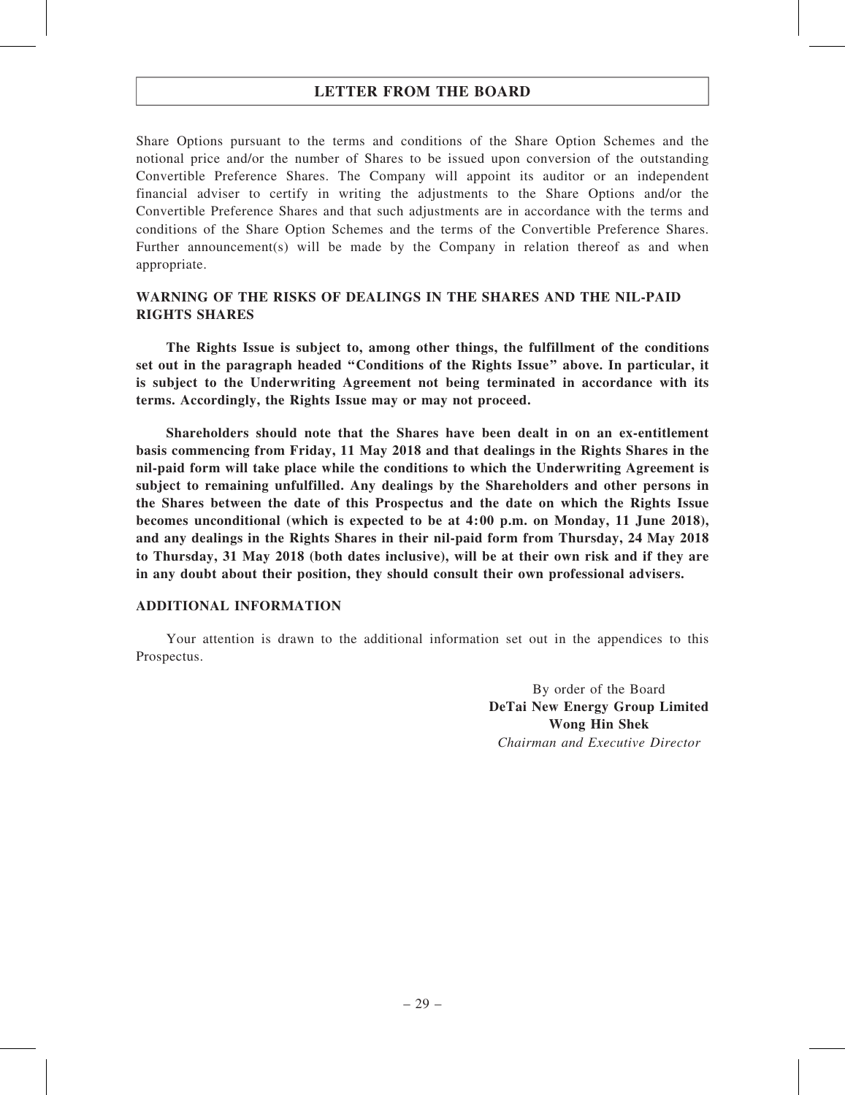Share Options pursuant to the terms and conditions of the Share Option Schemes and the notional price and/or the number of Shares to be issued upon conversion of the outstanding Convertible Preference Shares. The Company will appoint its auditor or an independent financial adviser to certify in writing the adjustments to the Share Options and/or the Convertible Preference Shares and that such adjustments are in accordance with the terms and conditions of the Share Option Schemes and the terms of the Convertible Preference Shares. Further announcement(s) will be made by the Company in relation thereof as and when appropriate.

### WARNING OF THE RISKS OF DEALINGS IN THE SHARES AND THE NIL-PAID RIGHTS SHARES

The Rights Issue is subject to, among other things, the fulfillment of the conditions set out in the paragraph headed ''Conditions of the Rights Issue'' above. In particular, it is subject to the Underwriting Agreement not being terminated in accordance with its terms. Accordingly, the Rights Issue may or may not proceed.

Shareholders should note that the Shares have been dealt in on an ex-entitlement basis commencing from Friday, 11 May 2018 and that dealings in the Rights Shares in the nil-paid form will take place while the conditions to which the Underwriting Agreement is subject to remaining unfulfilled. Any dealings by the Shareholders and other persons in the Shares between the date of this Prospectus and the date on which the Rights Issue becomes unconditional (which is expected to be at 4:00 p.m. on Monday, 11 June 2018), and any dealings in the Rights Shares in their nil-paid form from Thursday, 24 May 2018 to Thursday, 31 May 2018 (both dates inclusive), will be at their own risk and if they are in any doubt about their position, they should consult their own professional advisers.

#### ADDITIONAL INFORMATION

Your attention is drawn to the additional information set out in the appendices to this Prospectus.

> By order of the Board DeTai New Energy Group Limited Wong Hin Shek Chairman and Executive Director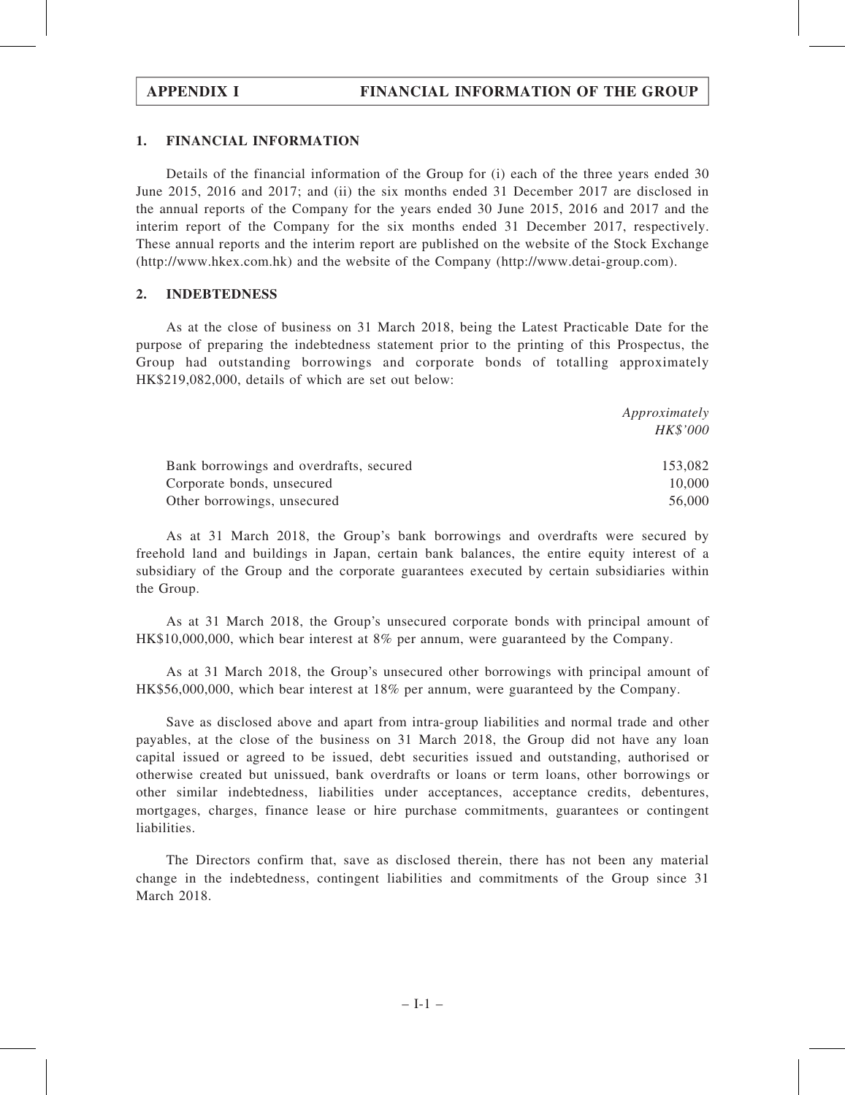#### 1. FINANCIAL INFORMATION

Details of the financial information of the Group for (i) each of the three years ended 30 June 2015, 2016 and 2017; and (ii) the six months ended 31 December 2017 are disclosed in the annual reports of the Company for the years ended 30 June 2015, 2016 and 2017 and the interim report of the Company for the six months ended 31 December 2017, respectively. These annual reports and the interim report are published on the website of the Stock Exchange (http://www.hkex.com.hk) and the website of the Company (http://www.detai-group.com).

#### 2. INDEBTEDNESS

As at the close of business on 31 March 2018, being the Latest Practicable Date for the purpose of preparing the indebtedness statement prior to the printing of this Prospectus, the Group had outstanding borrowings and corporate bonds of totalling approximately HK\$219,082,000, details of which are set out below:

|                                         | Approximately |
|-----------------------------------------|---------------|
|                                         | HK\$'000      |
| Bank borrowings and overdrafts, secured | 153,082       |
| Corporate bonds, unsecured              | 10,000        |
| Other borrowings, unsecured             | 56,000        |

As at 31 March 2018, the Group's bank borrowings and overdrafts were secured by freehold land and buildings in Japan, certain bank balances, the entire equity interest of a subsidiary of the Group and the corporate guarantees executed by certain subsidiaries within the Group.

As at 31 March 2018, the Group's unsecured corporate bonds with principal amount of HK\$10,000,000, which bear interest at 8% per annum, were guaranteed by the Company.

As at 31 March 2018, the Group's unsecured other borrowings with principal amount of HK\$56,000,000, which bear interest at 18% per annum, were guaranteed by the Company.

Save as disclosed above and apart from intra-group liabilities and normal trade and other payables, at the close of the business on 31 March 2018, the Group did not have any loan capital issued or agreed to be issued, debt securities issued and outstanding, authorised or otherwise created but unissued, bank overdrafts or loans or term loans, other borrowings or other similar indebtedness, liabilities under acceptances, acceptance credits, debentures, mortgages, charges, finance lease or hire purchase commitments, guarantees or contingent liabilities.

The Directors confirm that, save as disclosed therein, there has not been any material change in the indebtedness, contingent liabilities and commitments of the Group since 31 March 2018.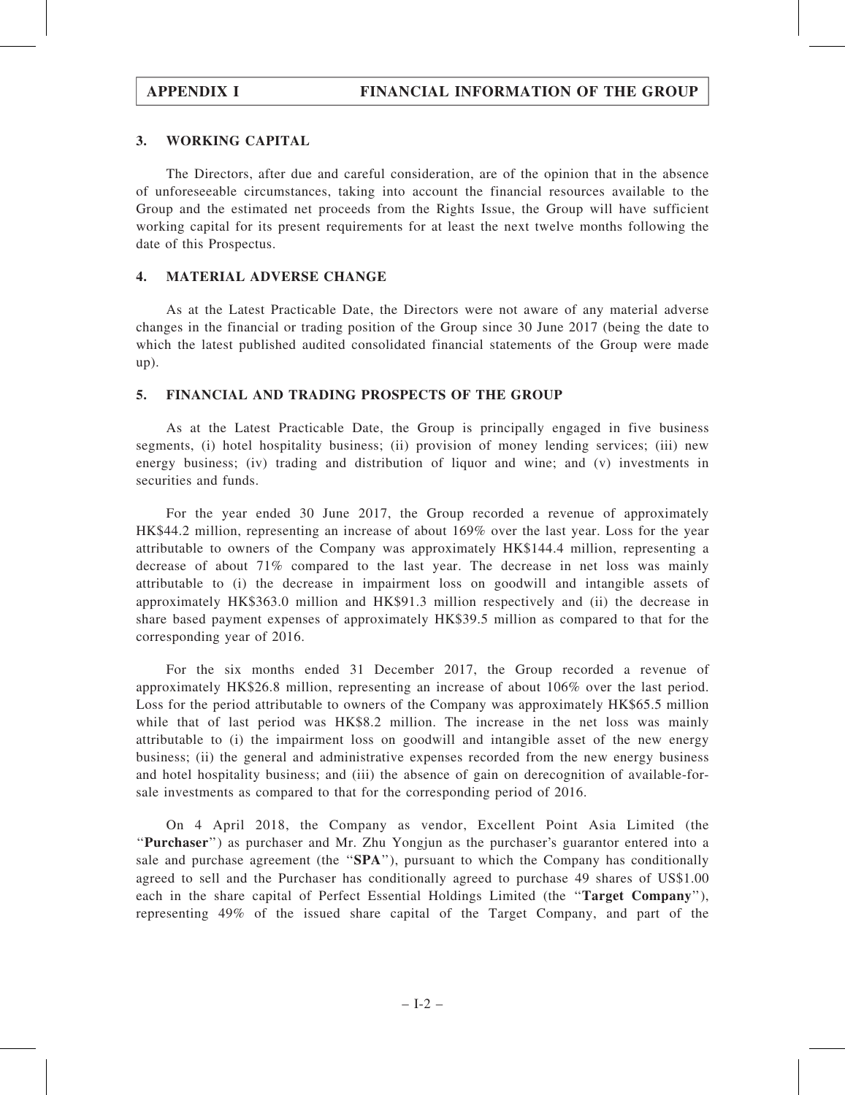### 3. WORKING CAPITAL

The Directors, after due and careful consideration, are of the opinion that in the absence of unforeseeable circumstances, taking into account the financial resources available to the Group and the estimated net proceeds from the Rights Issue, the Group will have sufficient working capital for its present requirements for at least the next twelve months following the date of this Prospectus.

#### 4. MATERIAL ADVERSE CHANGE

As at the Latest Practicable Date, the Directors were not aware of any material adverse changes in the financial or trading position of the Group since 30 June 2017 (being the date to which the latest published audited consolidated financial statements of the Group were made up).

### 5. FINANCIAL AND TRADING PROSPECTS OF THE GROUP

As at the Latest Practicable Date, the Group is principally engaged in five business segments, (i) hotel hospitality business; (ii) provision of money lending services; (iii) new energy business; (iv) trading and distribution of liquor and wine; and (v) investments in securities and funds.

For the year ended 30 June 2017, the Group recorded a revenue of approximately HK\$44.2 million, representing an increase of about 169% over the last year. Loss for the year attributable to owners of the Company was approximately HK\$144.4 million, representing a decrease of about 71% compared to the last year. The decrease in net loss was mainly attributable to (i) the decrease in impairment loss on goodwill and intangible assets of approximately HK\$363.0 million and HK\$91.3 million respectively and (ii) the decrease in share based payment expenses of approximately HK\$39.5 million as compared to that for the corresponding year of 2016.

For the six months ended 31 December 2017, the Group recorded a revenue of approximately HK\$26.8 million, representing an increase of about 106% over the last period. Loss for the period attributable to owners of the Company was approximately HK\$65.5 million while that of last period was HK\$8.2 million. The increase in the net loss was mainly attributable to (i) the impairment loss on goodwill and intangible asset of the new energy business; (ii) the general and administrative expenses recorded from the new energy business and hotel hospitality business; and (iii) the absence of gain on derecognition of available-forsale investments as compared to that for the corresponding period of 2016.

On 4 April 2018, the Company as vendor, Excellent Point Asia Limited (the ''Purchaser'') as purchaser and Mr. Zhu Yongjun as the purchaser's guarantor entered into a sale and purchase agreement (the "SPA"), pursuant to which the Company has conditionally agreed to sell and the Purchaser has conditionally agreed to purchase 49 shares of US\$1.00 each in the share capital of Perfect Essential Holdings Limited (the "Target Company"), representing 49% of the issued share capital of the Target Company, and part of the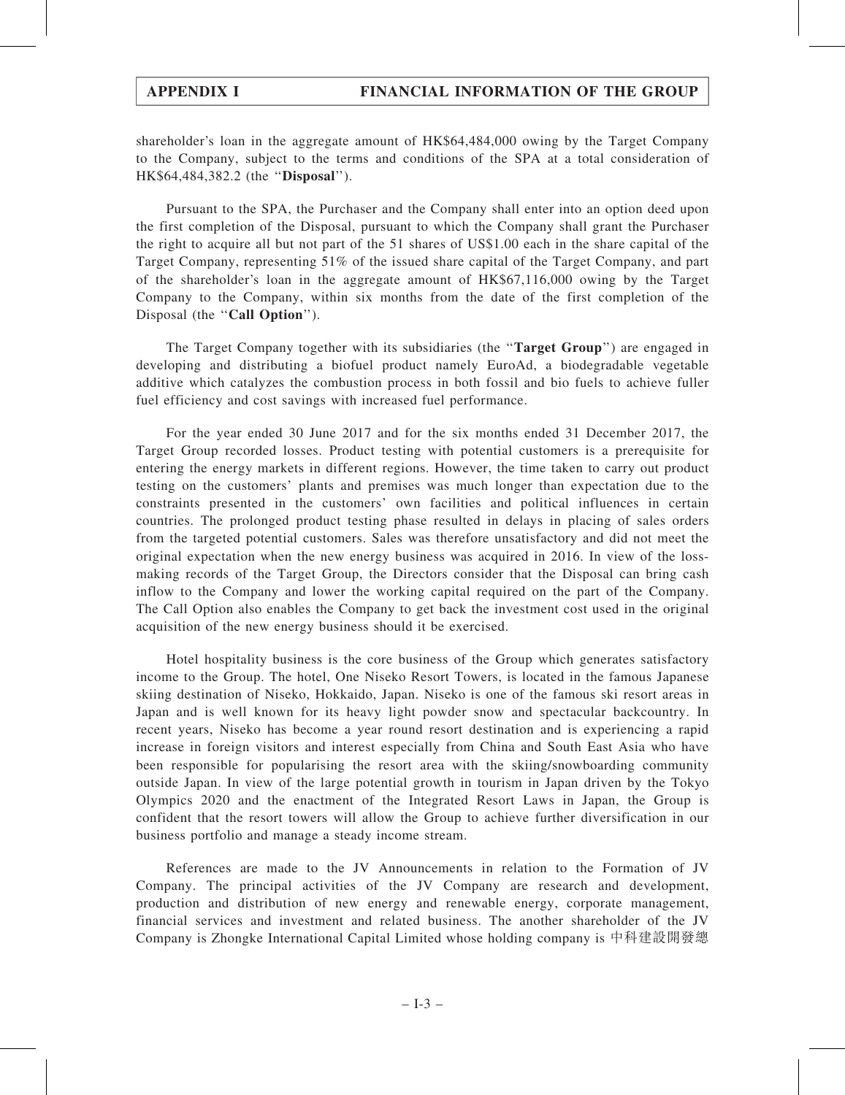shareholder's loan in the aggregate amount of HK\$64,484,000 owing by the Target Company to the Company, subject to the terms and conditions of the SPA at a total consideration of HK\$64,484,382.2 (the "Disposal").

Pursuant to the SPA, the Purchaser and the Company shall enter into an option deed upon the first completion of the Disposal, pursuant to which the Company shall grant the Purchaser the right to acquire all but not part of the 51 shares of US\$1.00 each in the share capital of the Target Company, representing 51% of the issued share capital of the Target Company, and part of the shareholder's loan in the aggregate amount of HK\$67,116,000 owing by the Target Company to the Company, within six months from the date of the first completion of the Disposal (the "Call Option").

The Target Company together with its subsidiaries (the "Target Group") are engaged in developing and distributing a biofuel product namely EuroAd, a biodegradable vegetable additive which catalyzes the combustion process in both fossil and bio fuels to achieve fuller fuel efficiency and cost savings with increased fuel performance.

For the year ended 30 June 2017 and for the six months ended 31 December 2017, the Target Group recorded losses. Product testing with potential customers is a prerequisite for entering the energy markets in different regions. However, the time taken to carry out product testing on the customers' plants and premises was much longer than expectation due to the constraints presented in the customers' own facilities and political influences in certain countries. The prolonged product testing phase resulted in delays in placing of sales orders from the targeted potential customers. Sales was therefore unsatisfactory and did not meet the original expectation when the new energy business was acquired in 2016. In view of the lossmaking records of the Target Group, the Directors consider that the Disposal can bring cash inflow to the Company and lower the working capital required on the part of the Company. The Call Option also enables the Company to get back the investment cost used in the original acquisition of the new energy business should it be exercised.

Hotel hospitality business is the core business of the Group which generates satisfactory income to the Group. The hotel, One Niseko Resort Towers, is located in the famous Japanese skiing destination of Niseko, Hokkaido, Japan. Niseko is one of the famous ski resort areas in Japan and is well known for its heavy light powder snow and spectacular backcountry. In recent years, Niseko has become a year round resort destination and is experiencing a rapid increase in foreign visitors and interest especially from China and South East Asia who have been responsible for popularising the resort area with the skiing/snowboarding community outside Japan. In view of the large potential growth in tourism in Japan driven by the Tokyo Olympics 2020 and the enactment of the Integrated Resort Laws in Japan, the Group is confident that the resort towers will allow the Group to achieve further diversification in our business portfolio and manage a steady income stream.

References are made to the JV Announcements in relation to the Formation of JV Company. The principal activities of the JV Company are research and development, production and distribution of new energy and renewable energy, corporate management, financial services and investment and related business. The another shareholder of the JV Company is Zhongke International Capital Limited whose holding company is 中科建設開發總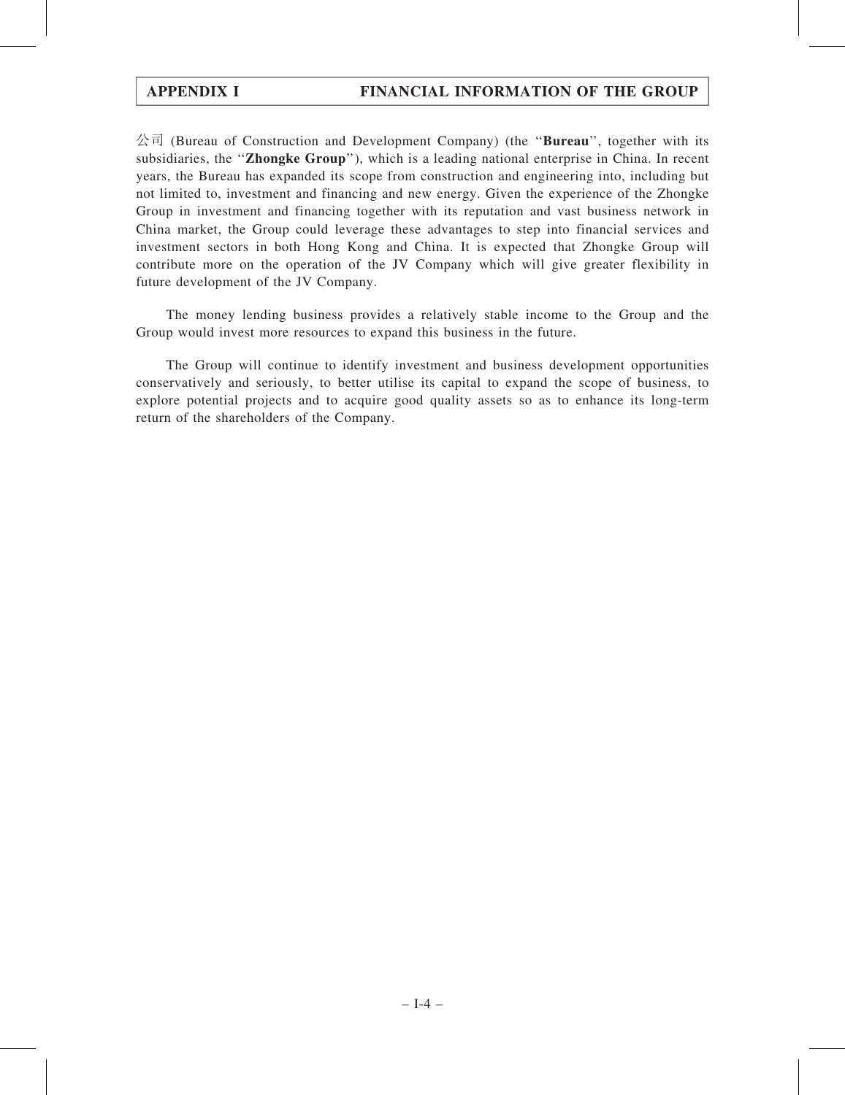$\triangle$ 司 (Bureau of Construction and Development Company) (the "**Bureau**", together with its subsidiaries, the "Zhongke Group"), which is a leading national enterprise in China. In recent years, the Bureau has expanded its scope from construction and engineering into, including but not limited to, investment and financing and new energy. Given the experience of the Zhongke Group in investment and financing together with its reputation and vast business network in China market, the Group could leverage these advantages to step into financial services and investment sectors in both Hong Kong and China. It is expected that Zhongke Group will contribute more on the operation of the JV Company which will give greater flexibility in future development of the JV Company.

The money lending business provides a relatively stable income to the Group and the Group would invest more resources to expand this business in the future.

The Group will continue to identify investment and business development opportunities conservatively and seriously, to better utilise its capital to expand the scope of business, to explore potential projects and to acquire good quality assets so as to enhance its long-term return of the shareholders of the Company.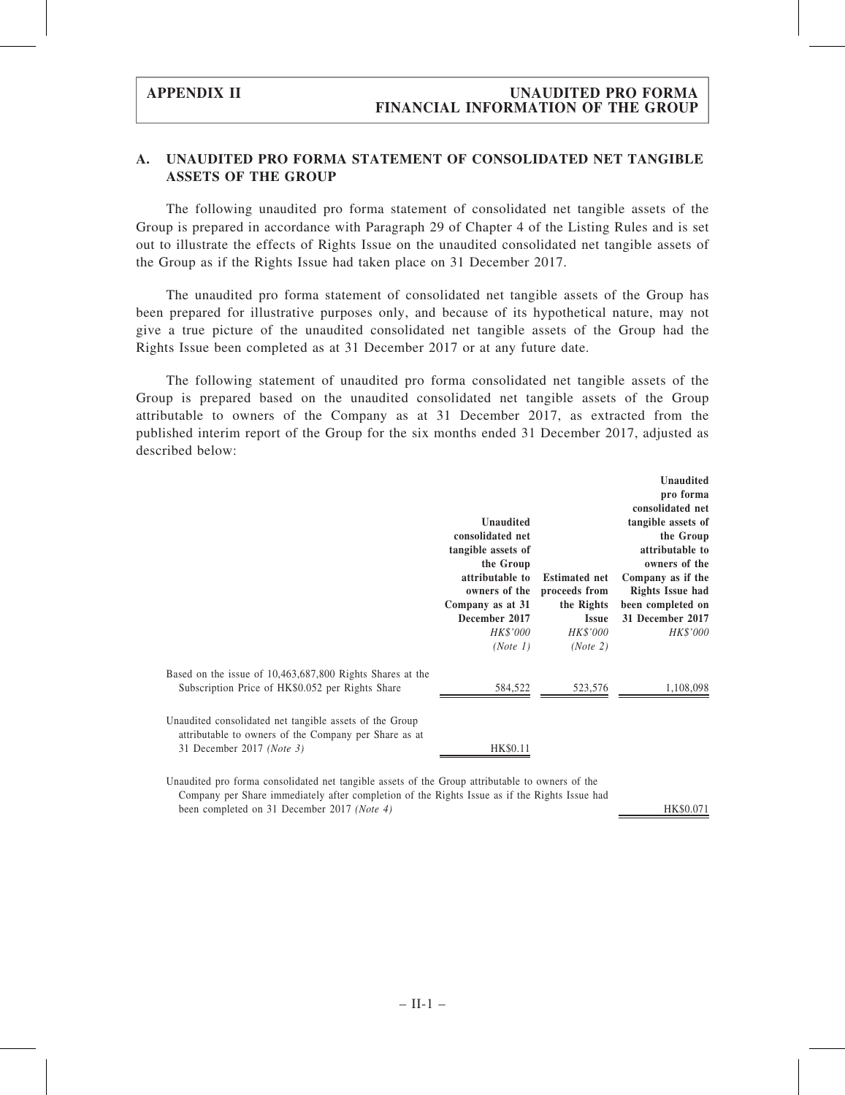### A. UNAUDITED PRO FORMA STATEMENT OF CONSOLIDATED NET TANGIBLE ASSETS OF THE GROUP

The following unaudited pro forma statement of consolidated net tangible assets of the Group is prepared in accordance with Paragraph 29 of Chapter 4 of the Listing Rules and is set out to illustrate the effects of Rights Issue on the unaudited consolidated net tangible assets of the Group as if the Rights Issue had taken place on 31 December 2017.

The unaudited pro forma statement of consolidated net tangible assets of the Group has been prepared for illustrative purposes only, and because of its hypothetical nature, may not give a true picture of the unaudited consolidated net tangible assets of the Group had the Rights Issue been completed as at 31 December 2017 or at any future date.

The following statement of unaudited pro forma consolidated net tangible assets of the Group is prepared based on the unaudited consolidated net tangible assets of the Group attributable to owners of the Company as at 31 December 2017, as extracted from the published interim report of the Group for the six months ended 31 December 2017, adjusted as described below:

|                                                                                                                                               | <b>Unaudited</b><br>consolidated net<br>tangible assets of<br>the Group<br>attributable to<br>owners of the<br>Company as at 31<br>December 2017<br>HK\$'000<br>(Note 1) | <b>Estimated net</b><br>proceeds from<br>the Rights<br><b>Issue</b><br>HK\$'000<br>(Note 2) | <b>Unaudited</b><br>pro forma<br>consolidated net<br>tangible assets of<br>the Group<br>attributable to<br>owners of the<br>Company as if the<br><b>Rights Issue had</b><br>been completed on<br>31 December 2017<br><b>HK\$'000</b> |
|-----------------------------------------------------------------------------------------------------------------------------------------------|--------------------------------------------------------------------------------------------------------------------------------------------------------------------------|---------------------------------------------------------------------------------------------|--------------------------------------------------------------------------------------------------------------------------------------------------------------------------------------------------------------------------------------|
| Based on the issue of 10,463,687,800 Rights Shares at the<br>Subscription Price of HK\$0.052 per Rights Share                                 | 584,522                                                                                                                                                                  | 523,576                                                                                     | 1,108,098                                                                                                                                                                                                                            |
| Unaudited consolidated net tangible assets of the Group<br>attributable to owners of the Company per Share as at<br>31 December 2017 (Note 3) | <b>HK\$0.11</b>                                                                                                                                                          |                                                                                             |                                                                                                                                                                                                                                      |

Unaudited pro forma consolidated net tangible assets of the Group attributable to owners of the Company per Share immediately after completion of the Rights Issue as if the Rights Issue had been completed on 31 December 2017 (Note 4) HK\$0.071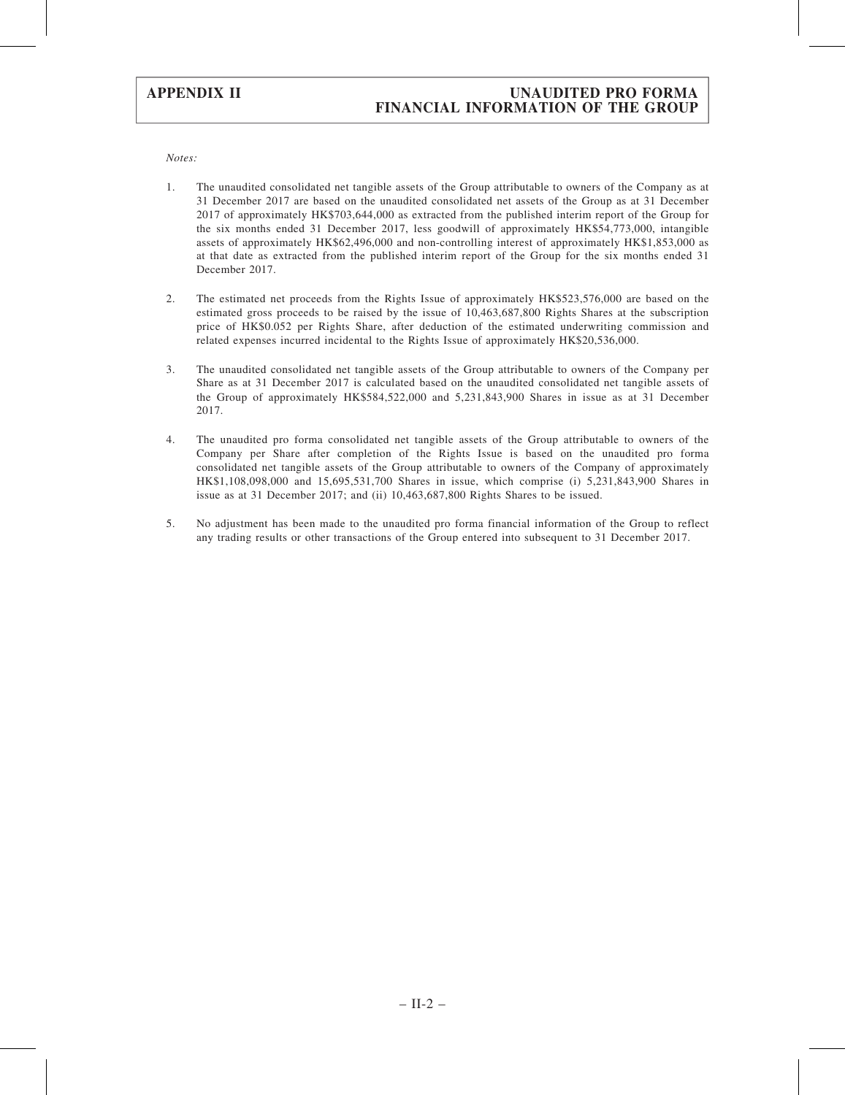### APPENDIX II UNAUDITED PRO FORMA FINANCIAL INFORMATION OF THE GROUP

Notes:

- 1. The unaudited consolidated net tangible assets of the Group attributable to owners of the Company as at 31 December 2017 are based on the unaudited consolidated net assets of the Group as at 31 December 2017 of approximately HK\$703,644,000 as extracted from the published interim report of the Group for the six months ended 31 December 2017, less goodwill of approximately HK\$54,773,000, intangible assets of approximately HK\$62,496,000 and non-controlling interest of approximately HK\$1,853,000 as at that date as extracted from the published interim report of the Group for the six months ended 31 December 2017.
- 2. The estimated net proceeds from the Rights Issue of approximately HK\$523,576,000 are based on the estimated gross proceeds to be raised by the issue of 10,463,687,800 Rights Shares at the subscription price of HK\$0.052 per Rights Share, after deduction of the estimated underwriting commission and related expenses incurred incidental to the Rights Issue of approximately HK\$20,536,000.
- 3. The unaudited consolidated net tangible assets of the Group attributable to owners of the Company per Share as at 31 December 2017 is calculated based on the unaudited consolidated net tangible assets of the Group of approximately HK\$584,522,000 and 5,231,843,900 Shares in issue as at 31 December 2017.
- 4. The unaudited pro forma consolidated net tangible assets of the Group attributable to owners of the Company per Share after completion of the Rights Issue is based on the unaudited pro forma consolidated net tangible assets of the Group attributable to owners of the Company of approximately HK\$1,108,098,000 and 15,695,531,700 Shares in issue, which comprise (i) 5,231,843,900 Shares in issue as at 31 December 2017; and (ii) 10,463,687,800 Rights Shares to be issued.
- 5. No adjustment has been made to the unaudited pro forma financial information of the Group to reflect any trading results or other transactions of the Group entered into subsequent to 31 December 2017.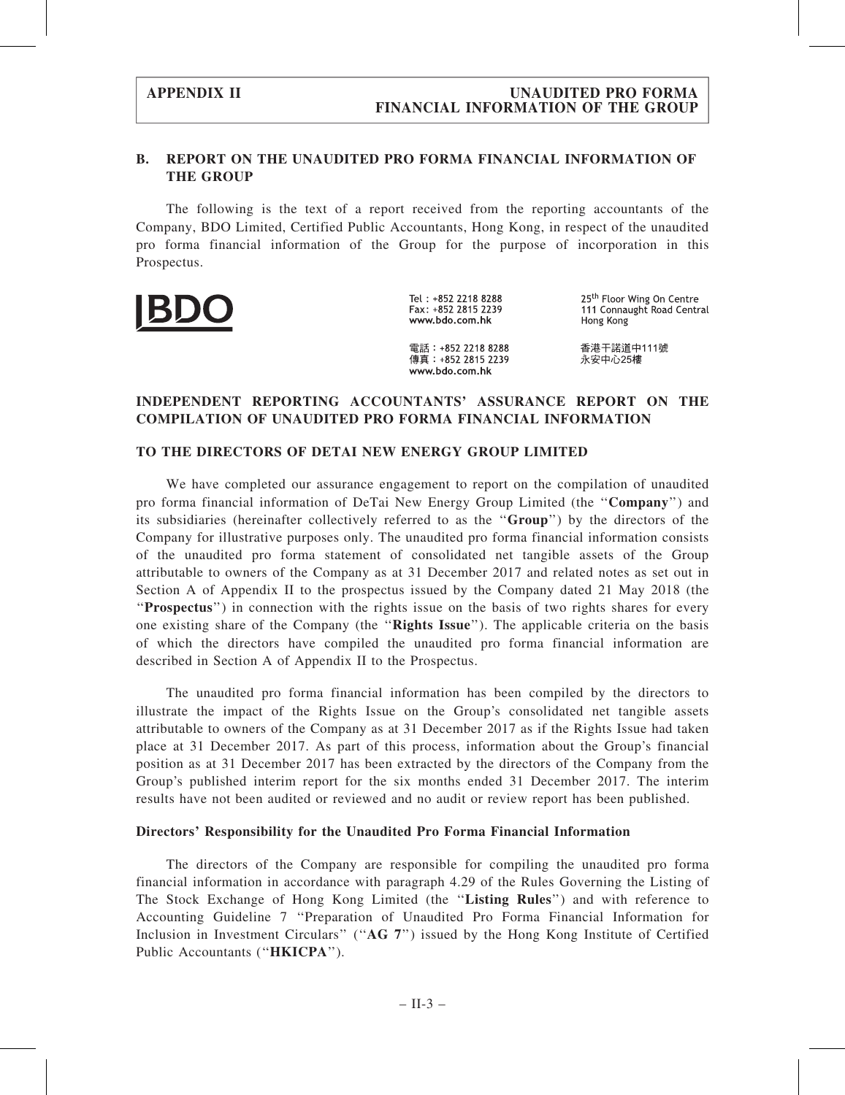### B. REPORT ON THE UNAUDITED PRO FORMA FINANCIAL INFORMATION OF THE GROUP

The following is the text of a report received from the reporting accountants of the Company, BDO Limited, Certified Public Accountants, Hong Kong, in respect of the unaudited pro forma financial information of the Group for the purpose of incorporation in this Prospectus.



Tel: +852 2218 8288 Fax: +852 2815 2239 www.bdo.com.hk

25<sup>th</sup> Floor Wing On Centre 111 Connaught Road Central Hong Kong

雷話: +852 2218 8288 傳真: +852 2815 2239 www.bdo.com.hk

香港干諾道中111號 永安中心25樓

### INDEPENDENT REPORTING ACCOUNTANTS' ASSURANCE REPORT ON THE COMPILATION OF UNAUDITED PRO FORMA FINANCIAL INFORMATION

#### TO THE DIRECTORS OF DETAI NEW ENERGY GROUP LIMITED

We have completed our assurance engagement to report on the compilation of unaudited pro forma financial information of DeTai New Energy Group Limited (the ''Company'') and its subsidiaries (hereinafter collectively referred to as the ''Group'') by the directors of the Company for illustrative purposes only. The unaudited pro forma financial information consists of the unaudited pro forma statement of consolidated net tangible assets of the Group attributable to owners of the Company as at 31 December 2017 and related notes as set out in Section A of Appendix II to the prospectus issued by the Company dated 21 May 2018 (the "Prospectus") in connection with the rights issue on the basis of two rights shares for every one existing share of the Company (the ''Rights Issue''). The applicable criteria on the basis of which the directors have compiled the unaudited pro forma financial information are described in Section A of Appendix II to the Prospectus.

The unaudited pro forma financial information has been compiled by the directors to illustrate the impact of the Rights Issue on the Group's consolidated net tangible assets attributable to owners of the Company as at 31 December 2017 as if the Rights Issue had taken place at 31 December 2017. As part of this process, information about the Group's financial position as at 31 December 2017 has been extracted by the directors of the Company from the Group's published interim report for the six months ended 31 December 2017. The interim results have not been audited or reviewed and no audit or review report has been published.

#### Directors' Responsibility for the Unaudited Pro Forma Financial Information

The directors of the Company are responsible for compiling the unaudited pro forma financial information in accordance with paragraph 4.29 of the Rules Governing the Listing of The Stock Exchange of Hong Kong Limited (the "Listing Rules") and with reference to Accounting Guideline 7 ''Preparation of Unaudited Pro Forma Financial Information for Inclusion in Investment Circulars" ("AG 7") issued by the Hong Kong Institute of Certified Public Accountants ("HKICPA").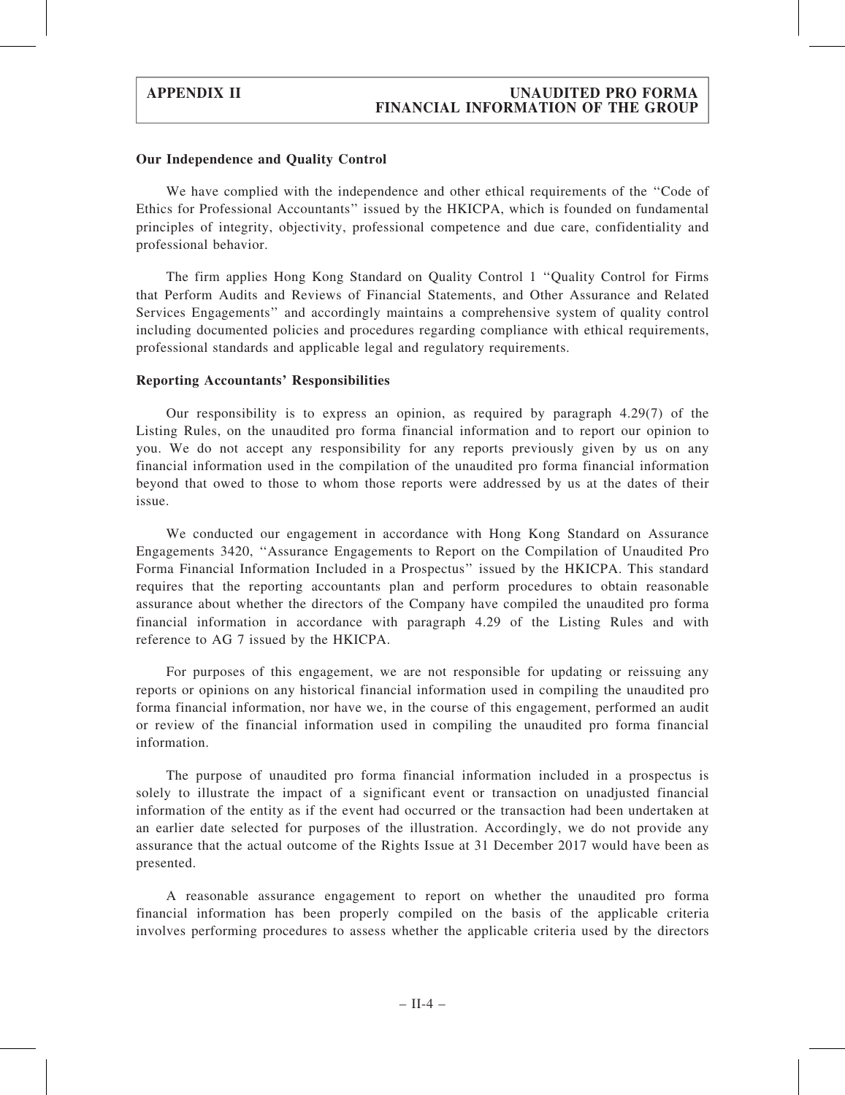#### Our Independence and Quality Control

We have complied with the independence and other ethical requirements of the "Code of Ethics for Professional Accountants'' issued by the HKICPA, which is founded on fundamental principles of integrity, objectivity, professional competence and due care, confidentiality and professional behavior.

The firm applies Hong Kong Standard on Quality Control 1 ''Quality Control for Firms that Perform Audits and Reviews of Financial Statements, and Other Assurance and Related Services Engagements'' and accordingly maintains a comprehensive system of quality control including documented policies and procedures regarding compliance with ethical requirements, professional standards and applicable legal and regulatory requirements.

#### Reporting Accountants' Responsibilities

Our responsibility is to express an opinion, as required by paragraph 4.29(7) of the Listing Rules, on the unaudited pro forma financial information and to report our opinion to you. We do not accept any responsibility for any reports previously given by us on any financial information used in the compilation of the unaudited pro forma financial information beyond that owed to those to whom those reports were addressed by us at the dates of their issue.

We conducted our engagement in accordance with Hong Kong Standard on Assurance Engagements 3420, ''Assurance Engagements to Report on the Compilation of Unaudited Pro Forma Financial Information Included in a Prospectus'' issued by the HKICPA. This standard requires that the reporting accountants plan and perform procedures to obtain reasonable assurance about whether the directors of the Company have compiled the unaudited pro forma financial information in accordance with paragraph 4.29 of the Listing Rules and with reference to AG 7 issued by the HKICPA.

For purposes of this engagement, we are not responsible for updating or reissuing any reports or opinions on any historical financial information used in compiling the unaudited pro forma financial information, nor have we, in the course of this engagement, performed an audit or review of the financial information used in compiling the unaudited pro forma financial information.

The purpose of unaudited pro forma financial information included in a prospectus is solely to illustrate the impact of a significant event or transaction on unadjusted financial information of the entity as if the event had occurred or the transaction had been undertaken at an earlier date selected for purposes of the illustration. Accordingly, we do not provide any assurance that the actual outcome of the Rights Issue at 31 December 2017 would have been as presented.

A reasonable assurance engagement to report on whether the unaudited pro forma financial information has been properly compiled on the basis of the applicable criteria involves performing procedures to assess whether the applicable criteria used by the directors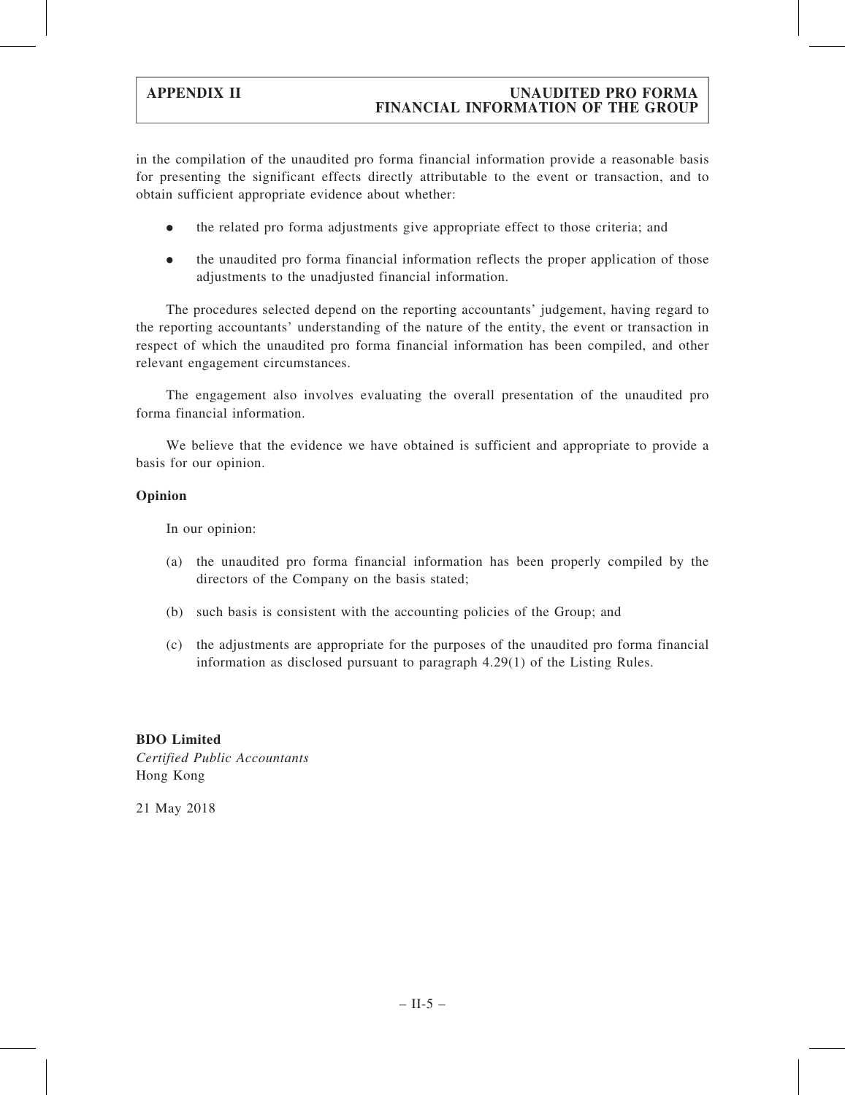### APPENDIX II UNAUDITED PRO FORMA FINANCIAL INFORMATION OF THE GROUP

in the compilation of the unaudited pro forma financial information provide a reasonable basis for presenting the significant effects directly attributable to the event or transaction, and to obtain sufficient appropriate evidence about whether:

- . the related pro forma adjustments give appropriate effect to those criteria; and
- . the unaudited pro forma financial information reflects the proper application of those adjustments to the unadjusted financial information.

The procedures selected depend on the reporting accountants' judgement, having regard to the reporting accountants' understanding of the nature of the entity, the event or transaction in respect of which the unaudited pro forma financial information has been compiled, and other relevant engagement circumstances.

The engagement also involves evaluating the overall presentation of the unaudited pro forma financial information.

We believe that the evidence we have obtained is sufficient and appropriate to provide a basis for our opinion.

#### Opinion

In our opinion:

- (a) the unaudited pro forma financial information has been properly compiled by the directors of the Company on the basis stated;
- (b) such basis is consistent with the accounting policies of the Group; and
- (c) the adjustments are appropriate for the purposes of the unaudited pro forma financial information as disclosed pursuant to paragraph 4.29(1) of the Listing Rules.

BDO Limited Certified Public Accountants Hong Kong

21 May 2018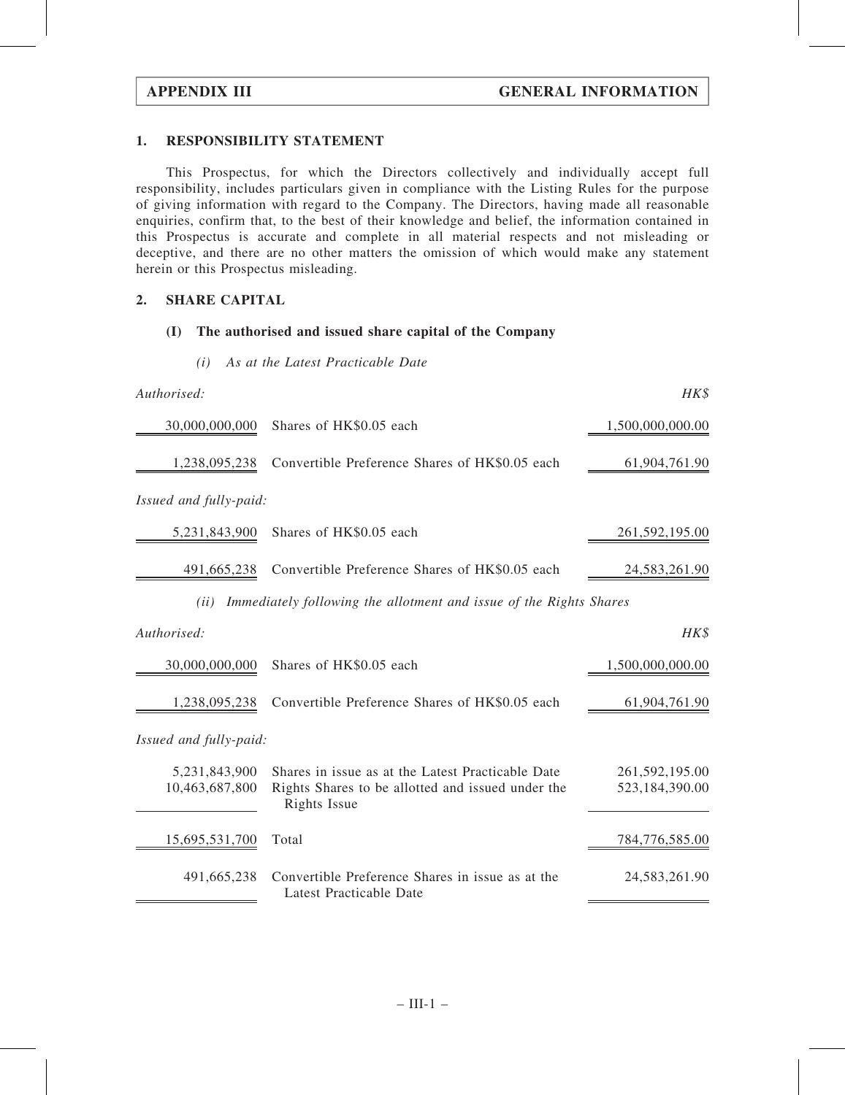#### 1. RESPONSIBILITY STATEMENT

This Prospectus, for which the Directors collectively and individually accept full responsibility, includes particulars given in compliance with the Listing Rules for the purpose of giving information with regard to the Company. The Directors, having made all reasonable enquiries, confirm that, to the best of their knowledge and belief, the information contained in this Prospectus is accurate and complete in all material respects and not misleading or deceptive, and there are no other matters the omission of which would make any statement herein or this Prospectus misleading.

#### 2. SHARE CAPITAL

#### (I) The authorised and issued share capital of the Company

(i) As at the Latest Practicable Date

| Authorised:                     |                                                                                                                        | HK\$                             |
|---------------------------------|------------------------------------------------------------------------------------------------------------------------|----------------------------------|
| 30,000,000,000                  | Shares of HK\$0.05 each                                                                                                | 1,500,000,000.00                 |
| 1,238,095,238                   | Convertible Preference Shares of HK\$0.05 each                                                                         | 61,904,761.90                    |
| Issued and fully-paid:          |                                                                                                                        |                                  |
| 5,231,843,900                   | Shares of HK\$0.05 each                                                                                                | 261,592,195.00                   |
| 491,665,238                     | Convertible Preference Shares of HK\$0.05 each                                                                         | 24,583,261.90                    |
| (ii)                            | Immediately following the allotment and issue of the Rights Shares                                                     |                                  |
| Authorised:                     |                                                                                                                        | HK\$                             |
| 30,000,000,000                  | Shares of HK\$0.05 each                                                                                                | 1,500,000,000.00                 |
| 1,238,095,238                   | Convertible Preference Shares of HK\$0.05 each                                                                         | 61,904,761.90                    |
| Issued and fully-paid:          |                                                                                                                        |                                  |
| 5,231,843,900<br>10,463,687,800 | Shares in issue as at the Latest Practicable Date<br>Rights Shares to be allotted and issued under the<br>Rights Issue | 261,592,195.00<br>523,184,390.00 |
| 15,695,531,700                  | Total                                                                                                                  | 784,776,585.00                   |
| 491,665,238                     | Convertible Preference Shares in issue as at the<br>Latest Practicable Date                                            | 24,583,261.90                    |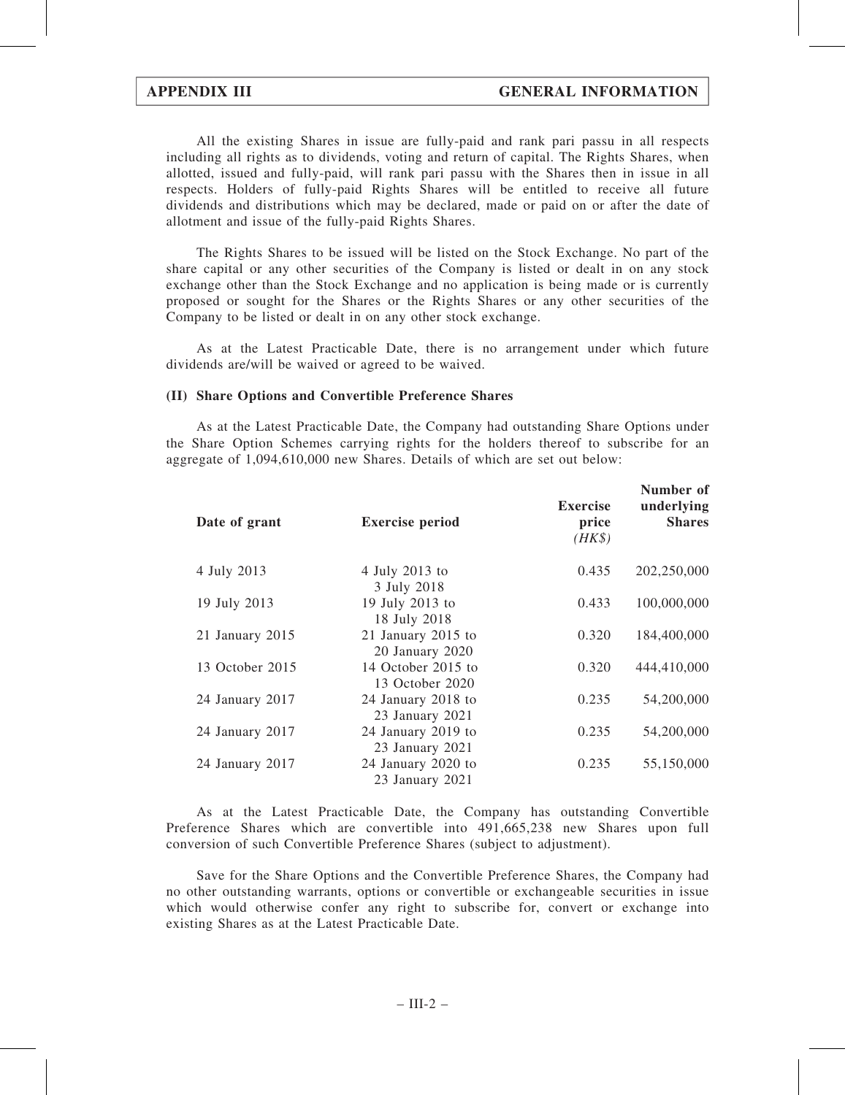All the existing Shares in issue are fully-paid and rank pari passu in all respects including all rights as to dividends, voting and return of capital. The Rights Shares, when allotted, issued and fully-paid, will rank pari passu with the Shares then in issue in all respects. Holders of fully-paid Rights Shares will be entitled to receive all future dividends and distributions which may be declared, made or paid on or after the date of allotment and issue of the fully-paid Rights Shares.

The Rights Shares to be issued will be listed on the Stock Exchange. No part of the share capital or any other securities of the Company is listed or dealt in on any stock exchange other than the Stock Exchange and no application is being made or is currently proposed or sought for the Shares or the Rights Shares or any other securities of the Company to be listed or dealt in on any other stock exchange.

As at the Latest Practicable Date, there is no arrangement under which future dividends are/will be waived or agreed to be waived.

#### (II) Share Options and Convertible Preference Shares

As at the Latest Practicable Date, the Company had outstanding Share Options under the Share Option Schemes carrying rights for the holders thereof to subscribe for an aggregate of 1,094,610,000 new Shares. Details of which are set out below:

| Date of grant   | <b>Exercise period</b>                | <b>Exercise</b><br>price<br>$(HK\$ | Number of<br>underlying<br><b>Shares</b> |
|-----------------|---------------------------------------|------------------------------------|------------------------------------------|
| 4 July 2013     | 4 July 2013 to<br>3 July 2018         | 0.435                              | 202,250,000                              |
| 19 July 2013    | 19 July 2013 to<br>18 July 2018       | 0.433                              | 100,000,000                              |
| 21 January 2015 | 21 January 2015 to<br>20 January 2020 | 0.320                              | 184,400,000                              |
| 13 October 2015 | 14 October 2015 to<br>13 October 2020 | 0.320                              | 444,410,000                              |
| 24 January 2017 | 24 January 2018 to<br>23 January 2021 | 0.235                              | 54,200,000                               |
| 24 January 2017 | 24 January 2019 to<br>23 January 2021 | 0.235                              | 54,200,000                               |
| 24 January 2017 | 24 January 2020 to<br>23 January 2021 | 0.235                              | 55,150,000                               |

As at the Latest Practicable Date, the Company has outstanding Convertible Preference Shares which are convertible into 491,665,238 new Shares upon full conversion of such Convertible Preference Shares (subject to adjustment).

Save for the Share Options and the Convertible Preference Shares, the Company had no other outstanding warrants, options or convertible or exchangeable securities in issue which would otherwise confer any right to subscribe for, convert or exchange into existing Shares as at the Latest Practicable Date.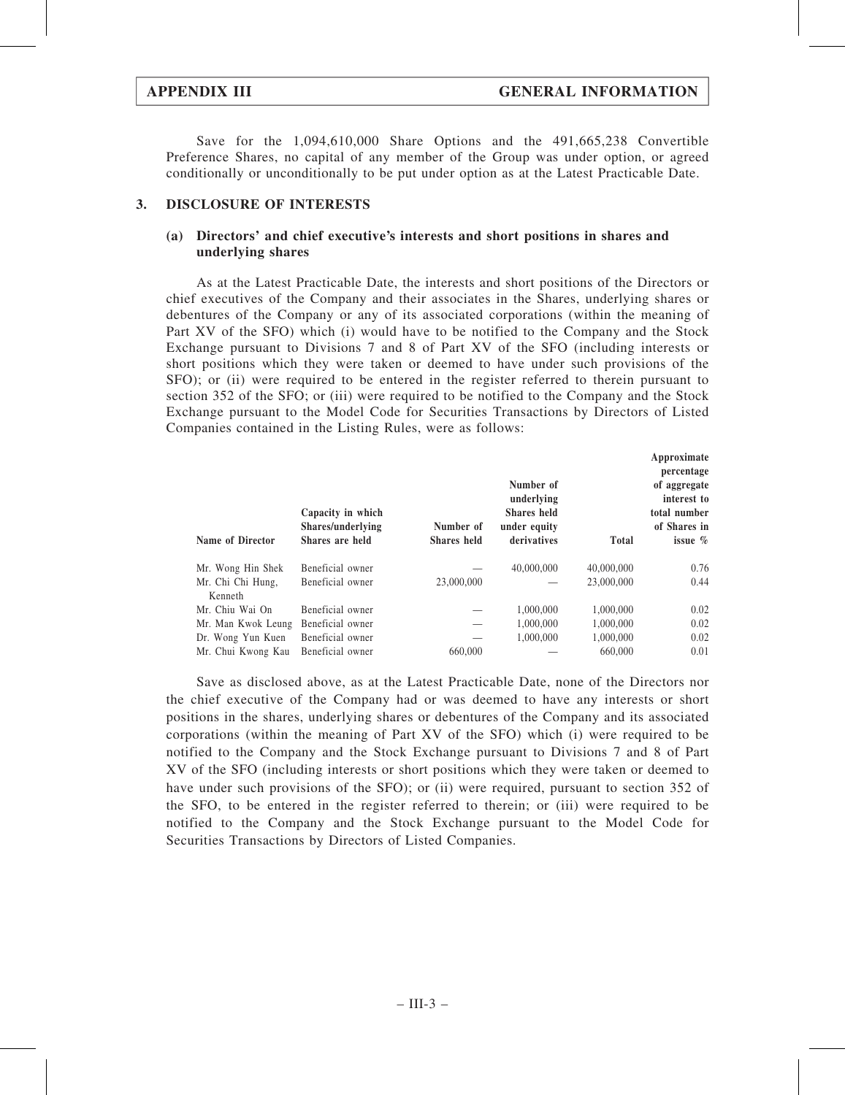Save for the 1,094,610,000 Share Options and the 491,665,238 Convertible Preference Shares, no capital of any member of the Group was under option, or agreed conditionally or unconditionally to be put under option as at the Latest Practicable Date.

#### 3. DISCLOSURE OF INTERESTS

#### (a) Directors' and chief executive's interests and short positions in shares and underlying shares

As at the Latest Practicable Date, the interests and short positions of the Directors or chief executives of the Company and their associates in the Shares, underlying shares or debentures of the Company or any of its associated corporations (within the meaning of Part XV of the SFO) which (i) would have to be notified to the Company and the Stock Exchange pursuant to Divisions 7 and 8 of Part XV of the SFO (including interests or short positions which they were taken or deemed to have under such provisions of the SFO); or (ii) were required to be entered in the register referred to therein pursuant to section 352 of the SFO; or (iii) were required to be notified to the Company and the Stock Exchange pursuant to the Model Code for Securities Transactions by Directors of Listed Companies contained in the Listing Rules, were as follows:

|                    |                   |                    |              |              | Approximate  |
|--------------------|-------------------|--------------------|--------------|--------------|--------------|
|                    |                   |                    |              |              | percentage   |
|                    |                   |                    | Number of    |              | of aggregate |
|                    |                   |                    | underlying   |              | interest to  |
|                    | Capacity in which |                    | Shares held  |              | total number |
|                    | Shares/underlying | Number of          | under equity |              | of Shares in |
| Name of Director   | Shares are held   | <b>Shares</b> held | derivatives  | <b>Total</b> | issue $\%$   |
| Mr. Wong Hin Shek  | Beneficial owner  |                    | 40,000,000   | 40,000,000   | 0.76         |
| Mr. Chi Chi Hung,  | Beneficial owner  | 23,000,000         |              | 23,000,000   | 0.44         |
| Kenneth            |                   |                    |              |              |              |
| Mr. Chiu Wai On    | Beneficial owner  |                    | 1,000,000    | 1,000,000    | 0.02         |
| Mr. Man Kwok Leung | Beneficial owner  |                    | 1,000,000    | 1,000,000    | 0.02         |
| Dr. Wong Yun Kuen  | Beneficial owner  |                    | 1,000,000    | 1,000,000    | 0.02         |
| Mr. Chui Kwong Kau | Beneficial owner  | 660,000            |              | 660,000      | 0.01         |

Save as disclosed above, as at the Latest Practicable Date, none of the Directors nor the chief executive of the Company had or was deemed to have any interests or short positions in the shares, underlying shares or debentures of the Company and its associated corporations (within the meaning of Part XV of the SFO) which (i) were required to be notified to the Company and the Stock Exchange pursuant to Divisions 7 and 8 of Part XV of the SFO (including interests or short positions which they were taken or deemed to have under such provisions of the SFO); or (ii) were required, pursuant to section 352 of the SFO, to be entered in the register referred to therein; or (iii) were required to be notified to the Company and the Stock Exchange pursuant to the Model Code for Securities Transactions by Directors of Listed Companies.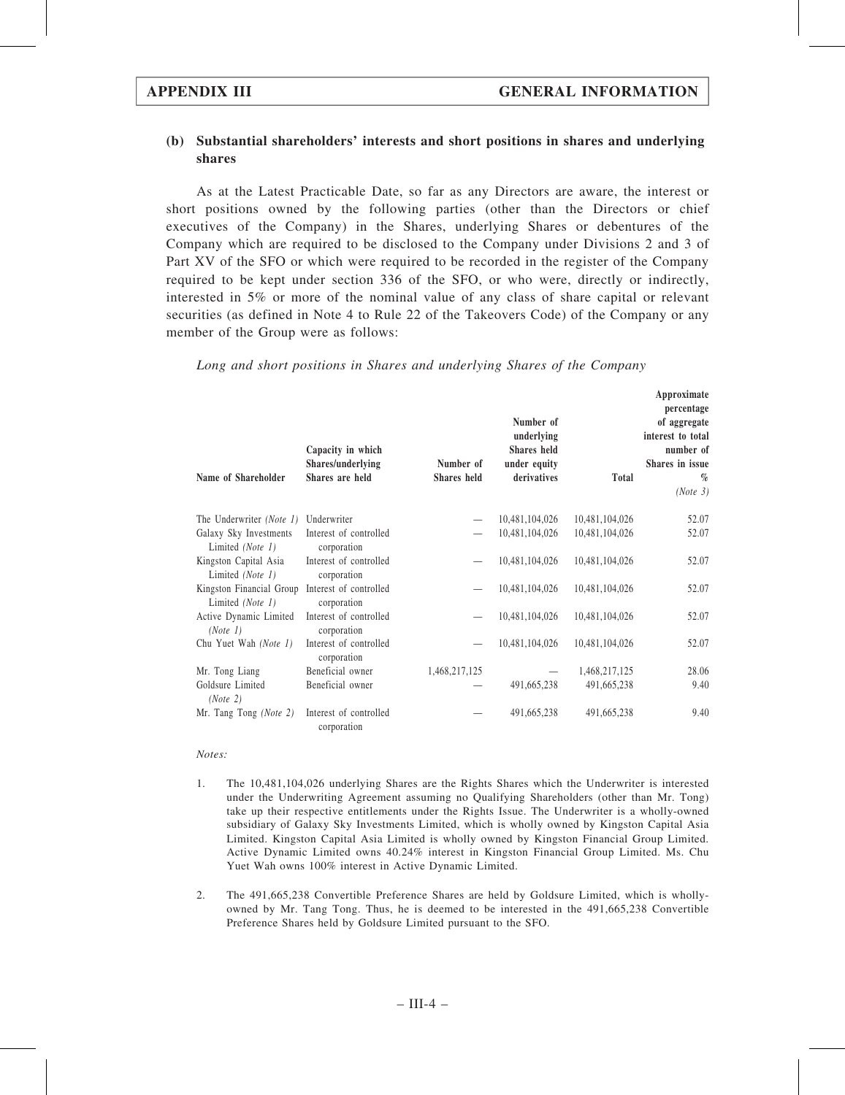### (b) Substantial shareholders' interests and short positions in shares and underlying shares

As at the Latest Practicable Date, so far as any Directors are aware, the interest or short positions owned by the following parties (other than the Directors or chief executives of the Company) in the Shares, underlying Shares or debentures of the Company which are required to be disclosed to the Company under Divisions 2 and 3 of Part XV of the SFO or which were required to be recorded in the register of the Company required to be kept under section 336 of the SFO, or who were, directly or indirectly, interested in 5% or more of the nominal value of any class of share capital or relevant securities (as defined in Note 4 to Rule 22 of the Takeovers Code) of the Company or any member of the Group were as follows:

| Name of Shareholder                                                 | Capacity in which<br>Shares/underlying<br>Shares are held | Number of<br>Shares held | Number of<br>underlying<br>Shares held<br>under equity<br>derivatives | <b>Total</b>   | Approximate<br>percentage<br>of aggregate<br>interest to total<br>number of<br>Shares in issue<br>$\%$<br>(Note 3) |
|---------------------------------------------------------------------|-----------------------------------------------------------|--------------------------|-----------------------------------------------------------------------|----------------|--------------------------------------------------------------------------------------------------------------------|
| The Underwriter (Note 1)                                            | Underwriter                                               |                          | 10,481,104,026                                                        | 10,481,104,026 | 52.07                                                                                                              |
| Galaxy Sky Investments<br>Limited (Note 1)                          | Interest of controlled<br>corporation                     |                          | 10,481,104,026                                                        | 10,481,104,026 | 52.07                                                                                                              |
| Kingston Capital Asia<br>Limited (Note 1)                           | Interest of controlled<br>corporation                     |                          | 10,481,104,026                                                        | 10,481,104,026 | 52.07                                                                                                              |
| Kingston Financial Group Interest of controlled<br>Limited (Note 1) | corporation                                               |                          | 10,481,104,026                                                        | 10,481,104,026 | 52.07                                                                                                              |
| Active Dynamic Limited<br>(Note 1)                                  | Interest of controlled<br>corporation                     |                          | 10,481,104,026                                                        | 10,481,104,026 | 52.07                                                                                                              |
| Chu Yuet Wah (Note 1)                                               | Interest of controlled<br>corporation                     |                          | 10,481,104,026                                                        | 10,481,104,026 | 52.07                                                                                                              |
| Mr. Tong Liang                                                      | Beneficial owner                                          | 1,468,217,125            |                                                                       | 1,468,217,125  | 28.06                                                                                                              |
| Goldsure Limited<br>(Note 2)                                        | Beneficial owner                                          |                          | 491,665,238                                                           | 491,665,238    | 9.40                                                                                                               |
| Mr. Tang Tong (Note 2)                                              | Interest of controlled<br>corporation                     |                          | 491,665,238                                                           | 491,665,238    | 9.40                                                                                                               |

Long and short positions in Shares and underlying Shares of the Company

#### Notes:

- 1. The 10,481,104,026 underlying Shares are the Rights Shares which the Underwriter is interested under the Underwriting Agreement assuming no Qualifying Shareholders (other than Mr. Tong) take up their respective entitlements under the Rights Issue. The Underwriter is a wholly-owned subsidiary of Galaxy Sky Investments Limited, which is wholly owned by Kingston Capital Asia Limited. Kingston Capital Asia Limited is wholly owned by Kingston Financial Group Limited. Active Dynamic Limited owns 40.24% interest in Kingston Financial Group Limited. Ms. Chu Yuet Wah owns 100% interest in Active Dynamic Limited.
- 2. The 491,665,238 Convertible Preference Shares are held by Goldsure Limited, which is whollyowned by Mr. Tang Tong. Thus, he is deemed to be interested in the 491,665,238 Convertible Preference Shares held by Goldsure Limited pursuant to the SFO.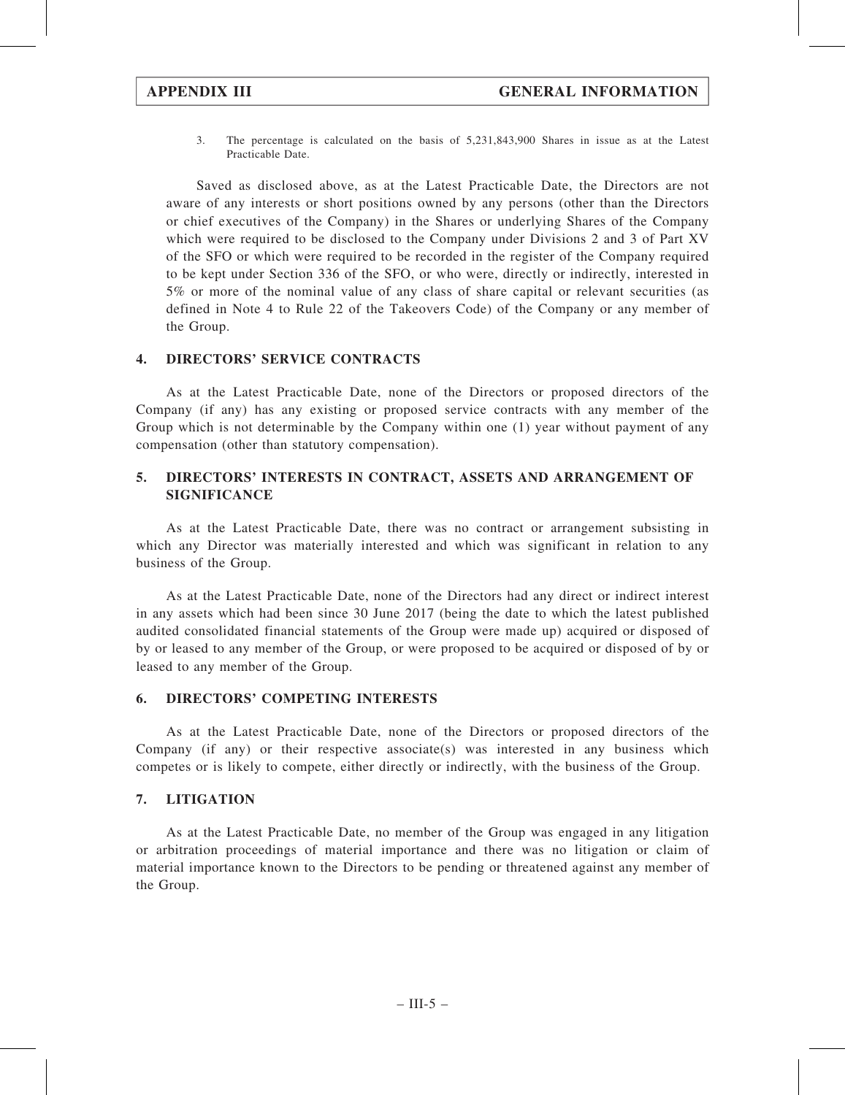3. The percentage is calculated on the basis of 5,231,843,900 Shares in issue as at the Latest Practicable Date.

Saved as disclosed above, as at the Latest Practicable Date, the Directors are not aware of any interests or short positions owned by any persons (other than the Directors or chief executives of the Company) in the Shares or underlying Shares of the Company which were required to be disclosed to the Company under Divisions 2 and 3 of Part XV of the SFO or which were required to be recorded in the register of the Company required to be kept under Section 336 of the SFO, or who were, directly or indirectly, interested in 5% or more of the nominal value of any class of share capital or relevant securities (as defined in Note 4 to Rule 22 of the Takeovers Code) of the Company or any member of the Group.

#### 4. DIRECTORS' SERVICE CONTRACTS

As at the Latest Practicable Date, none of the Directors or proposed directors of the Company (if any) has any existing or proposed service contracts with any member of the Group which is not determinable by the Company within one (1) year without payment of any compensation (other than statutory compensation).

### 5. DIRECTORS' INTERESTS IN CONTRACT, ASSETS AND ARRANGEMENT OF SIGNIFICANCE

As at the Latest Practicable Date, there was no contract or arrangement subsisting in which any Director was materially interested and which was significant in relation to any business of the Group.

As at the Latest Practicable Date, none of the Directors had any direct or indirect interest in any assets which had been since 30 June 2017 (being the date to which the latest published audited consolidated financial statements of the Group were made up) acquired or disposed of by or leased to any member of the Group, or were proposed to be acquired or disposed of by or leased to any member of the Group.

#### 6. DIRECTORS' COMPETING INTERESTS

As at the Latest Practicable Date, none of the Directors or proposed directors of the Company (if any) or their respective associate(s) was interested in any business which competes or is likely to compete, either directly or indirectly, with the business of the Group.

#### 7. LITIGATION

As at the Latest Practicable Date, no member of the Group was engaged in any litigation or arbitration proceedings of material importance and there was no litigation or claim of material importance known to the Directors to be pending or threatened against any member of the Group.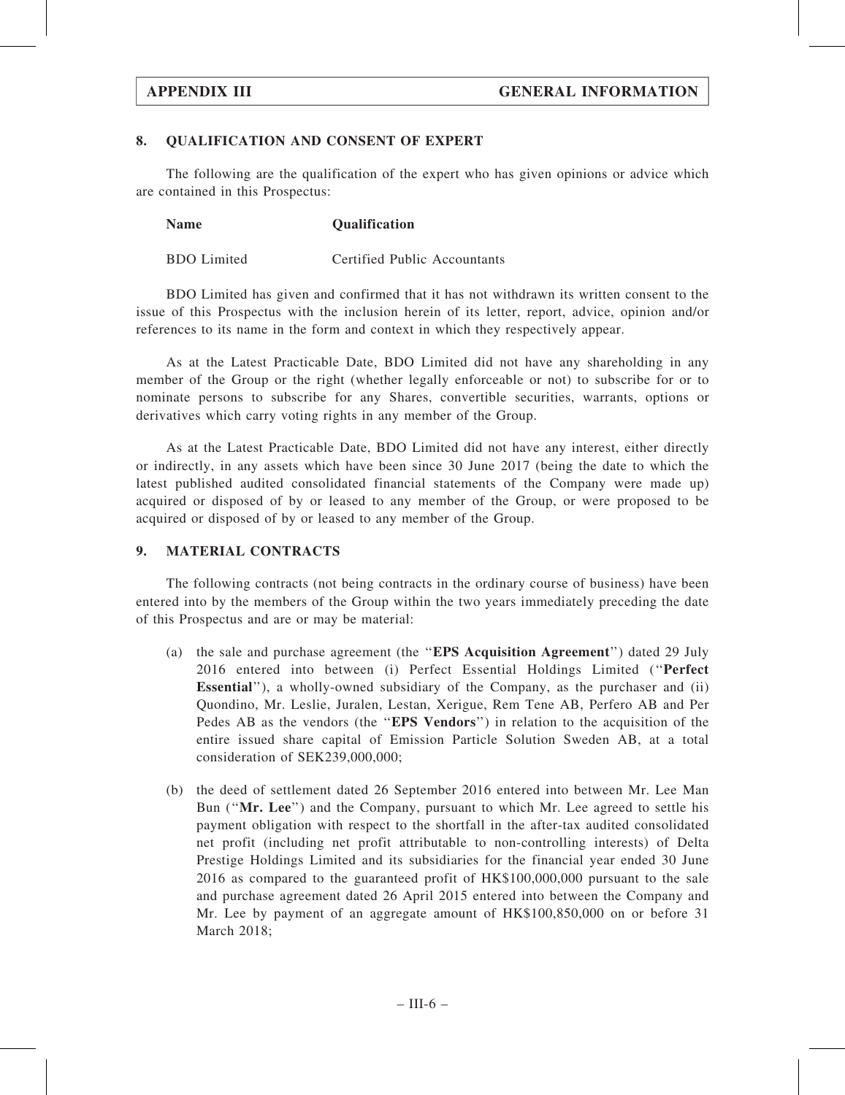#### 8. QUALIFICATION AND CONSENT OF EXPERT

The following are the qualification of the expert who has given opinions or advice which are contained in this Prospectus:

| <b>Name</b> | Qualification |
|-------------|---------------|
|-------------|---------------|

BDO Limited Certified Public Accountants

BDO Limited has given and confirmed that it has not withdrawn its written consent to the issue of this Prospectus with the inclusion herein of its letter, report, advice, opinion and/or references to its name in the form and context in which they respectively appear.

As at the Latest Practicable Date, BDO Limited did not have any shareholding in any member of the Group or the right (whether legally enforceable or not) to subscribe for or to nominate persons to subscribe for any Shares, convertible securities, warrants, options or derivatives which carry voting rights in any member of the Group.

As at the Latest Practicable Date, BDO Limited did not have any interest, either directly or indirectly, in any assets which have been since 30 June 2017 (being the date to which the latest published audited consolidated financial statements of the Company were made up) acquired or disposed of by or leased to any member of the Group, or were proposed to be acquired or disposed of by or leased to any member of the Group.

#### 9. MATERIAL CONTRACTS

The following contracts (not being contracts in the ordinary course of business) have been entered into by the members of the Group within the two years immediately preceding the date of this Prospectus and are or may be material:

- (a) the sale and purchase agreement (the ''EPS Acquisition Agreement'') dated 29 July 2016 entered into between (i) Perfect Essential Holdings Limited (''Perfect Essential''), a wholly-owned subsidiary of the Company, as the purchaser and (ii) Quondino, Mr. Leslie, Juralen, Lestan, Xerigue, Rem Tene AB, Perfero AB and Per Pedes AB as the vendors (the "EPS Vendors") in relation to the acquisition of the entire issued share capital of Emission Particle Solution Sweden AB, at a total consideration of SEK239,000,000;
- (b) the deed of settlement dated 26 September 2016 entered into between Mr. Lee Man Bun (''Mr. Lee'') and the Company, pursuant to which Mr. Lee agreed to settle his payment obligation with respect to the shortfall in the after-tax audited consolidated net profit (including net profit attributable to non-controlling interests) of Delta Prestige Holdings Limited and its subsidiaries for the financial year ended 30 June 2016 as compared to the guaranteed profit of HK\$100,000,000 pursuant to the sale and purchase agreement dated 26 April 2015 entered into between the Company and Mr. Lee by payment of an aggregate amount of HK\$100,850,000 on or before 31 March 2018;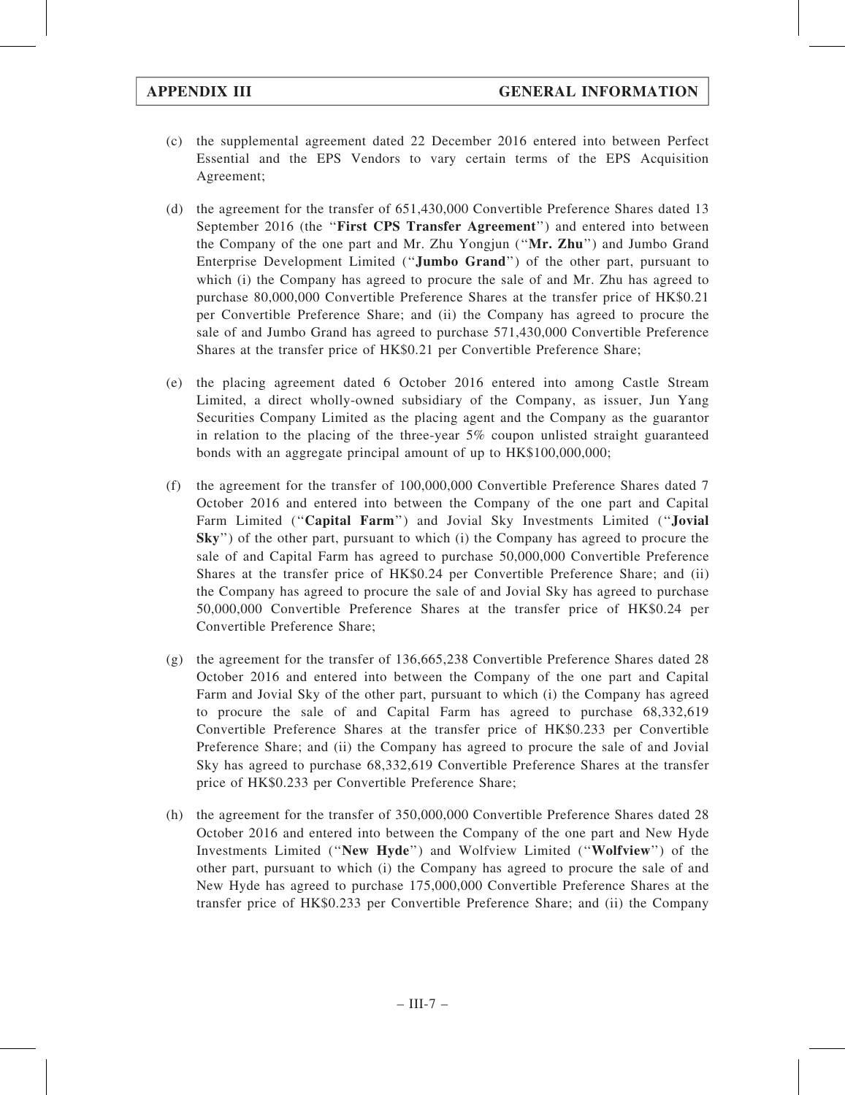- (c) the supplemental agreement dated 22 December 2016 entered into between Perfect Essential and the EPS Vendors to vary certain terms of the EPS Acquisition Agreement;
- (d) the agreement for the transfer of 651,430,000 Convertible Preference Shares dated 13 September 2016 (the ''First CPS Transfer Agreement'') and entered into between the Company of the one part and Mr. Zhu Yongjun ("Mr. Zhu") and Jumbo Grand Enterprise Development Limited (''Jumbo Grand'') of the other part, pursuant to which (i) the Company has agreed to procure the sale of and Mr. Zhu has agreed to purchase 80,000,000 Convertible Preference Shares at the transfer price of HK\$0.21 per Convertible Preference Share; and (ii) the Company has agreed to procure the sale of and Jumbo Grand has agreed to purchase 571,430,000 Convertible Preference Shares at the transfer price of HK\$0.21 per Convertible Preference Share;
- (e) the placing agreement dated 6 October 2016 entered into among Castle Stream Limited, a direct wholly-owned subsidiary of the Company, as issuer, Jun Yang Securities Company Limited as the placing agent and the Company as the guarantor in relation to the placing of the three-year 5% coupon unlisted straight guaranteed bonds with an aggregate principal amount of up to HK\$100,000,000;
- (f) the agreement for the transfer of 100,000,000 Convertible Preference Shares dated 7 October 2016 and entered into between the Company of the one part and Capital Farm Limited ("Capital Farm") and Jovial Sky Investments Limited ("Jovial Sky'') of the other part, pursuant to which (i) the Company has agreed to procure the sale of and Capital Farm has agreed to purchase 50,000,000 Convertible Preference Shares at the transfer price of HK\$0.24 per Convertible Preference Share; and (ii) the Company has agreed to procure the sale of and Jovial Sky has agreed to purchase 50,000,000 Convertible Preference Shares at the transfer price of HK\$0.24 per Convertible Preference Share;
- (g) the agreement for the transfer of 136,665,238 Convertible Preference Shares dated 28 October 2016 and entered into between the Company of the one part and Capital Farm and Jovial Sky of the other part, pursuant to which (i) the Company has agreed to procure the sale of and Capital Farm has agreed to purchase 68,332,619 Convertible Preference Shares at the transfer price of HK\$0.233 per Convertible Preference Share; and (ii) the Company has agreed to procure the sale of and Jovial Sky has agreed to purchase 68,332,619 Convertible Preference Shares at the transfer price of HK\$0.233 per Convertible Preference Share;
- (h) the agreement for the transfer of 350,000,000 Convertible Preference Shares dated 28 October 2016 and entered into between the Company of the one part and New Hyde Investments Limited (''New Hyde'') and Wolfview Limited (''Wolfview'') of the other part, pursuant to which (i) the Company has agreed to procure the sale of and New Hyde has agreed to purchase 175,000,000 Convertible Preference Shares at the transfer price of HK\$0.233 per Convertible Preference Share; and (ii) the Company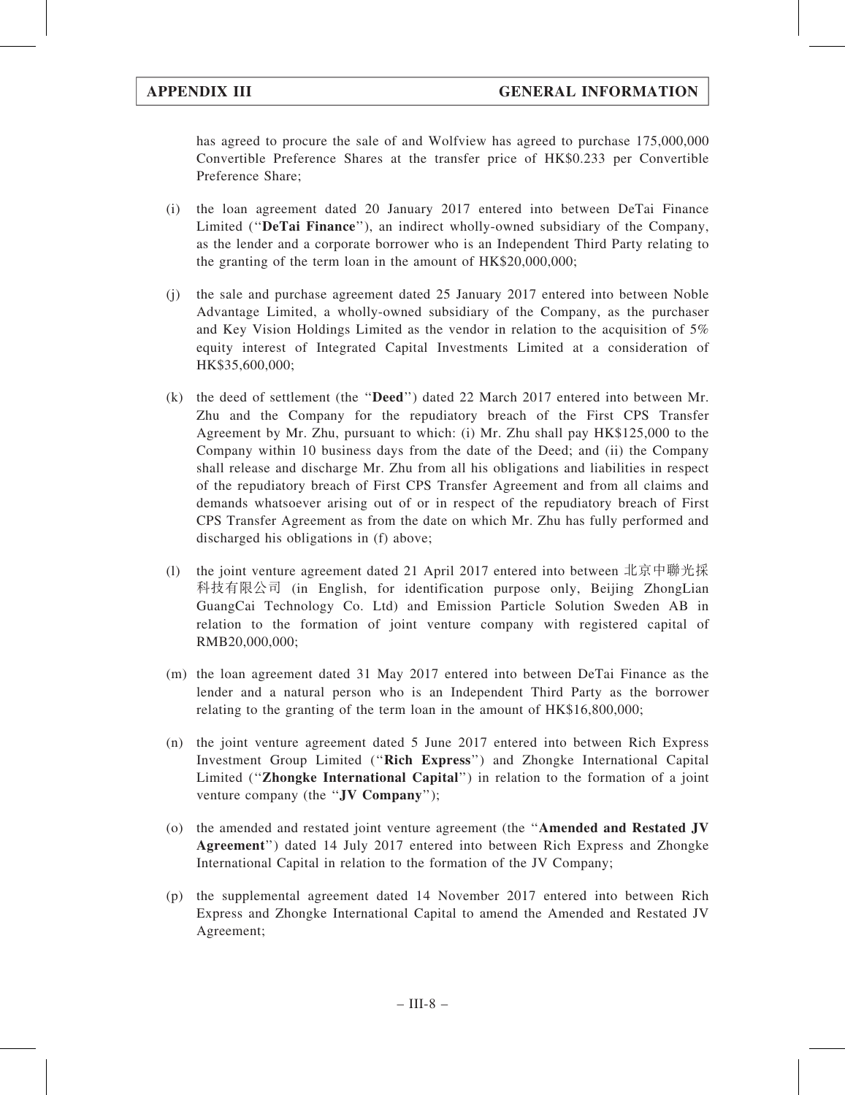has agreed to procure the sale of and Wolfview has agreed to purchase 175,000,000 Convertible Preference Shares at the transfer price of HK\$0.233 per Convertible Preference Share;

- (i) the loan agreement dated 20 January 2017 entered into between DeTai Finance Limited (''DeTai Finance''), an indirect wholly-owned subsidiary of the Company, as the lender and a corporate borrower who is an Independent Third Party relating to the granting of the term loan in the amount of HK\$20,000,000;
- (j) the sale and purchase agreement dated 25 January 2017 entered into between Noble Advantage Limited, a wholly-owned subsidiary of the Company, as the purchaser and Key Vision Holdings Limited as the vendor in relation to the acquisition of 5% equity interest of Integrated Capital Investments Limited at a consideration of HK\$35,600,000;
- (k) the deed of settlement (the ''Deed'') dated 22 March 2017 entered into between Mr. Zhu and the Company for the repudiatory breach of the First CPS Transfer Agreement by Mr. Zhu, pursuant to which: (i) Mr. Zhu shall pay HK\$125,000 to the Company within 10 business days from the date of the Deed; and (ii) the Company shall release and discharge Mr. Zhu from all his obligations and liabilities in respect of the repudiatory breach of First CPS Transfer Agreement and from all claims and demands whatsoever arising out of or in respect of the repudiatory breach of First CPS Transfer Agreement as from the date on which Mr. Zhu has fully performed and discharged his obligations in (f) above;
- (l) the joint venture agreement dated 21 April 2017 entered into between 北京中聯光採 科技有限公司 (in English, for identification purpose only, Beijing ZhongLian GuangCai Technology Co. Ltd) and Emission Particle Solution Sweden AB in relation to the formation of joint venture company with registered capital of RMB20,000,000;
- (m) the loan agreement dated 31 May 2017 entered into between DeTai Finance as the lender and a natural person who is an Independent Third Party as the borrower relating to the granting of the term loan in the amount of HK\$16,800,000;
- (n) the joint venture agreement dated 5 June 2017 entered into between Rich Express Investment Group Limited (''Rich Express'') and Zhongke International Capital Limited (''Zhongke International Capital'') in relation to the formation of a joint venture company (the "JV Company");
- (o) the amended and restated joint venture agreement (the ''Amended and Restated JV Agreement'') dated 14 July 2017 entered into between Rich Express and Zhongke International Capital in relation to the formation of the JV Company;
- (p) the supplemental agreement dated 14 November 2017 entered into between Rich Express and Zhongke International Capital to amend the Amended and Restated JV Agreement;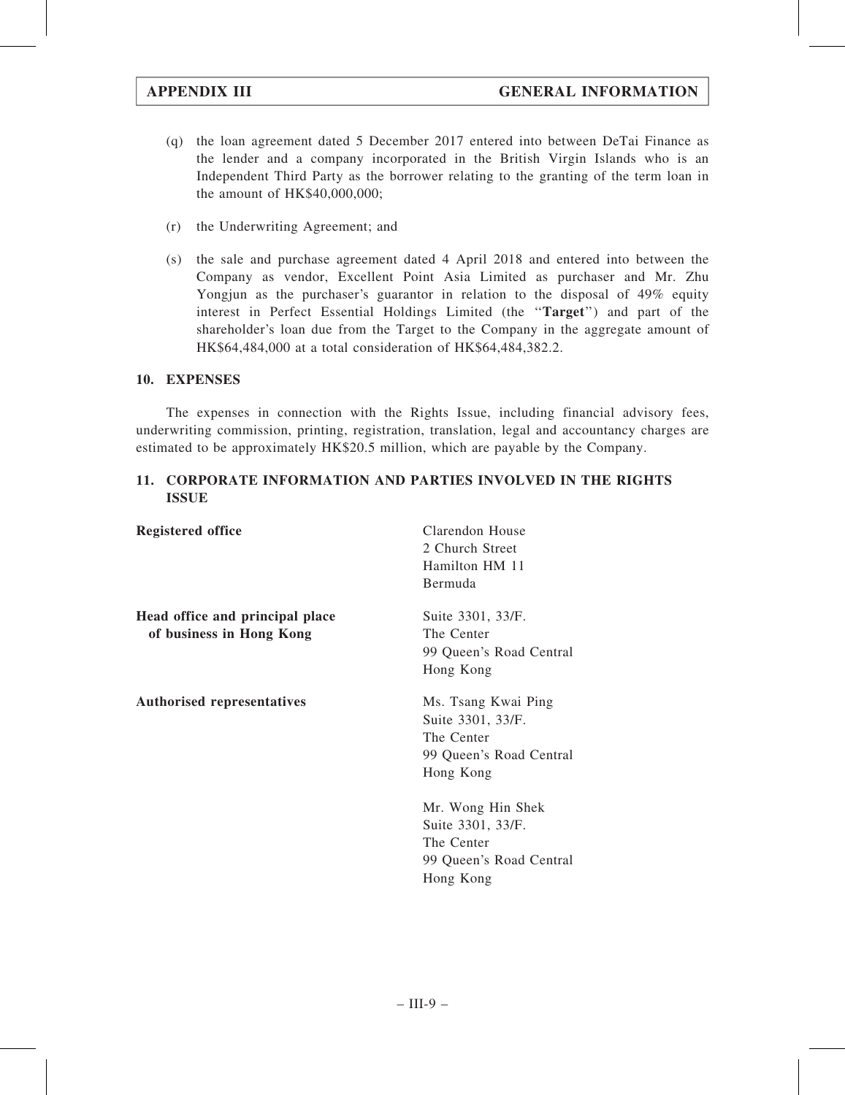- (q) the loan agreement dated 5 December 2017 entered into between DeTai Finance as the lender and a company incorporated in the British Virgin Islands who is an Independent Third Party as the borrower relating to the granting of the term loan in the amount of HK\$40,000,000;
- (r) the Underwriting Agreement; and
- (s) the sale and purchase agreement dated 4 April 2018 and entered into between the Company as vendor, Excellent Point Asia Limited as purchaser and Mr. Zhu Yongjun as the purchaser's guarantor in relation to the disposal of 49% equity interest in Perfect Essential Holdings Limited (the ''Target'') and part of the shareholder's loan due from the Target to the Company in the aggregate amount of HK\$64,484,000 at a total consideration of HK\$64,484,382.2.

#### 10. EXPENSES

The expenses in connection with the Rights Issue, including financial advisory fees, underwriting commission, printing, registration, translation, legal and accountancy charges are estimated to be approximately HK\$20.5 million, which are payable by the Company.

### 11. CORPORATE INFORMATION AND PARTIES INVOLVED IN THE RIGHTS ISSUE

| <b>Registered office</b>                                    | Clarendon House<br>2 Church Street<br>Hamilton HM 11<br>Bermuda                                |
|-------------------------------------------------------------|------------------------------------------------------------------------------------------------|
| Head office and principal place<br>of business in Hong Kong | Suite 3301, 33/F.<br>The Center<br>99 Queen's Road Central<br>Hong Kong                        |
| <b>Authorised representatives</b>                           | Ms. Tsang Kwai Ping<br>Suite 3301, 33/F.<br>The Center<br>99 Queen's Road Central<br>Hong Kong |
|                                                             | Mr. Wong Hin Shek<br>Suite 3301, 33/F.<br>The Center<br>99 Queen's Road Central<br>Hong Kong   |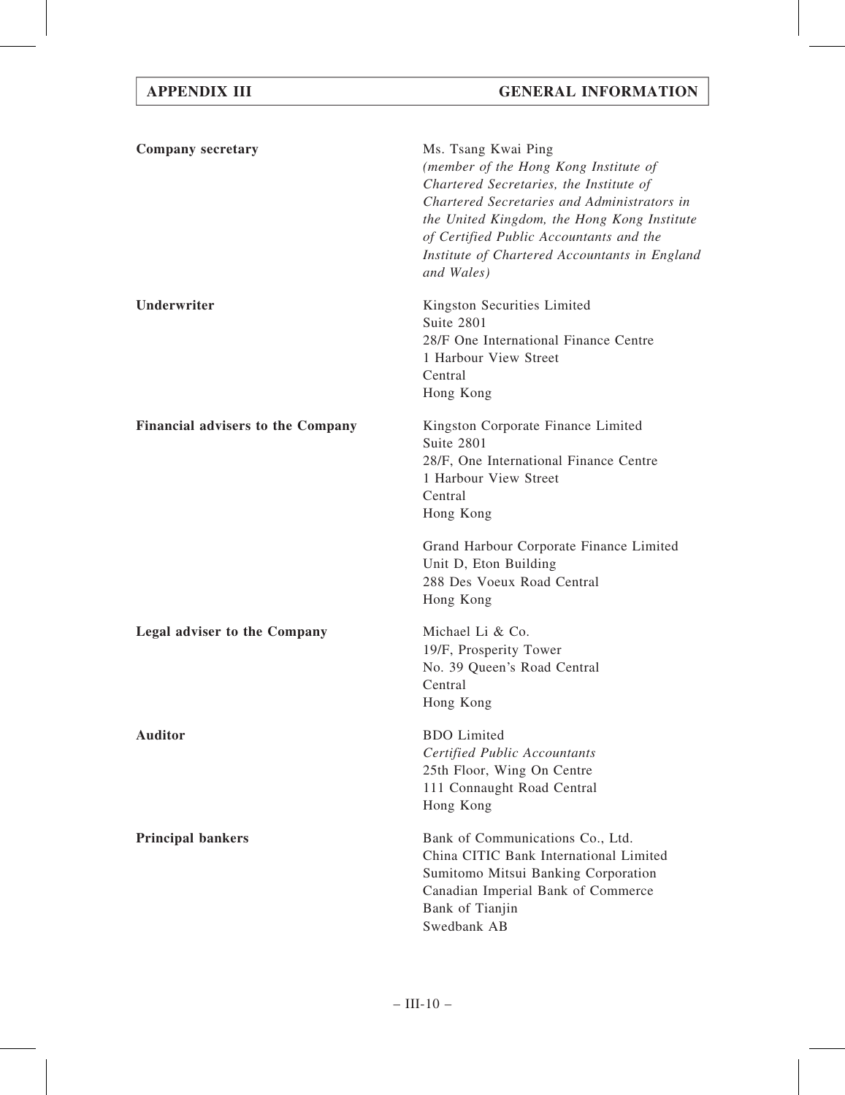| <b>Company secretary</b>                 | Ms. Tsang Kwai Ping<br>(member of the Hong Kong Institute of<br>Chartered Secretaries, the Institute of<br>Chartered Secretaries and Administrators in<br>the United Kingdom, the Hong Kong Institute<br>of Certified Public Accountants and the<br>Institute of Chartered Accountants in England<br>and Wales) |
|------------------------------------------|-----------------------------------------------------------------------------------------------------------------------------------------------------------------------------------------------------------------------------------------------------------------------------------------------------------------|
| Underwriter                              | Kingston Securities Limited<br>Suite 2801<br>28/F One International Finance Centre<br>1 Harbour View Street<br>Central<br>Hong Kong                                                                                                                                                                             |
| <b>Financial advisers to the Company</b> | Kingston Corporate Finance Limited<br>Suite 2801<br>28/F, One International Finance Centre<br>1 Harbour View Street<br>Central<br>Hong Kong                                                                                                                                                                     |
|                                          | Grand Harbour Corporate Finance Limited<br>Unit D, Eton Building<br>288 Des Voeux Road Central<br>Hong Kong                                                                                                                                                                                                     |
| <b>Legal adviser to the Company</b>      | Michael Li & Co.<br>19/F, Prosperity Tower<br>No. 39 Queen's Road Central<br>Central<br>Hong Kong                                                                                                                                                                                                               |
| <b>Auditor</b>                           | <b>BDO</b> Limited<br><b>Certified Public Accountants</b><br>25th Floor, Wing On Centre<br>111 Connaught Road Central<br>Hong Kong                                                                                                                                                                              |
| <b>Principal bankers</b>                 | Bank of Communications Co., Ltd.<br>China CITIC Bank International Limited<br>Sumitomo Mitsui Banking Corporation<br>Canadian Imperial Bank of Commerce<br>Bank of Tianjin<br>Swedbank AB                                                                                                                       |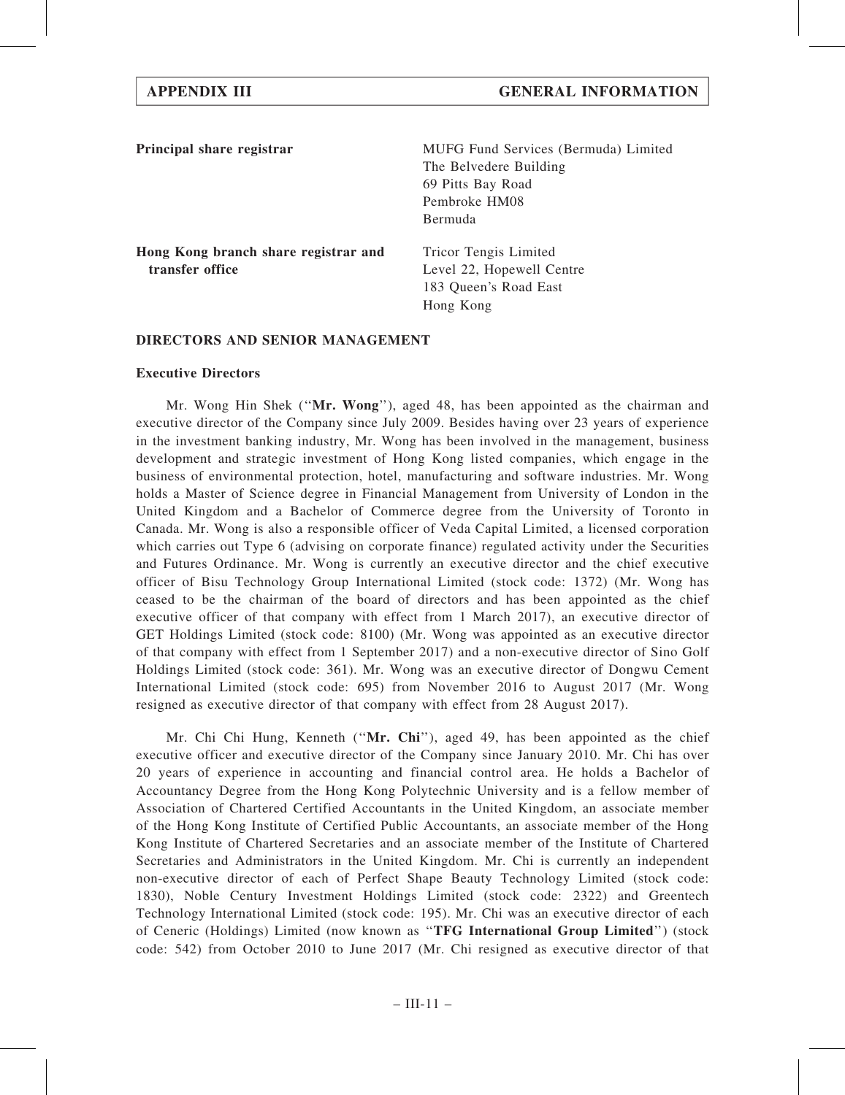| Principal share registrar            | MUFG Fund Services (Bermuda) Limited |
|--------------------------------------|--------------------------------------|
|                                      | The Belvedere Building               |
|                                      | 69 Pitts Bay Road                    |
|                                      | Pembroke HM08                        |
|                                      | Bermuda                              |
| Hong Kong branch share registrar and | Tricor Tengis Limited                |
| transfer office                      | Level 22, Hopewell Centre            |
|                                      | 183 Queen's Road East                |
|                                      | Hong Kong                            |

#### DIRECTORS AND SENIOR MANAGEMENT

#### Executive Directors

Mr. Wong Hin Shek ("Mr. Wong"), aged 48, has been appointed as the chairman and executive director of the Company since July 2009. Besides having over 23 years of experience in the investment banking industry, Mr. Wong has been involved in the management, business development and strategic investment of Hong Kong listed companies, which engage in the business of environmental protection, hotel, manufacturing and software industries. Mr. Wong holds a Master of Science degree in Financial Management from University of London in the United Kingdom and a Bachelor of Commerce degree from the University of Toronto in Canada. Mr. Wong is also a responsible officer of Veda Capital Limited, a licensed corporation which carries out Type 6 (advising on corporate finance) regulated activity under the Securities and Futures Ordinance. Mr. Wong is currently an executive director and the chief executive officer of Bisu Technology Group International Limited (stock code: 1372) (Mr. Wong has ceased to be the chairman of the board of directors and has been appointed as the chief executive officer of that company with effect from 1 March 2017), an executive director of GET Holdings Limited (stock code: 8100) (Mr. Wong was appointed as an executive director of that company with effect from 1 September 2017) and a non-executive director of Sino Golf Holdings Limited (stock code: 361). Mr. Wong was an executive director of Dongwu Cement International Limited (stock code: 695) from November 2016 to August 2017 (Mr. Wong resigned as executive director of that company with effect from 28 August 2017).

Mr. Chi Chi Hung, Kenneth ("Mr. Chi"), aged 49, has been appointed as the chief executive officer and executive director of the Company since January 2010. Mr. Chi has over 20 years of experience in accounting and financial control area. He holds a Bachelor of Accountancy Degree from the Hong Kong Polytechnic University and is a fellow member of Association of Chartered Certified Accountants in the United Kingdom, an associate member of the Hong Kong Institute of Certified Public Accountants, an associate member of the Hong Kong Institute of Chartered Secretaries and an associate member of the Institute of Chartered Secretaries and Administrators in the United Kingdom. Mr. Chi is currently an independent non-executive director of each of Perfect Shape Beauty Technology Limited (stock code: 1830), Noble Century Investment Holdings Limited (stock code: 2322) and Greentech Technology International Limited (stock code: 195). Mr. Chi was an executive director of each of Ceneric (Holdings) Limited (now known as ''TFG International Group Limited'') (stock code: 542) from October 2010 to June 2017 (Mr. Chi resigned as executive director of that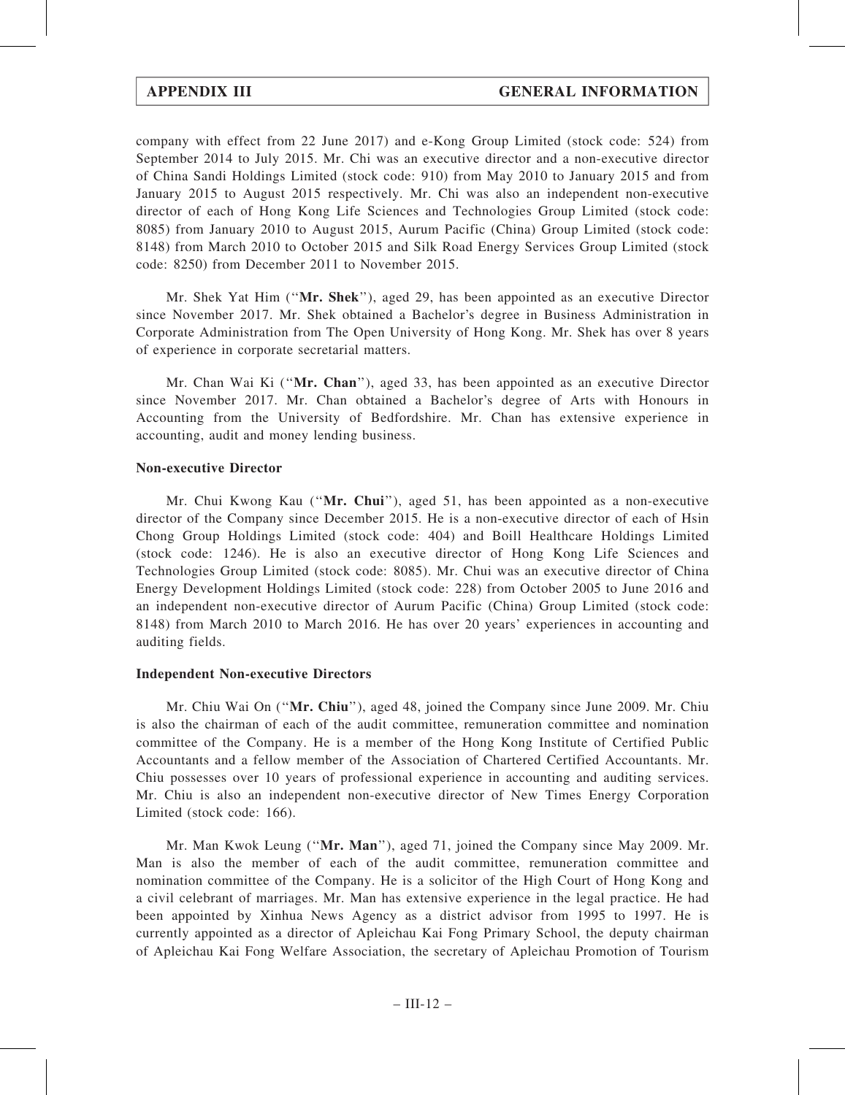company with effect from 22 June 2017) and e-Kong Group Limited (stock code: 524) from September 2014 to July 2015. Mr. Chi was an executive director and a non-executive director of China Sandi Holdings Limited (stock code: 910) from May 2010 to January 2015 and from January 2015 to August 2015 respectively. Mr. Chi was also an independent non-executive director of each of Hong Kong Life Sciences and Technologies Group Limited (stock code: 8085) from January 2010 to August 2015, Aurum Pacific (China) Group Limited (stock code: 8148) from March 2010 to October 2015 and Silk Road Energy Services Group Limited (stock code: 8250) from December 2011 to November 2015.

Mr. Shek Yat Him (''Mr. Shek''), aged 29, has been appointed as an executive Director since November 2017. Mr. Shek obtained a Bachelor's degree in Business Administration in Corporate Administration from The Open University of Hong Kong. Mr. Shek has over 8 years of experience in corporate secretarial matters.

Mr. Chan Wai Ki (''Mr. Chan''), aged 33, has been appointed as an executive Director since November 2017. Mr. Chan obtained a Bachelor's degree of Arts with Honours in Accounting from the University of Bedfordshire. Mr. Chan has extensive experience in accounting, audit and money lending business.

#### Non-executive Director

Mr. Chui Kwong Kau (''Mr. Chui''), aged 51, has been appointed as a non-executive director of the Company since December 2015. He is a non-executive director of each of Hsin Chong Group Holdings Limited (stock code: 404) and Boill Healthcare Holdings Limited (stock code: 1246). He is also an executive director of Hong Kong Life Sciences and Technologies Group Limited (stock code: 8085). Mr. Chui was an executive director of China Energy Development Holdings Limited (stock code: 228) from October 2005 to June 2016 and an independent non-executive director of Aurum Pacific (China) Group Limited (stock code: 8148) from March 2010 to March 2016. He has over 20 years' experiences in accounting and auditing fields.

#### Independent Non-executive Directors

Mr. Chiu Wai On (''Mr. Chiu''), aged 48, joined the Company since June 2009. Mr. Chiu is also the chairman of each of the audit committee, remuneration committee and nomination committee of the Company. He is a member of the Hong Kong Institute of Certified Public Accountants and a fellow member of the Association of Chartered Certified Accountants. Mr. Chiu possesses over 10 years of professional experience in accounting and auditing services. Mr. Chiu is also an independent non-executive director of New Times Energy Corporation Limited (stock code: 166).

Mr. Man Kwok Leung (''Mr. Man''), aged 71, joined the Company since May 2009. Mr. Man is also the member of each of the audit committee, remuneration committee and nomination committee of the Company. He is a solicitor of the High Court of Hong Kong and a civil celebrant of marriages. Mr. Man has extensive experience in the legal practice. He had been appointed by Xinhua News Agency as a district advisor from 1995 to 1997. He is currently appointed as a director of Apleichau Kai Fong Primary School, the deputy chairman of Apleichau Kai Fong Welfare Association, the secretary of Apleichau Promotion of Tourism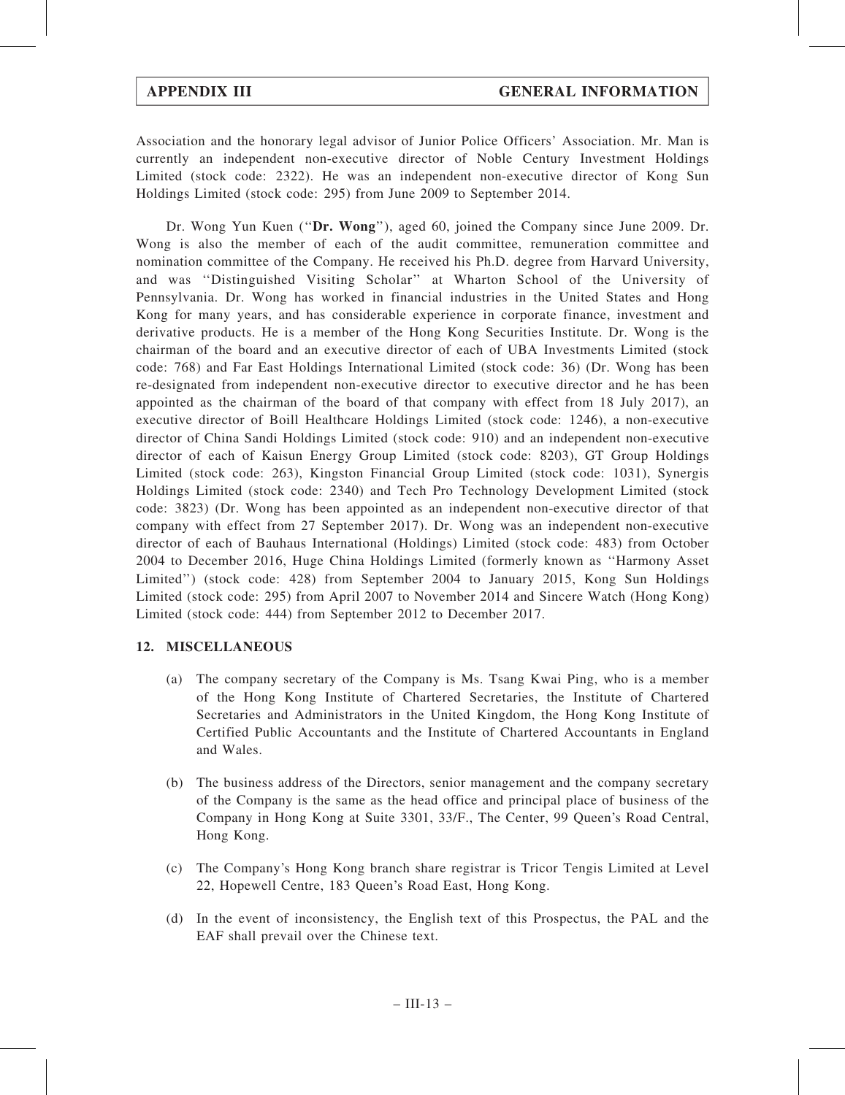Association and the honorary legal advisor of Junior Police Officers' Association. Mr. Man is currently an independent non-executive director of Noble Century Investment Holdings Limited (stock code: 2322). He was an independent non-executive director of Kong Sun Holdings Limited (stock code: 295) from June 2009 to September 2014.

Dr. Wong Yun Kuen ("Dr. Wong"), aged 60, joined the Company since June 2009. Dr. Wong is also the member of each of the audit committee, remuneration committee and nomination committee of the Company. He received his Ph.D. degree from Harvard University, and was ''Distinguished Visiting Scholar'' at Wharton School of the University of Pennsylvania. Dr. Wong has worked in financial industries in the United States and Hong Kong for many years, and has considerable experience in corporate finance, investment and derivative products. He is a member of the Hong Kong Securities Institute. Dr. Wong is the chairman of the board and an executive director of each of UBA Investments Limited (stock code: 768) and Far East Holdings International Limited (stock code: 36) (Dr. Wong has been re-designated from independent non-executive director to executive director and he has been appointed as the chairman of the board of that company with effect from 18 July 2017), an executive director of Boill Healthcare Holdings Limited (stock code: 1246), a non-executive director of China Sandi Holdings Limited (stock code: 910) and an independent non-executive director of each of Kaisun Energy Group Limited (stock code: 8203), GT Group Holdings Limited (stock code: 263), Kingston Financial Group Limited (stock code: 1031), Synergis Holdings Limited (stock code: 2340) and Tech Pro Technology Development Limited (stock code: 3823) (Dr. Wong has been appointed as an independent non-executive director of that company with effect from 27 September 2017). Dr. Wong was an independent non-executive director of each of Bauhaus International (Holdings) Limited (stock code: 483) from October 2004 to December 2016, Huge China Holdings Limited (formerly known as ''Harmony Asset Limited'') (stock code: 428) from September 2004 to January 2015, Kong Sun Holdings Limited (stock code: 295) from April 2007 to November 2014 and Sincere Watch (Hong Kong) Limited (stock code: 444) from September 2012 to December 2017.

#### 12. MISCELLANEOUS

- (a) The company secretary of the Company is Ms. Tsang Kwai Ping, who is a member of the Hong Kong Institute of Chartered Secretaries, the Institute of Chartered Secretaries and Administrators in the United Kingdom, the Hong Kong Institute of Certified Public Accountants and the Institute of Chartered Accountants in England and Wales.
- (b) The business address of the Directors, senior management and the company secretary of the Company is the same as the head office and principal place of business of the Company in Hong Kong at Suite 3301, 33/F., The Center, 99 Queen's Road Central, Hong Kong.
- (c) The Company's Hong Kong branch share registrar is Tricor Tengis Limited at Level 22, Hopewell Centre, 183 Queen's Road East, Hong Kong.
- (d) In the event of inconsistency, the English text of this Prospectus, the PAL and the EAF shall prevail over the Chinese text.